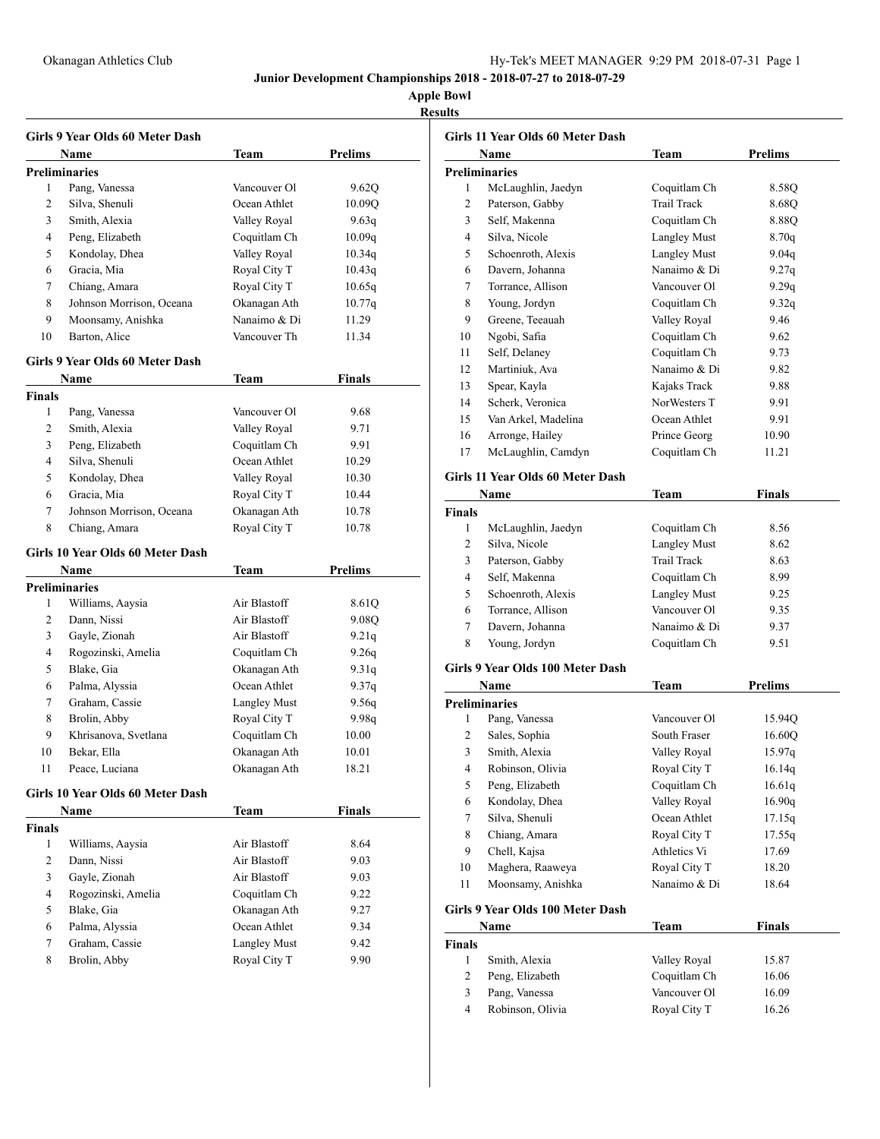# Okanagan Athletics Club Hy-Tek's MEET MANAGER 9:29 PM 2018-07-31 Page 1

**Junior Development Championships 2018 - 2018-07-27 to 2018-07-29**

**Apple Bowl**

### **Results**

|                      | Girls 9 Year Olds 60 Meter Dash  |                     |                |
|----------------------|----------------------------------|---------------------|----------------|
|                      | Name                             | Team                | <b>Prelims</b> |
| <b>Preliminaries</b> |                                  |                     |                |
| 1                    | Pang, Vanessa                    | Vancouver Ol        | 9.62Q          |
| 2                    | Silva, Shenuli                   | Ocean Athlet        | 10.09Q         |
| 3                    | Smith, Alexia                    | Valley Royal        | 9.63q          |
| 4                    | Peng, Elizabeth                  | Coquitlam Ch        | 10.09q         |
| 5                    | Kondolay, Dhea                   | Valley Royal        | 10.34q         |
| 6                    | Gracia, Mia                      | Royal City T        | 10.43q         |
| 7                    | Chiang, Amara                    | Royal City T        | 10.65q         |
| 8                    | Johnson Morrison, Oceana         | Okanagan Ath        | 10.77q         |
| 9                    | Moonsamy, Anishka                | Nanaimo & Di        | 11.29          |
| 10                   | Barton, Alice                    | Vancouver Th        | 11.34          |
|                      | Girls 9 Year Olds 60 Meter Dash  |                     |                |
|                      | Name                             | Team                | Finals         |
| Finals               |                                  |                     |                |
| 1                    | Pang, Vanessa                    | Vancouver Ol        | 9.68           |
| 2                    | Smith, Alexia                    | Valley Royal        | 9.71           |
| 3                    | Peng, Elizabeth                  | Coquitlam Ch        | 9.91           |
| 4                    | Silva, Shenuli                   | Ocean Athlet        | 10.29          |
| 5                    | Kondolay, Dhea                   | Valley Royal        | 10.30          |
| 6                    | Gracia, Mia                      | Royal City T        | 10.44          |
| 7                    | Johnson Morrison, Oceana         | Okanagan Ath        | 10.78          |
| 8                    | Chiang, Amara                    | Royal City T        | 10.78          |
|                      |                                  |                     |                |
|                      | Girls 10 Year Olds 60 Meter Dash |                     |                |
|                      |                                  |                     |                |
|                      | Name                             | Team                | <b>Prelims</b> |
| <b>Preliminaries</b> |                                  |                     |                |
| 1                    | Williams, Aaysia                 | Air Blastoff        | 8.61Q          |
| 2                    | Dann, Nissi                      | Air Blastoff        | 9.08Q          |
| 3                    | Gayle, Zionah                    | Air Blastoff        | 9.21q          |
| 4                    | Rogozinski, Amelia               | Coquitlam Ch        | 9.26q          |
| 5                    | Blake, Gia                       | Okanagan Ath        | 9.31q          |
| 6                    | Palma, Alyssia                   | Ocean Athlet        | 9.37q          |
| 7                    | Graham, Cassie                   | <b>Langley Must</b> | 9.56q          |
| 8                    | Brolin, Abby                     | Royal City T        | 9.98q          |
| 9                    | Khrisanova, Svetlana             | Coquitlam Ch        | 10.00          |
| 10                   | Bekar, Ella                      | Okanagan Ath        | 10.01          |
| 11                   | Peace, Luciana                   | Okanagan Ath        | 18.21          |
|                      | Girls 10 Year Olds 60 Meter Dash |                     |                |
|                      | Name                             | <b>Team</b>         | <b>Finals</b>  |
| <b>Finals</b>        |                                  |                     |                |
| 1                    | Williams, Aaysia                 | Air Blastoff        | 8.64           |
| 2                    | Dann, Nissi                      | Air Blastoff        | 9.03           |
| 3                    | Gayle, Zionah                    | Air Blastoff        | 9.03           |
| 4                    | Rogozinski, Amelia               | Coquitlam Ch        | 9.22           |
| 5                    | Blake, Gia                       | Okanagan Ath        | 9.27           |
| 6                    | Palma, Alyssia                   | Ocean Athlet        | 9.34           |
| 7                    | Graham, Cassie                   | <b>Langley Must</b> | 9.42           |
| 8                    | Brolin, Abby                     | Royal City T        | 9.90           |

|                | Name                             | <b>Team</b>         | <b>Prelims</b> |
|----------------|----------------------------------|---------------------|----------------|
|                | <b>Preliminaries</b>             |                     |                |
| 1              | McLaughlin, Jaedyn               | Coquitlam Ch        | 8.580          |
| $\overline{c}$ | Paterson, Gabby                  | <b>Trail Track</b>  | 8.68Q          |
| 3              | Self, Makenna                    | Coquitlam Ch        | 8.88Q          |
| 4              | Silva, Nicole                    | <b>Langley Must</b> | 8.70q          |
| 5              | Schoenroth, Alexis               | Langley Must        | 9.04q          |
| 6              | Davern, Johanna                  | Nanaimo & Di        | 9.27q          |
| 7              | Torrance, Allison                | Vancouver Ol        | 9.29q          |
| 8              | Young, Jordyn                    | Coquitlam Ch        | 9.32q          |
| 9              | Greene, Teeauah                  | Valley Royal        | 9.46           |
| 10             | Ngobi, Safia                     | Coquitlam Ch        | 9.62           |
| 11             | Self, Delaney                    | Coquitlam Ch        | 9.73           |
| 12             | Martiniuk, Ava                   | Nanaimo & Di        | 9.82           |
| 13             | Spear, Kayla                     | Kajaks Track        | 9.88           |
| 14             | Scherk, Veronica                 | NorWesters T        | 9.91           |
| 15             | Van Arkel, Madelina              | Ocean Athlet        | 9.91           |
| 16             | Arronge, Hailey                  | Prince Georg        | 10.90          |
| 17             | McLaughlin, Camdyn               | Coquitlam Ch        | 11.21          |
|                | Girls 11 Year Olds 60 Meter Dash |                     |                |
|                | Name                             | Team                | Finals         |

| McLaughlin, Jaedyn | Coquitlam Ch        | 8.56 |
|--------------------|---------------------|------|
| Silva, Nicole      | <b>Langley Must</b> | 8.62 |
| Paterson, Gabby    | Trail Track         | 8.63 |
| Self, Makenna      | Coquitlam Ch        | 8.99 |
| Schoenroth, Alexis | <b>Langley Must</b> | 9.25 |
| Torrance, Allison  | Vancouver Ol        | 9.35 |
| Davern, Johanna    | Nanaimo & Di        | 9.37 |
| Young, Jordyn      | Coquitlam Ch        | 9.51 |
|                    |                     |      |

### **Girls 9 Year Olds 100 Meter Dash**

|    | Name                 | <b>Team</b>  | <b>Prelims</b> |  |
|----|----------------------|--------------|----------------|--|
|    | <b>Preliminaries</b> |              |                |  |
| 1  | Pang, Vanessa        | Vancouver Ol | 15.94Q         |  |
| 2  | Sales, Sophia        | South Fraser | 16.60O         |  |
| 3  | Smith, Alexia        | Valley Royal | 15.97q         |  |
| 4  | Robinson, Olivia     | Royal City T | 16.14q         |  |
| 5  | Peng, Elizabeth      | Coquitlam Ch | 16.61g         |  |
| 6  | Kondolay, Dhea       | Valley Royal | 16.90q         |  |
| 7  | Silva, Shenuli       | Ocean Athlet | 17.15g         |  |
| 8  | Chiang, Amara        | Royal City T | 17.55q         |  |
| 9  | Chell, Kajsa         | Athletics Vi | 17.69          |  |
| 10 | Maghera, Raaweya     | Royal City T | 18.20          |  |
| 11 | Moonsamy, Anishka    | Nanaimo & Di | 18.64          |  |

### **Girls 9 Year Olds 100 Meter Dash**

|        | Name             | Team         | <b>Finals</b> |  |
|--------|------------------|--------------|---------------|--|
| Finals |                  |              |               |  |
|        | Smith, Alexia    | Valley Royal | 15.87         |  |
| 2      | Peng, Elizabeth  | Coquitlam Ch | 16.06         |  |
| 3      | Pang, Vanessa    | Vancouver Ol | 16.09         |  |
| 4      | Robinson, Olivia | Royal City T | 16.26         |  |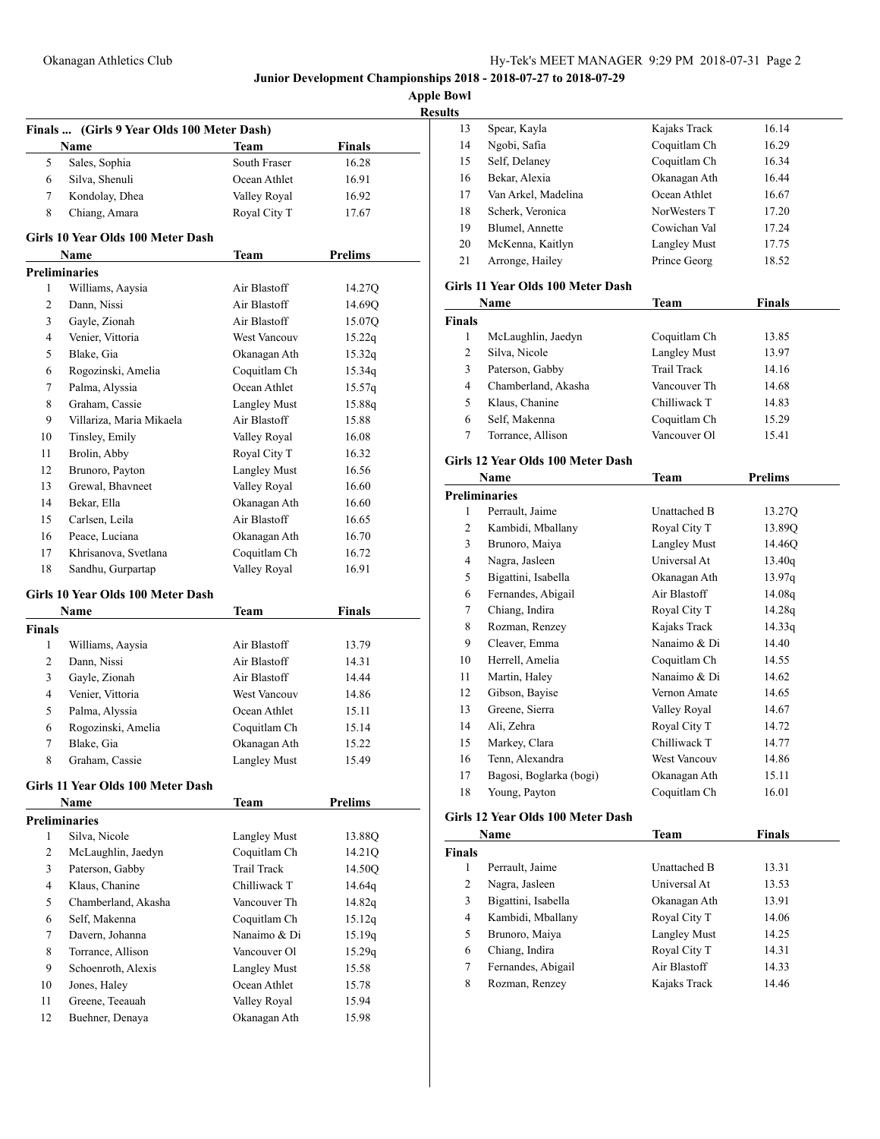**Apple Bowl**

| esn H<br>r v |
|--------------|
|              |

|               | Finals  (Girls 9 Year Olds 100 Meter Dash) |                      |                        |
|---------------|--------------------------------------------|----------------------|------------------------|
| 5             | Name<br>Sales, Sophia                      | Team<br>South Fraser | <b>Finals</b><br>16.28 |
| 6             | Silva, Shenuli                             | Ocean Athlet         | 16.91                  |
| 7             | Kondolay, Dhea                             | Valley Royal         | 16.92                  |
| 8             | Chiang, Amara                              | Royal City T         | 17.67                  |
|               |                                            |                      |                        |
|               | Girls 10 Year Olds 100 Meter Dash          |                      |                        |
|               | Name                                       | <b>Team</b>          | <b>Prelims</b>         |
|               | <b>Preliminaries</b>                       |                      |                        |
| 1             | Williams, Aaysia                           | Air Blastoff         | 14.27Q                 |
| 2             | Dann. Nissi                                | Air Blastoff         | 14.69Q                 |
| 3             | Gayle, Zionah                              | Air Blastoff         | 15.07Q                 |
| 4             | Venier, Vittoria                           | West Vancouv         | 15.22q                 |
| 5             | Blake, Gia                                 | Okanagan Ath         | 15.32q                 |
| 6             | Rogozinski, Amelia                         | Coquitlam Ch         | 15.34q                 |
| 7             | Palma, Alyssia                             | Ocean Athlet         | 15.57q                 |
| 8             | Graham, Cassie                             | Langley Must         | 15.88q                 |
| 9             | Villariza, Maria Mikaela                   | Air Blastoff         | 15.88                  |
| 10            | Tinsley, Emily                             | Valley Royal         | 16.08                  |
| 11            | Brolin, Abby                               | Royal City T         | 16.32                  |
| 12            | Brunoro, Payton                            | Langley Must         | 16.56                  |
| 13            | Grewal, Bhavneet                           | Valley Royal         | 16.60                  |
| 14            | Bekar, Ella                                | Okanagan Ath         | 16.60                  |
| 15            | Carlsen, Leila                             | Air Blastoff         | 16.65                  |
| 16            | Peace, Luciana                             | Okanagan Ath         | 16.70                  |
| 17            | Khrisanova, Svetlana                       | Coquitlam Ch         | 16.72                  |
| 18            | Sandhu, Gurpartap                          | Valley Royal         | 16.91                  |
|               | Girls 10 Year Olds 100 Meter Dash          |                      |                        |
|               | Name                                       | <b>Team</b>          | <b>Finals</b>          |
| <b>Finals</b> |                                            |                      |                        |
| 1             | Williams, Aaysia                           | Air Blastoff         | 13.79                  |
| 2             | Dann, Nissi                                | Air Blastoff         | 14.31                  |
| 3             | Gayle, Zionah                              | Air Blastoff         | 14.44                  |
| 4             | Venier, Vittoria                           | West Vancouv         | 14.86                  |
| 5             | Palma, Alyssia                             | Ocean Athlet         | 15.11                  |
| 6             | Rogozinski, Amelia                         | Coquitlam Ch         | 15.14                  |
| 7             | Blake, Gia                                 | Okanagan Ath         | 15.22                  |
| 8             | Graham, Cassie                             | Langley Must         | 15.49                  |
|               | Girls 11 Year Olds 100 Meter Dash          |                      |                        |
|               | Name                                       | <b>Team</b>          | <b>Prelims</b>         |
|               | <b>Preliminaries</b>                       |                      |                        |
| 1             | Silva, Nicole                              | <b>Langley Must</b>  | 13.88Q                 |
| 2             | McLaughlin, Jaedyn                         | Coquitlam Ch         | 14.21Q                 |
| 3             | Paterson, Gabby                            | <b>Trail Track</b>   | 14.50Q                 |
| 4             | Klaus, Chanine                             | Chilliwack T         | 14.64q                 |
| 5             | Chamberland, Akasha                        | Vancouver Th         | 14.82q                 |
| 6             | Self, Makenna                              | Coquitlam Ch         | 15.12q                 |
| 7             | Davern, Johanna                            | Nanaimo & Di         | 15.19q                 |
| 8             | Torrance, Allison                          | Vancouver Ol         | 15.29q                 |
| 9             | Schoenroth, Alexis                         | <b>Langley Must</b>  | 15.58                  |
| 10            | Jones, Haley                               | Ocean Athlet         | 15.78                  |
| 11            | Greene, Teeauah                            | Valley Royal         | 15.94                  |
| 12            | Buehner, Denaya                            | Okanagan Ath         | 15.98                  |

| 13 | Spear, Kayla        | Kajaks Track        | 16.14 |  |
|----|---------------------|---------------------|-------|--|
| 14 | Ngobi, Safia        | Coquitlam Ch        | 16.29 |  |
| 15 | Self, Delaney       | Coquitlam Ch        | 16.34 |  |
| 16 | Bekar, Alexia       | Okanagan Ath        | 16.44 |  |
| 17 | Van Arkel, Madelina | Ocean Athlet        | 16.67 |  |
| 18 | Scherk, Veronica    | NorWesters T        | 17.20 |  |
| 19 | Blumel, Annette     | Cowichan Val        | 17.24 |  |
| 20 | McKenna, Kaitlyn    | <b>Langley Must</b> | 17.75 |  |
| 21 | Arronge, Hailey     | Prince Georg        | 18.52 |  |
|    |                     |                     |       |  |

## **Girls 11 Year Olds 100 Meter Dash**

| Name          |                     | Team         | <b>Finals</b> |  |
|---------------|---------------------|--------------|---------------|--|
| <b>Finals</b> |                     |              |               |  |
|               | McLaughlin, Jaedyn  | Coquitlam Ch | 13.85         |  |
| 2             | Silva, Nicole       | Langley Must | 13.97         |  |
| 3             | Paterson, Gabby     | Trail Track  | 14.16         |  |
| 4             | Chamberland, Akasha | Vancouver Th | 14.68         |  |
| 5             | Klaus, Chanine      | Chilliwack T | 14.83         |  |
| 6             | Self, Makenna       | Coquitlam Ch | 15.29         |  |
|               | Torrance, Allison   | Vancouver Ol | 15.41         |  |
|               |                     |              |               |  |

# **Girls 12 Year Olds 100 Meter Dash**

|                | Name                    | Team                | Prelims |  |
|----------------|-------------------------|---------------------|---------|--|
|                | <b>Preliminaries</b>    |                     |         |  |
| 1              | Perrault, Jaime         | Unattached B        | 13.27Q  |  |
| $\overline{c}$ | Kambidi, Mballany       | Royal City T        | 13.89O  |  |
| 3              | Brunoro, Maiya          | <b>Langley Must</b> | 14.46Q  |  |
| 4              | Nagra, Jasleen          | Universal At        | 13.40q  |  |
| 5              | Bigattini, Isabella     | Okanagan Ath        | 13.97q  |  |
| 6              | Fernandes, Abigail      | Air Blastoff        | 14.08q  |  |
| 7              | Chiang, Indira          | Royal City T        | 14.28q  |  |
| 8              | Rozman, Renzey          | Kajaks Track        | 14.33q  |  |
| 9              | Cleaver, Emma           | Nanaimo & Di        | 14.40   |  |
| 10             | Herrell, Amelia         | Coquitlam Ch        | 14.55   |  |
| 11             | Martin, Haley           | Nanaimo & Di        | 14.62   |  |
| 12             | Gibson, Bayise          | Vernon Amate        | 14.65   |  |
| 13             | Greene, Sierra          | Valley Royal        | 14.67   |  |
| 14             | Ali, Zehra              | Royal City T        | 14.72   |  |
| 15             | Markey, Clara           | Chilliwack T        | 14.77   |  |
| 16             | Tenn, Alexandra         | West Vancouv        | 14.86   |  |
| 17             | Bagosi, Boglarka (bogi) | Okanagan Ath        | 15.11   |  |
| 18             | Young, Payton           | Coquitlam Ch        | 16.01   |  |

### **Girls 12 Year Olds 100 Meter Dash**

| Name          |                     | Team         | Finals |  |
|---------------|---------------------|--------------|--------|--|
| <b>Finals</b> |                     |              |        |  |
|               | Perrault, Jaime     | Unattached B | 13.31  |  |
| 2             | Nagra, Jasleen      | Universal At | 13.53  |  |
| 3             | Bigattini, Isabella | Okanagan Ath | 13.91  |  |
| 4             | Kambidi, Mballany   | Royal City T | 14.06  |  |
| 5             | Brunoro, Maiya      | Langley Must | 14.25  |  |
| 6             | Chiang, Indira      | Royal City T | 14.31  |  |
| 7             | Fernandes, Abigail  | Air Blastoff | 14.33  |  |
| 8             | Rozman, Renzey      | Kajaks Track | 14.46  |  |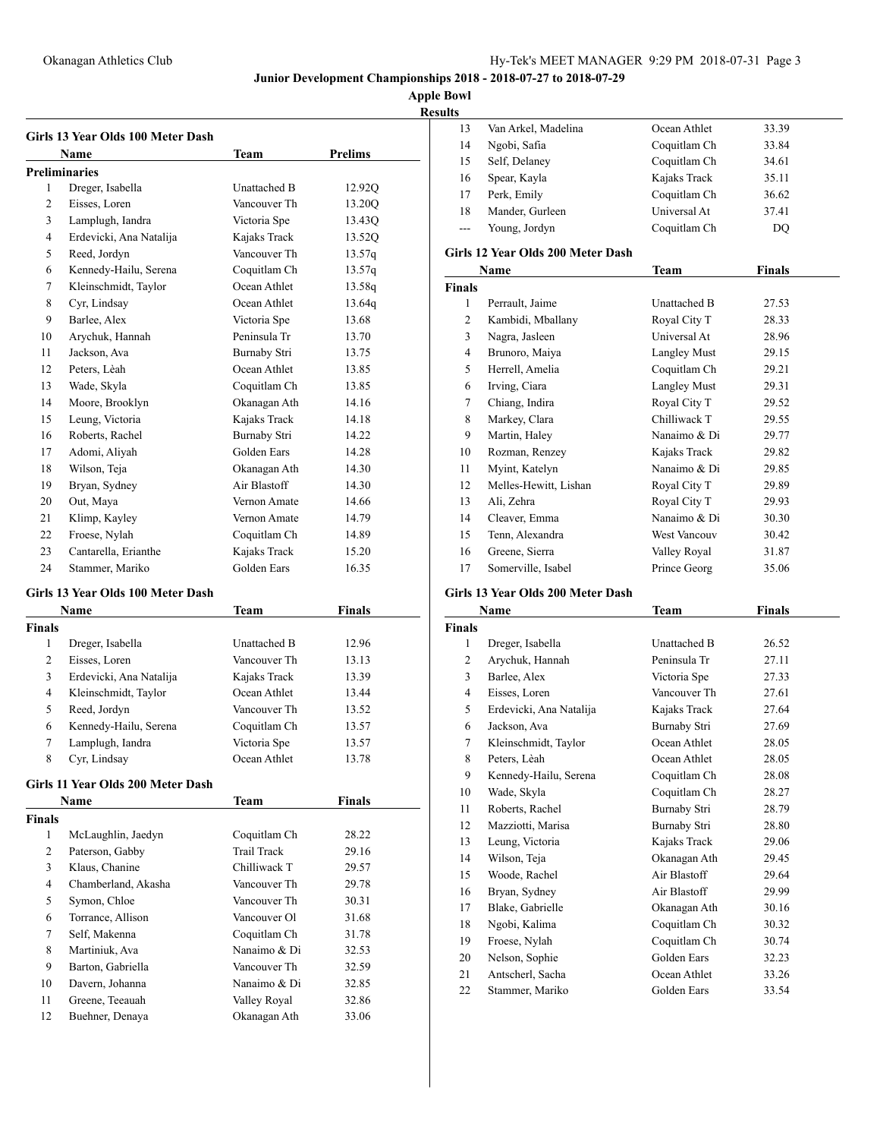### **Apple Bowl Results**

|                | Name                    | Team         | Prelims |
|----------------|-------------------------|--------------|---------|
|                | <b>Preliminaries</b>    |              |         |
| 1              | Dreger, Isabella        | Unattached B | 12.920  |
| $\overline{2}$ | Eisses, Loren           | Vancouver Th | 13.20Q  |
| 3              | Lamplugh, Iandra        | Victoria Spe | 13.43Q  |
| 4              | Erdevicki, Ana Natalija | Kajaks Track | 13.52Q  |
| 5              | Reed, Jordyn            | Vancouver Th | 13.57q  |
| 6              | Kennedy-Hailu, Serena   | Coquitlam Ch | 13.57q  |
| 7              | Kleinschmidt, Taylor    | Ocean Athlet | 13.58g  |
| 8              | Cyr, Lindsay            | Ocean Athlet | 13.64q  |
| 9              | Barlee, Alex            | Victoria Spe | 13.68   |
| 10             | Arychuk, Hannah         | Peninsula Tr | 13.70   |
| 11             | Jackson, Ava            | Burnaby Stri | 13.75   |
| 12             | Peters, Lèah            | Ocean Athlet | 13.85   |
| 13             | Wade, Skyla             | Coquitlam Ch | 13.85   |
| 14             | Moore, Brooklyn         | Okanagan Ath | 14.16   |
| 15             | Leung, Victoria         | Kajaks Track | 14.18   |
| 16             | Roberts, Rachel         | Burnaby Stri | 14.22   |
| 17             | Adomi, Aliyah           | Golden Ears  | 14.28   |
| 18             | Wilson, Teja            | Okanagan Ath | 14.30   |
| 19             | Bryan, Sydney           | Air Blastoff | 14.30   |
| 20             | Out, Maya               | Vernon Amate | 14.66   |
| 21             | Klimp, Kayley           | Vernon Amate | 14.79   |
| 22             | Froese, Nylah           | Coquitlam Ch | 14.89   |
| 23             | Cantarella, Erianthe    | Kajaks Track | 15.20   |
| 24             | Stammer, Mariko         | Golden Ears  | 16.35   |

#### **Girls 13 Year Olds 100 Meter Dash**

| <b>Name</b> |                         | <b>Team</b>  | <b>Finals</b> |  |
|-------------|-------------------------|--------------|---------------|--|
| Finals      |                         |              |               |  |
| 1           | Dreger, Isabella        | Unattached B | 12.96         |  |
| 2           | Eisses, Loren           | Vancouver Th | 13.13         |  |
| 3           | Erdevicki, Ana Natalija | Kajaks Track | 13.39         |  |
| 4           | Kleinschmidt, Taylor    | Ocean Athlet | 13.44         |  |
| 5           | Reed, Jordyn            | Vancouver Th | 13.52         |  |
| 6           | Kennedy-Hailu, Serena   | Coquitlam Ch | 13.57         |  |
| 7           | Lamplugh, Iandra        | Victoria Spe | 13.57         |  |
| 8           | Cyr, Lindsay            | Ocean Athlet | 13.78         |  |

### **Girls 11 Year Olds 200 Meter Dash**

| <b>Name</b>   |                     | <b>Team</b>  | <b>Finals</b> |  |
|---------------|---------------------|--------------|---------------|--|
| <b>Finals</b> |                     |              |               |  |
| 1             | McLaughlin, Jaedyn  | Coquitlam Ch | 28.22         |  |
| 2             | Paterson, Gabby     | Trail Track  | 29.16         |  |
| 3             | Klaus, Chanine      | Chilliwack T | 29.57         |  |
| 4             | Chamberland, Akasha | Vancouver Th | 29.78         |  |
| 5             | Symon, Chloe        | Vancouver Th | 30.31         |  |
| 6             | Torrance, Allison   | Vancouver Ol | 31.68         |  |
| 7             | Self, Makenna       | Coquitlam Ch | 31.78         |  |
| 8             | Martiniuk, Ava      | Nanaimo & Di | 32.53         |  |
| 9             | Barton, Gabriella   | Vancouver Th | 32.59         |  |
| 10            | Davern, Johanna     | Nanaimo & Di | 32.85         |  |
| 11            | Greene, Teeauah     | Valley Royal | 32.86         |  |
| 12            | Buehner, Denava     | Okanagan Ath | 33.06         |  |

| . .   |                     |              |       |
|-------|---------------------|--------------|-------|
| 13    | Van Arkel, Madelina | Ocean Athlet | 33.39 |
| 14    | Ngobi, Safia        | Coquitlam Ch | 33.84 |
| 15    | Self, Delaney       | Coquitlam Ch | 34.61 |
| 16    | Spear, Kayla        | Kajaks Track | 35.11 |
| 17    | Perk, Emily         | Coquitlam Ch | 36.62 |
| 18    | Mander, Gurleen     | Universal At | 37.41 |
| $---$ | Young, Jordyn       | Coquitlam Ch | DO    |
|       |                     |              |       |

#### **Girls 12 Year Olds 200 Meter Dash**

|               | Name                  | <b>Team</b>         | Finals |  |
|---------------|-----------------------|---------------------|--------|--|
| <b>Finals</b> |                       |                     |        |  |
| 1             | Perrault, Jaime       | <b>Unattached B</b> | 27.53  |  |
| 2             | Kambidi, Mballany     | Royal City T        | 28.33  |  |
| 3             | Nagra, Jasleen        | Universal At        | 28.96  |  |
| 4             | Brunoro, Maiya        | <b>Langley Must</b> | 29.15  |  |
| 5             | Herrell, Amelia       | Coquitlam Ch        | 29.21  |  |
| 6             | Irving, Ciara         | <b>Langley Must</b> | 29.31  |  |
| 7             | Chiang, Indira        | Royal City T        | 29.52  |  |
| 8             | Markey, Clara         | Chilliwack T        | 29.55  |  |
| 9             | Martin, Haley         | Nanaimo & Di        | 29.77  |  |
| 10            | Rozman, Renzey        | Kajaks Track        | 29.82  |  |
| 11            | Myint, Katelyn        | Nanaimo & Di        | 29.85  |  |
| 12            | Melles-Hewitt, Lishan | Royal City T        | 29.89  |  |
| 13            | Ali, Zehra            | Royal City T        | 29.93  |  |
| 14            | Cleaver, Emma         | Nanaimo & Di        | 30.30  |  |
| 15            | Tenn, Alexandra       | <b>West Vancouv</b> | 30.42  |  |
| 16            | Greene, Sierra        | Valley Royal        | 31.87  |  |
| 17            | Somerville, Isabel    | Prince Georg        | 35.06  |  |

# **Girls 13 Year Olds 200 Meter Dash**

|                | Name                    | Team         | Finals |  |
|----------------|-------------------------|--------------|--------|--|
| <b>Finals</b>  |                         |              |        |  |
| 1              | Dreger, Isabella        | Unattached B | 26.52  |  |
| $\overline{2}$ | Arychuk, Hannah         | Peninsula Tr | 27.11  |  |
| 3              | Barlee, Alex            | Victoria Spe | 27.33  |  |
| $\overline{4}$ | Eisses, Loren           | Vancouver Th | 27.61  |  |
| 5              | Erdevicki, Ana Natalija | Kajaks Track | 27.64  |  |
| 6              | Jackson, Ava            | Burnaby Stri | 27.69  |  |
| 7              | Kleinschmidt, Taylor    | Ocean Athlet | 28.05  |  |
| 8              | Peters, Lèah            | Ocean Athlet | 28.05  |  |
| 9              | Kennedy-Hailu, Serena   | Coquitlam Ch | 28.08  |  |
| 10             | Wade, Skyla             | Coquitlam Ch | 28.27  |  |
| 11             | Roberts, Rachel         | Burnaby Stri | 28.79  |  |
| 12             | Mazziotti, Marisa       | Burnaby Stri | 28.80  |  |
| 13             | Leung, Victoria         | Kajaks Track | 29.06  |  |
| 14             | Wilson, Teja            | Okanagan Ath | 29.45  |  |
| 15             | Woode, Rachel           | Air Blastoff | 29.64  |  |
| 16             | Bryan, Sydney           | Air Blastoff | 29.99  |  |
| 17             | Blake, Gabrielle        | Okanagan Ath | 30.16  |  |
| 18             | Ngobi, Kalima           | Coquitlam Ch | 30.32  |  |
| 19             | Froese, Nylah           | Coquitlam Ch | 30.74  |  |
| 20             | Nelson, Sophie          | Golden Ears  | 32.23  |  |
| 21             | Antscherl, Sacha        | Ocean Athlet | 33.26  |  |
| 22             | Stammer. Mariko         | Golden Ears  | 33.54  |  |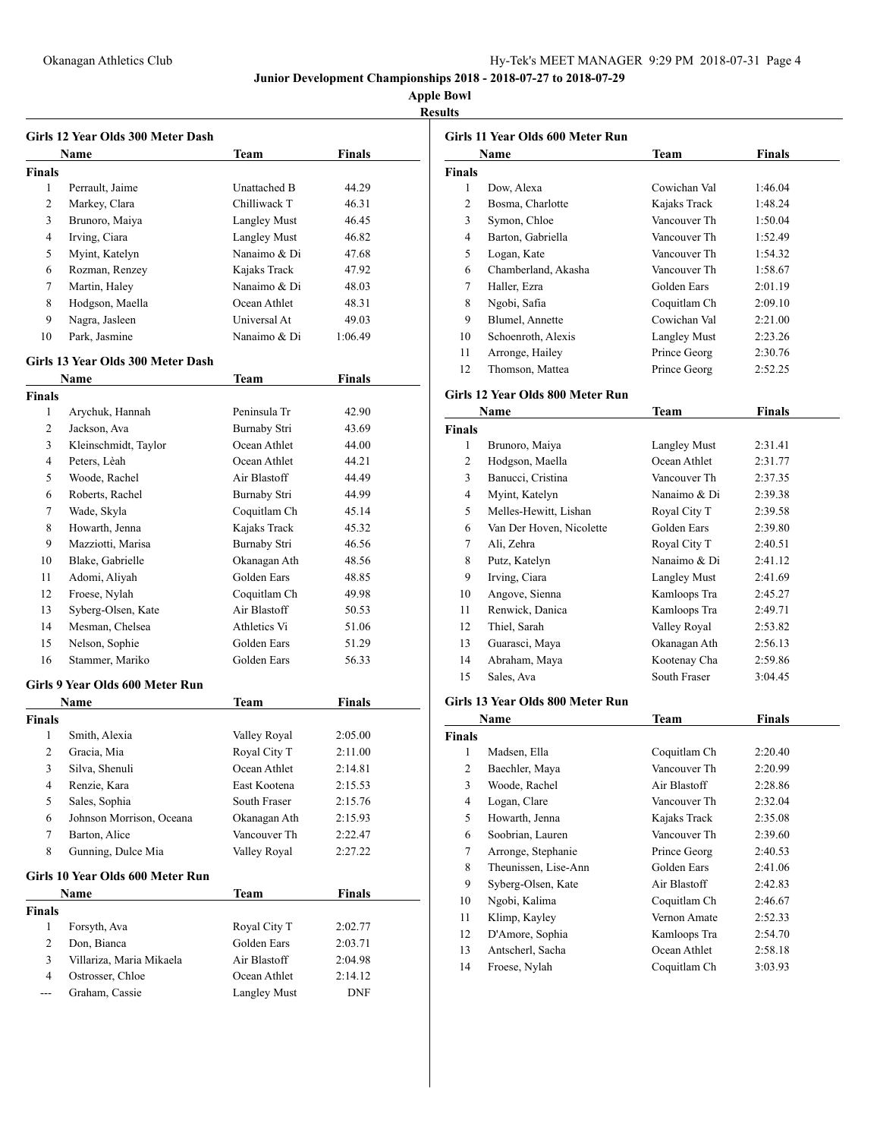**Apple Bowl Results**

|                | Girls 12 Year Olds 300 Meter Dash<br><b>Name</b> | Team                         | <b>Finals</b> |
|----------------|--------------------------------------------------|------------------------------|---------------|
| <b>Finals</b>  |                                                  |                              |               |
| 1              | Perrault, Jaime                                  | Unattached B                 | 44.29         |
| 2              | Markey, Clara                                    | Chilliwack T                 | 46.31         |
| 3              | Brunoro, Maiya                                   | <b>Langley Must</b>          | 46.45         |
| 4              | Irving, Ciara                                    | <b>Langley Must</b>          | 46.82         |
| 5              | Myint, Katelyn                                   | Nanaimo & Di                 | 47.68         |
| 6              |                                                  |                              |               |
| 7              | Rozman, Renzey                                   | Kajaks Track<br>Nanaimo & Di | 47.92         |
|                | Martin, Haley                                    | Ocean Athlet                 | 48.03         |
| 8<br>9         | Hodgson, Maella                                  | Universal At                 | 48.31         |
|                | Nagra, Jasleen                                   |                              | 49.03         |
| 10             | Park, Jasmine                                    | Nanaimo & Di                 | 1:06.49       |
|                | Girls 13 Year Olds 300 Meter Dash                |                              |               |
|                | <b>Name</b>                                      | Team                         | <b>Finals</b> |
| <b>Finals</b>  |                                                  |                              |               |
| 1              | Arychuk, Hannah                                  | Peninsula Tr                 | 42.90         |
| 2              | Jackson, Ava                                     | Burnaby Stri                 | 43.69         |
| 3              | Kleinschmidt, Taylor                             | Ocean Athlet                 | 44.00         |
| 4              | Peters, Lèah                                     | Ocean Athlet                 | 44.21         |
| 5              | Woode, Rachel                                    | Air Blastoff                 | 44.49         |
| 6              | Roberts, Rachel                                  | <b>Burnaby Stri</b>          | 44.99         |
| 7              | Wade, Skyla                                      | Coquitlam Ch                 | 45.14         |
| 8              | Howarth, Jenna                                   | Kajaks Track                 | 45.32         |
| 9              | Mazziotti, Marisa                                | Burnaby Stri                 | 46.56         |
| 10             | Blake, Gabrielle                                 | Okanagan Ath                 | 48.56         |
| 11             | Adomi, Aliyah                                    | Golden Ears                  | 48.85         |
| 12             | Froese, Nylah                                    | Coquitlam Ch                 | 49.98         |
| 13             | Syberg-Olsen, Kate                               | Air Blastoff                 | 50.53         |
| 14             | Mesman, Chelsea                                  | Athletics Vi                 | 51.06         |
| 15             | Nelson, Sophie                                   | Golden Ears                  | 51.29         |
| 16             | Stammer, Mariko                                  | Golden Ears                  | 56.33         |
|                | Girls 9 Year Olds 600 Meter Run                  |                              |               |
|                | Name                                             | Team                         | <b>Finals</b> |
| <b>Finals</b>  |                                                  |                              |               |
| 1              | Smith, Alexia                                    | Valley Royal                 | 2:05.00       |
| $\overline{2}$ | Gracia, Mia                                      | Royal City T                 | 2:11.00       |
| 3              | Silva, Shenuli                                   | Ocean Athlet                 | 2:14.81       |
| 4              | Renzie, Kara                                     | East Kootena                 | 2:15.53       |
| 5              | Sales, Sophia                                    | South Fraser                 | 2:15.76       |
| 6              | Johnson Morrison, Oceana                         | Okanagan Ath                 | 2:15.93       |
| 7              | Barton, Alice                                    | Vancouver Th                 | 2:22.47       |
| 8              | Gunning, Dulce Mia                               | Valley Royal                 | 2:27.22       |
|                |                                                  |                              |               |
|                | Girls 10 Year Olds 600 Meter Run                 |                              |               |
| Finals         | Name                                             | <b>Team</b>                  | <b>Finals</b> |
| 1              | Forsyth, Ava                                     | Royal City T                 | 2:02.77       |
| $\overline{c}$ | Don, Bianca                                      | Golden Ears                  | 2:03.71       |
| 3              | Villariza, Maria Mikaela                         | Air Blastoff                 | 2:04.98       |
| $\overline{4}$ | Ostrosser, Chloe                                 | Ocean Athlet                 | 2:14.12       |
| ---            | Graham, Cassie                                   | <b>Langley Must</b>          | DNF           |
|                |                                                  |                              |               |

|                | Girls 11 Year Olds 600 Meter Run |                     |               |
|----------------|----------------------------------|---------------------|---------------|
|                | Name                             | Team                | <b>Finals</b> |
| <b>Finals</b>  |                                  |                     |               |
| 1              | Dow, Alexa                       | Cowichan Val        | 1:46.04       |
| 2              | Bosma, Charlotte                 | Kajaks Track        | 1:48.24       |
| 3              | Symon, Chloe                     | Vancouver Th        | 1:50.04       |
| 4              | Barton, Gabriella                | Vancouver Th        | 1:52.49       |
| 5              | Logan, Kate                      | Vancouver Th        | 1:54.32       |
| 6              | Chamberland, Akasha              | Vancouver Th        | 1:58.67       |
| 7              | Haller, Ezra                     | Golden Ears         | 2:01.19       |
| 8              | Ngobi, Safia                     | Coquitlam Ch        | 2:09.10       |
| 9              | Blumel, Annette                  | Cowichan Val        | 2:21.00       |
| 10             | Schoenroth, Alexis               | <b>Langley Must</b> | 2:23.26       |
| 11             | Arronge, Hailey                  | Prince Georg        | 2:30.76       |
| 12             | Thomson, Mattea                  | Prince Georg        | 2:52.25       |
|                | Girls 12 Year Olds 800 Meter Run |                     |               |
|                | Name                             | Team                | <b>Finals</b> |
| <b>Finals</b>  |                                  |                     |               |
| 1              | Brunoro, Maiya                   | <b>Langley Must</b> | 2:31.41       |
| 2              | Hodgson, Maella                  | Ocean Athlet        | 2:31.77       |
| 3              | Banucci, Cristina                | Vancouver Th        | 2:37.35       |
| 4              | Myint, Katelyn                   | Nanaimo & Di        | 2:39.38       |
| 5              | Melles-Hewitt, Lishan            | Royal City T        | 2:39.58       |
| 6              | Van Der Hoven, Nicolette         | Golden Ears         | 2:39.80       |
| 7              | Ali, Zehra                       | Royal City T        | 2:40.51       |
| 8              | Putz, Katelyn                    | Nanaimo & Di        | 2:41.12       |
| 9              | Irving, Ciara                    | Langley Must        | 2:41.69       |
| 10             | Angove, Sienna                   | Kamloops Tra        | 2:45.27       |
| 11             | Renwick, Danica                  | Kamloops Tra        | 2:49.71       |
| 12             | Thiel, Sarah                     | Valley Royal        | 2:53.82       |
| 13             | Guarasci, Maya                   | Okanagan Ath        | 2:56.13       |
| 14             | Abraham, Maya                    | Kootenay Cha        | 2:59.86       |
| 15             | Sales, Ava                       | South Fraser        | 3:04.45       |
|                | Girls 13 Year Olds 800 Meter Run |                     |               |
|                | Name                             | Team                | <b>Finals</b> |
| <b>Finals</b>  |                                  |                     |               |
| 1              | Madsen, Ella                     | Coquitlam Ch        | 2:20.40       |
| $\overline{2}$ | Baechler, Maya                   | Vancouver Th        | 2:20.99       |
| 3              | Woode, Rachel                    | Air Blastoff        | 2:28.86       |
| 4              | Logan, Clare                     | Vancouver Th        | 2:32.04       |
| 5              | Howarth, Jenna                   | Kajaks Track        | 2:35.08       |
| 6              | Soobrian, Lauren                 | Vancouver Th        | 2:39.60       |
| 7              | Arronge, Stephanie               | Prince Georg        | 2:40.53       |
| 8              | Theunissen, Lise-Ann             | Golden Ears         | 2:41.06       |
| 9              | Syberg-Olsen, Kate               | Air Blastoff        | 2:42.83       |
| 10             | Ngobi, Kalima                    | Coquitlam Ch        | 2:46.67       |
| 11             | Klimp, Kayley                    | Vernon Amate        | 2:52.33       |
| 12             | D'Amore, Sophia                  | Kamloops Tra        | 2:54.70       |
|                | Antscherl, Sacha                 | Ocean Athlet        | 2:58.18       |
| 13             |                                  |                     |               |
| 14             | Froese, Nylah                    | Coquitlam Ch        | 3:03.93       |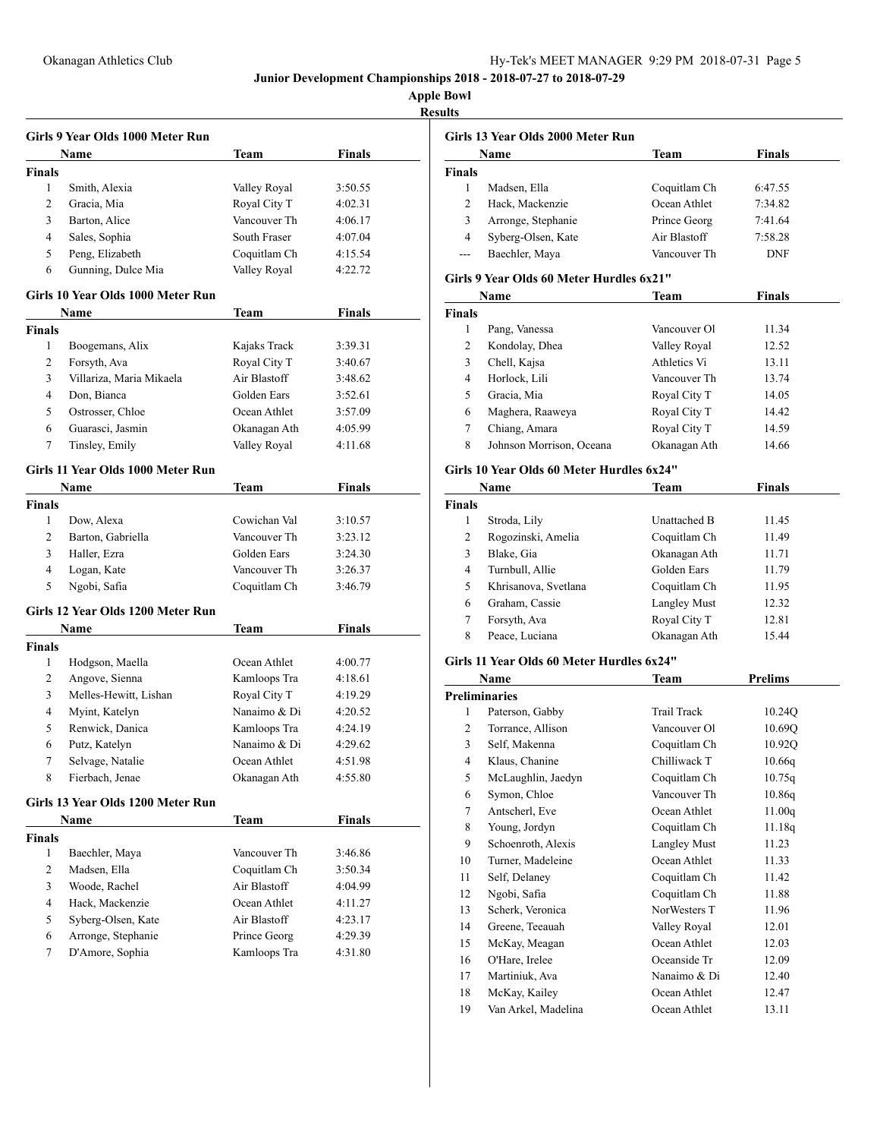| <b>Results</b> |
|----------------|
|----------------|

|                | Girls 9 Year Olds 1000 Meter Run  |              |               |
|----------------|-----------------------------------|--------------|---------------|
|                | Name                              | Team         | <b>Finals</b> |
| <b>Finals</b>  |                                   |              |               |
| 1              | Smith, Alexia                     | Valley Royal | 3:50.55       |
| 2              | Gracia, Mia                       | Royal City T | 4:02.31       |
| 3              | Barton, Alice                     | Vancouver Th | 4:06.17       |
| 4              | Sales, Sophia                     | South Fraser | 4:07.04       |
| 5              | Peng, Elizabeth                   | Coquitlam Ch | 4:15.54       |
| 6              | Gunning, Dulce Mia                | Valley Royal | 4:22.72       |
|                | Girls 10 Year Olds 1000 Meter Run |              |               |
|                | Name                              | Team         | Finals        |
| Finals         |                                   |              |               |
| 1              | Boogemans, Alix                   | Kajaks Track | 3:39.31       |
| 2              | Forsyth, Ava                      | Royal City T | 3:40.67       |
| 3              | Villariza, Maria Mikaela          | Air Blastoff | 3:48.62       |
| 4              | Don, Bianca                       | Golden Ears  | 3:52.61       |
| 5              | Ostrosser, Chloe                  | Ocean Athlet | 3:57.09       |
| 6              | Guarasci, Jasmin                  | Okanagan Ath | 4:05.99       |
| 7              | Tinsley, Emily                    | Valley Royal | 4:11.68       |
|                | Girls 11 Year Olds 1000 Meter Run |              |               |
|                | Name                              | <b>Team</b>  | Finals        |
| <b>Finals</b>  |                                   |              |               |
| 1              | Dow, Alexa                        | Cowichan Val | 3:10.57       |
| 2              | Barton, Gabriella                 | Vancouver Th | 3:23.12       |
| 3              | Haller, Ezra                      | Golden Ears  | 3:24.30       |
| 4              | Logan, Kate                       | Vancouver Th | 3:26.37       |
| 5              | Ngobi, Safia                      | Coquitlam Ch | 3:46.79       |
|                | Girls 12 Year Olds 1200 Meter Run |              |               |
|                | Name                              | Team         | <b>Finals</b> |
| <b>Finals</b>  |                                   |              |               |
| 1              | Hodgson, Maella                   | Ocean Athlet | 4:00.77       |
| 2              | Angove, Sienna                    | Kamloops Tra | 4:18.61       |
| 3              | Melles-Hewitt, Lishan             | Royal City T | 4:19.29       |
| 4              | Myint, Katelyn                    | Nanaimo & Di | 4:20.52       |
| 5              | Renwick, Danica                   | Kamloops Tra | 4:24.19       |
| 6              | Putz, Katelyn                     | Nanaimo & Di | 4:29.62       |
| $\overline{7}$ | Selvage, Natalie                  | Ocean Athlet | 4:51.98       |
| 8              | Fierbach, Jenae                   | Okanagan Ath | 4:55.80       |
|                |                                   |              |               |
|                | Girls 13 Year Olds 1200 Meter Run |              | <b>Finals</b> |
|                | Name                              | Team         |               |
| Finals         |                                   |              |               |
| 1              | Baechler, Maya                    | Vancouver Th | 3:46.86       |
| 2              | Madsen, Ella                      | Coquitlam Ch | 3:50.34       |
| 3              | Woode, Rachel                     | Air Blastoff | 4:04.99       |
| 4              | Hack, Mackenzie                   | Ocean Athlet | 4:11.27       |
| 5              | Syberg-Olsen, Kate                | Air Blastoff | 4:23.17       |
| 6              | Arronge, Stephanie                | Prince Georg | 4:29.39       |
| 7              | D'Amore, Sophia                   | Kamloops Tra | 4:31.80       |

|                | Girls 13 Year Olds 2000 Meter Run         |                     |                |
|----------------|-------------------------------------------|---------------------|----------------|
|                | Name                                      | Team                | <b>Finals</b>  |
| Finals         |                                           |                     |                |
| $\mathbf{1}$   | Madsen, Ella                              | Coquitlam Ch        | 6:47.55        |
| 2              | Hack, Mackenzie                           | Ocean Athlet        | 7:34.82        |
| 3              | Arronge, Stephanie                        | Prince Georg        | 7:41.64        |
| $\overline{4}$ | Syberg-Olsen, Kate                        | Air Blastoff        | 7:58.28        |
| ---            | Baechler, Maya                            | Vancouver Th        | <b>DNF</b>     |
|                | Girls 9 Year Olds 60 Meter Hurdles 6x21"  |                     |                |
|                | Name                                      | Team                | <b>Finals</b>  |
| <b>Finals</b>  |                                           |                     |                |
| 1              | Pang, Vanessa                             | Vancouver Ol        | 11.34          |
| 2              | Kondolay, Dhea                            | Valley Royal        | 12.52          |
| 3              | Chell, Kajsa                              | Athletics Vi        | 13.11          |
| 4              | Horlock, Lili                             | Vancouver Th        | 13.74          |
| 5              | Gracia, Mia                               | Royal City T        | 14.05          |
| 6              | Maghera, Raaweya                          | Royal City T        | 14.42          |
| 7              | Chiang, Amara                             | Royal City T        | 14.59          |
| 8              | Johnson Morrison, Oceana                  | Okanagan Ath        | 14.66          |
|                | Girls 10 Year Olds 60 Meter Hurdles 6x24" |                     |                |
|                | Name                                      | Team                | <b>Finals</b>  |
| <b>Finals</b>  |                                           |                     |                |
| 1              | Stroda, Lily                              | Unattached B        | 11.45          |
| 2              | Rogozinski, Amelia                        | Coquitlam Ch        | 11.49          |
| 3              | Blake, Gia                                | Okanagan Ath        | 11.71          |
| 4              | Turnbull, Allie                           | Golden Ears         | 11.79          |
| 5              | Khrisanova, Svetlana                      | Coquitlam Ch        | 11.95          |
| 6              | Graham, Cassie                            | <b>Langley Must</b> | 12.32          |
| 7              | Forsyth, Ava                              | Royal City T        | 12.81          |
| 8              | Peace, Luciana                            | Okanagan Ath        | 15.44          |
|                | Girls 11 Year Olds 60 Meter Hurdles 6x24" |                     |                |
|                |                                           |                     |                |
|                | Name                                      | Team                | <b>Prelims</b> |
|                | <b>Preliminaries</b>                      | <b>Trail Track</b>  |                |
| 1              | Paterson, Gabby                           |                     | 10.24Q         |
| 2              | Torrance, Allison                         | Vancouver Ol        | 10.69Q         |
| 3              | Self, Makenna                             | Coquitlam Ch        | 10.92Q         |
| 4              | Klaus, Chanine                            | Chilliwack T        | 10.66q         |
| 5              | McLaughlin, Jaedyn                        | Coquitlam Ch        | 10.75q         |
| 6              | Symon, Chloe                              | Vancouver Th        | 10.86q         |
| 7              | Antscherl, Eve                            | Ocean Athlet        | 11.00q         |
| 8              | Young, Jordyn                             | Coquitlam Ch        | 11.18q         |
| 9              | Schoenroth, Alexis                        | Langley Must        | 11.23          |
| 10             | Turner, Madeleine                         | Ocean Athlet        | 11.33          |
| 11             | Self, Delaney                             | Coquitlam Ch        | 11.42          |
| 12             | Ngobi, Safia                              | Coquitlam Ch        | 11.88          |
| 13             | Scherk, Veronica                          | NorWesters T        | 11.96          |
| 14             | Greene, Teeauah                           | Valley Royal        | 12.01          |
| 15             | McKay, Meagan                             | Ocean Athlet        | 12.03          |
| 16             | O'Hare, Irelee                            | Oceanside Tr        | 12.09          |
| 17             | Martiniuk, Ava                            | Nanaimo & Di        | 12.40          |
| 18             | McKay, Kailey                             | Ocean Athlet        | 12.47          |
| 19             | Van Arkel, Madelina                       | Ocean Athlet        | 13.11          |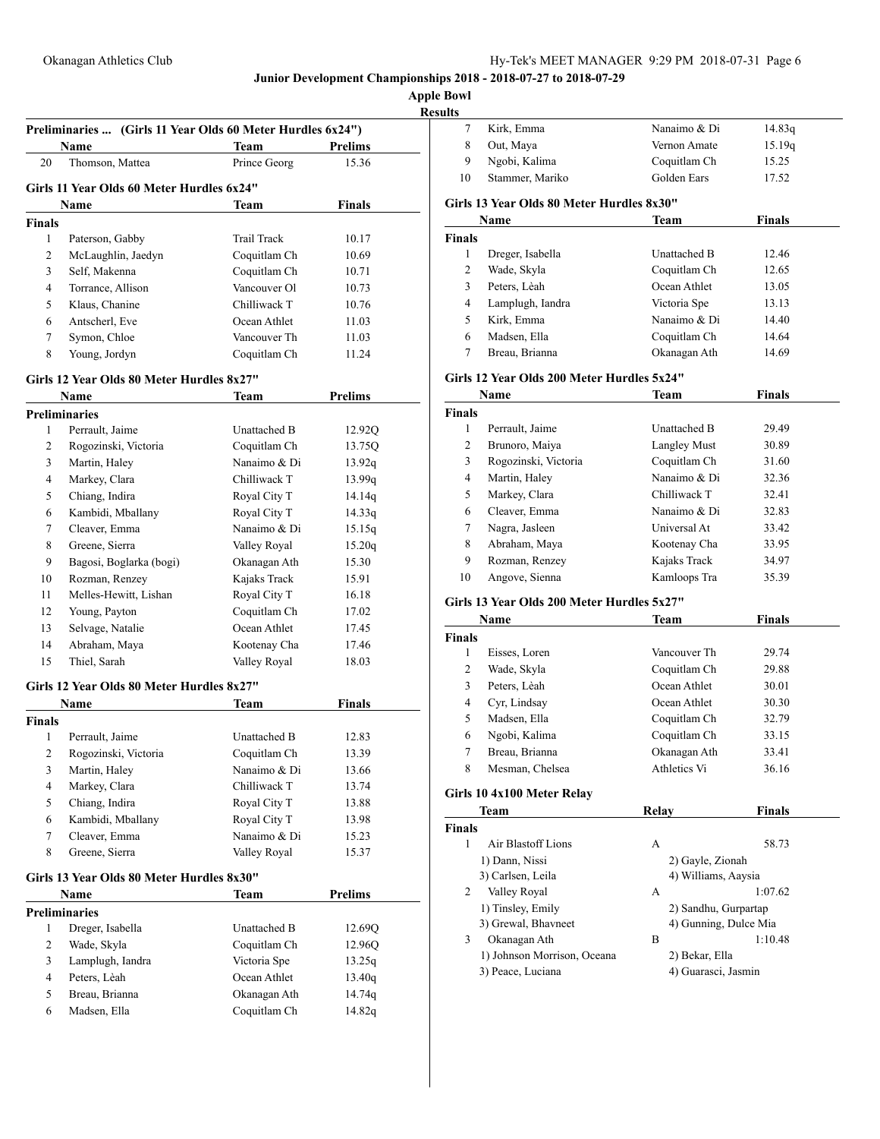**Apple Bowl Results**

|               | Preliminaries  (Girls 11 Year Olds 60 Meter Hurdles 6x24") |                    |                            |
|---------------|------------------------------------------------------------|--------------------|----------------------------|
|               | Name                                                       | Team               | <b>Prelims</b>             |
| 20            | Thomson, Mattea                                            | Prince Georg       | 15.36                      |
|               | Girls 11 Year Olds 60 Meter Hurdles 6x24"                  |                    |                            |
|               | Name                                                       | Team               | Finals                     |
| <b>Finals</b> |                                                            |                    |                            |
| 1             | Paterson, Gabby                                            | <b>Trail Track</b> | 10.17                      |
| 2             | McLaughlin, Jaedyn                                         | Coquitlam Ch       | 10.69                      |
| 3             | Self, Makenna                                              | Coquitlam Ch       | 10.71                      |
| 4             | Torrance, Allison                                          | Vancouver Ol       | 10.73                      |
| 5             | Klaus, Chanine                                             | Chilliwack T       | 10.76                      |
| 6             | Antscherl, Eve                                             | Ocean Athlet       | 11.03                      |
| 7             | Symon, Chloe                                               | Vancouver Th       | 11.03                      |
| 8             | Young, Jordyn                                              | Coquitlam Ch       | 11.24                      |
|               |                                                            |                    |                            |
|               | Girls 12 Year Olds 80 Meter Hurdles 8x27"                  |                    |                            |
|               | Name                                                       | Team               | <b>Prelims</b>             |
|               | <b>Preliminaries</b>                                       |                    |                            |
| 1             | Perrault, Jaime                                            | Unattached B       | 12.92Q                     |
| 2             | Rogozinski, Victoria                                       | Coquitlam Ch       | 13.75Q                     |
| 3             | Martin, Haley                                              | Nanaimo & Di       | 13.92q                     |
| 4             | Markey, Clara                                              | Chilliwack T       | 13.99q                     |
| 5             | Chiang, Indira                                             | Royal City T       | 14.14q                     |
| 6             | Kambidi, Mballany                                          | Royal City T       | 14.33q                     |
| 7             | Cleaver, Emma                                              | Nanaimo & Di       | 15.15q                     |
| 8             | Greene, Sierra                                             | Valley Royal       | 15.20q                     |
| 9             | Bagosi, Boglarka (bogi)                                    | Okanagan Ath       | 15.30                      |
| 10            | Rozman, Renzey                                             | Kajaks Track       | 15.91                      |
| 11            | Melles-Hewitt, Lishan                                      | Royal City T       | 16.18                      |
| 12            | Young, Payton                                              | Coquitlam Ch       | 17.02                      |
| 13            | Selvage, Natalie                                           | Ocean Athlet       | 17.45                      |
| 14            | Abraham, Maya                                              | Kootenay Cha       | 17.46                      |
| 15            | Thiel, Sarah                                               | Valley Royal       | 18.03                      |
|               | Girls 12 Year Olds 80 Meter Hurdles 8x27"                  |                    |                            |
|               | Name                                                       | Team               | Finals                     |
| <b>Finals</b> |                                                            |                    |                            |
|               | 1 Perrault, Jaime                                          | Unattached B       | 12.83                      |
| 2             | Rogozinski, Victoria                                       | Coquitlam Ch       | 13.39                      |
| 3             | Martin, Haley                                              | Nanaimo & Di       | 13.66                      |
| 4             | Markey, Clara                                              | Chilliwack T       | 13.74                      |
| 5             | Chiang, Indira                                             | Royal City T       | 13.88                      |
| 6             | Kambidi, Mballany                                          | Royal City T       | 13.98                      |
| 7             | Cleaver, Emma                                              | Nanaimo & Di       | 15.23                      |
| 8             | Greene, Sierra                                             | Valley Royal       | 15.37                      |
|               |                                                            |                    |                            |
|               | Girls 13 Year Olds 80 Meter Hurdles 8x30"                  |                    |                            |
|               | Name                                                       | <b>Team</b>        | Prelims                    |
|               | <b>Preliminaries</b>                                       |                    |                            |
|               | Dreger, Isabella                                           | Unattached B       | 12.69Q                     |
| 1             |                                                            | Coquitlam Ch       | 12.96Q                     |
| 2             | Wade, Skyla                                                |                    |                            |
| 3             | Lamplugh, Iandra                                           | Victoria Spe       |                            |
| 4             | Peters, Lèah                                               | Ocean Athlet       |                            |
| 5             | Breau, Brianna                                             | Okanagan Ath       | 13.25q<br>13.40q<br>14.74q |

| 7                  | Kirk, Emma                                 | Nanaimo & Di                                  | 14.83q         |  |
|--------------------|--------------------------------------------|-----------------------------------------------|----------------|--|
| 8                  | Out, Maya                                  | Vernon Amate                                  | 15.19q         |  |
| 9                  | Ngobi, Kalima                              | Coquitlam Ch                                  | 15.25          |  |
| 10                 | Stammer, Mariko                            | Golden Ears                                   | 17.52          |  |
|                    |                                            |                                               |                |  |
|                    | Girls 13 Year Olds 80 Meter Hurdles 8x30"  |                                               |                |  |
|                    | Name                                       | Team                                          | <b>Finals</b>  |  |
| <b>Finals</b>      |                                            |                                               |                |  |
| 1                  | Dreger, Isabella                           | Unattached B                                  | 12.46          |  |
| 2                  | Wade, Skyla                                | Coquitlam Ch                                  | 12.65          |  |
| 3                  | Peters, Lèah                               | Ocean Athlet                                  | 13.05          |  |
| 4                  | Lamplugh, Iandra                           | Victoria Spe                                  | 13.13          |  |
| 5                  | Kirk, Emma                                 | Nanaimo & Di                                  | 14.40          |  |
| 6                  | Madsen, Ella                               | Coquitlam Ch                                  | 14.64          |  |
| 7                  | Breau, Brianna                             | Okanagan Ath                                  | 14.69          |  |
|                    | Girls 12 Year Olds 200 Meter Hurdles 5x24" |                                               |                |  |
|                    | Name                                       | Team                                          | <b>Finals</b>  |  |
| <b>Finals</b>      |                                            |                                               |                |  |
| 1                  | Perrault, Jaime                            | Unattached B                                  | 29.49          |  |
| 2                  | Brunoro, Maiya                             | <b>Langley Must</b>                           | 30.89          |  |
| 3                  | Rogozinski, Victoria                       | Coquitlam Ch                                  | 31.60          |  |
| 4                  | Martin, Haley                              | Nanaimo & Di                                  | 32.36          |  |
| 5                  | Markey, Clara                              | Chilliwack T                                  | 32.41          |  |
| 6                  | Cleaver, Emma                              | Nanaimo & Di                                  | 32.83          |  |
| 7                  | Nagra, Jasleen                             | Universal At                                  | 33.42          |  |
| 8                  | Abraham, Maya                              | Kootenay Cha                                  | 33.95          |  |
| 9                  | Rozman, Renzey                             | Kajaks Track                                  | 34.97          |  |
| 10                 | Angove, Sienna                             | Kamloops Tra                                  | 35.39          |  |
|                    | Girls 13 Year Olds 200 Meter Hurdles 5x27" |                                               |                |  |
|                    |                                            | <b>Team</b>                                   | <b>Finals</b>  |  |
|                    |                                            |                                               |                |  |
|                    | Name                                       |                                               |                |  |
| <b>Finals</b><br>1 |                                            | Vancouver Th                                  |                |  |
| $\overline{c}$     | Eisses, Loren                              |                                               | 29.74          |  |
| 3                  | Wade, Skyla<br>Peters, Lèah                | Coquitlam Ch<br>Ocean Athlet                  | 29.88          |  |
| 4                  |                                            | Ocean Athlet                                  | 30.01<br>30.30 |  |
| 5                  | Cyr, Lindsay                               |                                               | 32.79          |  |
| 6                  | Madsen, Ella                               | Coquitlam Ch                                  | 33.15          |  |
| 7                  | Ngobi, Kalima<br>Breau, Brianna            | Coquitlam Ch<br>Okanagan Ath                  | 33.41          |  |
| 8                  | Mesman, Chelsea                            | Athletics Vi                                  | 36.16          |  |
|                    |                                            |                                               |                |  |
|                    | Girls 10 4x100 Meter Relay                 |                                               |                |  |
|                    | Team                                       | <b>Relay</b>                                  | <b>Finals</b>  |  |
| <b>Finals</b>      |                                            |                                               |                |  |
| 1                  | Air Blastoff Lions                         | А                                             | 58.73          |  |
|                    | 1) Dann, Nissi                             | 2) Gayle, Zionah                              |                |  |
| 2                  | 3) Carlsen, Leila                          | 4) Williams, Aaysia<br>А                      | 1:07.62        |  |
|                    | Valley Royal                               |                                               |                |  |
|                    | 1) Tinsley, Emily<br>3) Grewal, Bhavneet   | 2) Sandhu, Gurpartap<br>4) Gunning, Dulce Mia |                |  |
| 3                  | Okanagan Ath                               | B                                             | 1:10.48        |  |
|                    | 1) Johnson Morrison, Oceana                | 2) Bekar, Ella                                |                |  |
|                    | 3) Peace, Luciana                          | 4) Guarasci, Jasmin                           |                |  |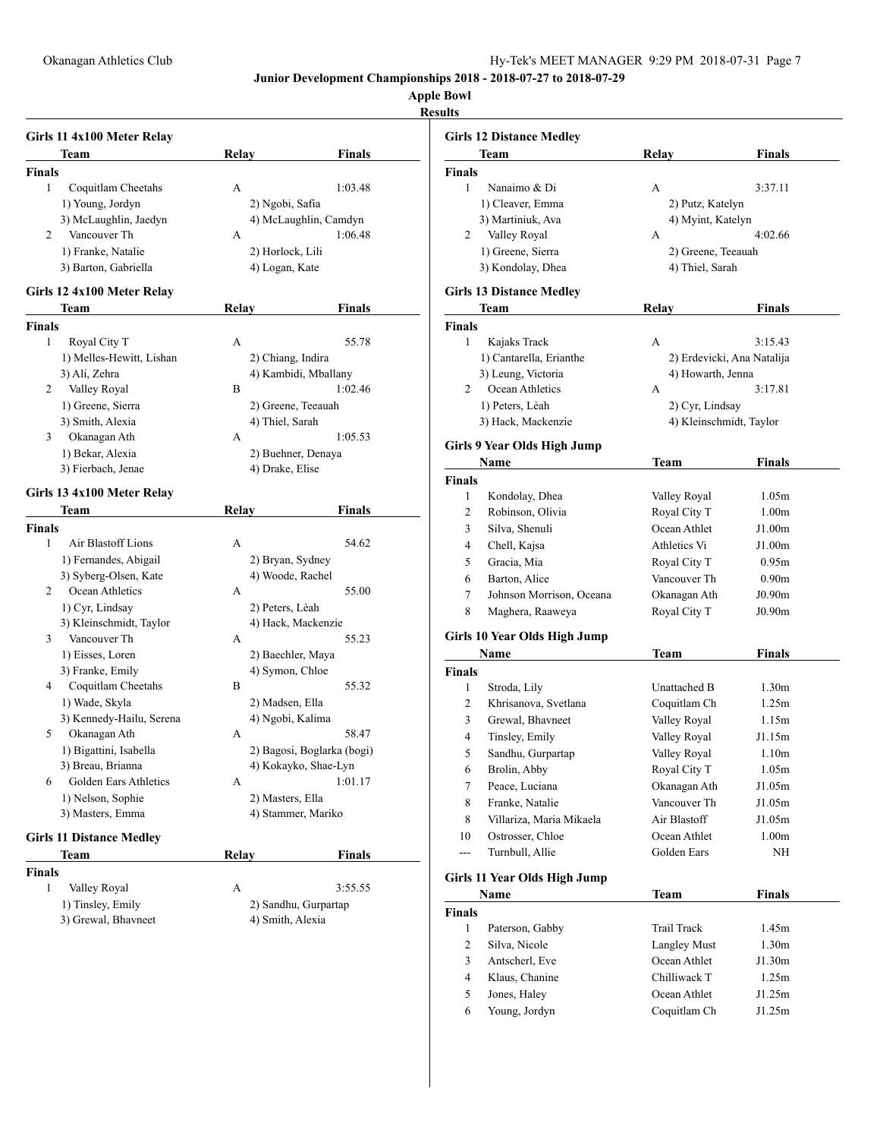**Apple Bowl**

**Results**

|               | Girls 11 4x100 Meter Relay      |                   |                            |
|---------------|---------------------------------|-------------------|----------------------------|
|               | Team                            | Relay             | <b>Finals</b>              |
| <b>Finals</b> |                                 |                   |                            |
| 1             | Coquitlam Cheetahs              | А                 | 1:03.48                    |
|               | 1) Young, Jordyn                | 2) Ngobi, Safia   |                            |
|               | 3) McLaughlin, Jaedyn           |                   | 4) McLaughlin, Camdyn      |
| 2             | Vancouver Th                    | A                 | 1:06.48                    |
|               | 1) Franke, Natalie              | 2) Horlock, Lili  |                            |
|               | 3) Barton, Gabriella            | 4) Logan, Kate    |                            |
|               | Girls 12 4x100 Meter Relay      |                   |                            |
|               | Team                            | Relay             | Finals                     |
| <b>Finals</b> |                                 |                   |                            |
| 1             | Royal City T                    | A                 | 55.78                      |
|               | 1) Melles-Hewitt, Lishan        | 2) Chiang, Indira |                            |
|               | 3) Ali, Zehra                   |                   | 4) Kambidi, Mballany       |
| 2             | Valley Royal                    | B                 | 1:02.46                    |
|               |                                 |                   |                            |
|               | 1) Greene, Sierra               | 4) Thiel, Sarah   | 2) Greene, Teeauah         |
| 3             | 3) Smith, Alexia                | A                 | 1:05.53                    |
|               | Okanagan Ath                    |                   |                            |
|               | 1) Bekar, Alexia                |                   | 2) Buehner, Denaya         |
|               | 3) Fierbach, Jenae              | 4) Drake, Elise   |                            |
|               | Girls 13 4x100 Meter Relay      |                   |                            |
|               | Team                            | <b>Relay</b>      | <b>Finals</b>              |
| <b>Finals</b> |                                 |                   |                            |
| 1             | Air Blastoff Lions              | A                 | 54.62                      |
|               | 1) Fernandes, Abigail           | 2) Bryan, Sydney  |                            |
|               | 3) Syberg-Olsen, Kate           | 4) Woode, Rachel  |                            |
| 2             | Ocean Athletics                 | A                 | 55.00                      |
|               | 1) Cyr, Lindsay                 | 2) Peters, Lèah   |                            |
|               | 3) Kleinschmidt, Taylor         |                   | 4) Hack, Mackenzie         |
| 3             | Vancouver Th                    | A                 | 55.23                      |
|               | 1) Eisses, Loren                |                   | 2) Baechler, Maya          |
|               | 3) Franke, Emily                | 4) Symon, Chloe   |                            |
| 4             | Coquitlam Cheetahs              | В                 | 55.32                      |
|               | 1) Wade, Skyla                  | 2) Madsen, Ella   |                            |
|               | 3) Kennedy-Hailu, Serena        | 4) Ngobi, Kalima  |                            |
| 5             | Okanagan Ath                    | А                 | 58.47                      |
|               | 1) Bigattini, Isabella          |                   | 2) Bagosi, Boglarka (bogi) |
|               | 3) Breau, Brianna               |                   | 4) Kokayko, Shae-Lyn       |
| 6             | Golden Ears Athletics           | А                 | 1:01.17                    |
|               | 1) Nelson, Sophie               | 2) Masters, Ella  |                            |
|               | 3) Masters, Emma                |                   | 4) Stammer, Mariko         |
|               |                                 |                   |                            |
|               | <b>Girls 11 Distance Medley</b> |                   |                            |
|               | Team                            | Relay             | Finals                     |
| Finals        |                                 |                   |                            |
| 1             | Valley Royal                    | А                 | 3:55.55                    |
|               | 1) Tinsley, Emily               |                   | 2) Sandhu, Gurpartap       |
|               | 3) Grewal, Bhavneet             | 4) Smith, Alexia  |                            |
|               |                                 |                   |                            |
|               |                                 |                   |                            |
|               |                                 |                   |                            |

|                | <b>Girls 12 Distance Medley</b> |                            |                   |
|----------------|---------------------------------|----------------------------|-------------------|
|                | Team                            | Relay                      | <b>Finals</b>     |
| <b>Finals</b>  |                                 |                            |                   |
| 1              | Nanaimo & Di                    | A                          | 3:37.11           |
|                | 1) Cleaver, Emma                | 2) Putz, Katelyn           |                   |
|                | 3) Martiniuk, Ava               | 4) Myint, Katelyn          |                   |
| 2              | Valley Royal                    | A                          | 4:02.66           |
|                | 1) Greene, Sierra               | 2) Greene, Teeauah         |                   |
|                | 3) Kondolay, Dhea               | 4) Thiel, Sarah            |                   |
|                | <b>Girls 13 Distance Medley</b> |                            |                   |
|                | Team                            | <b>Relay</b>               | <b>Finals</b>     |
| <b>Finals</b>  |                                 |                            |                   |
| 1              | Kajaks Track                    | A                          | 3:15.43           |
|                | 1) Cantarella, Erianthe         | 2) Erdevicki, Ana Natalija |                   |
|                | 3) Leung, Victoria              | 4) Howarth, Jenna          |                   |
| 2              | Ocean Athletics                 | A                          | 3:17.81           |
|                | 1) Peters, Lèah                 | 2) Cyr, Lindsay            |                   |
|                | 3) Hack, Mackenzie              | 4) Kleinschmidt, Taylor    |                   |
|                | Girls 9 Year Olds High Jump     |                            |                   |
|                | Name                            | Team                       | <b>Finals</b>     |
| <b>Finals</b>  |                                 |                            |                   |
| 1              | Kondolay, Dhea                  | Valley Royal               | 1.05m             |
| 2              | Robinson, Olivia                | Royal City T               | 1.00 <sub>m</sub> |
| 3              | Silva, Shenuli                  | Ocean Athlet               | J1.00m            |
| 4              | Chell, Kajsa                    | Athletics Vi               | J1.00m            |
| 5              | Gracia, Mia                     | Royal City T               | 0.95m             |
| 6              | Barton, Alice                   | Vancouver Th               | 0.90 <sub>m</sub> |
| 7              | Johnson Morrison, Oceana        |                            | J0.90m            |
| 8              |                                 | Okanagan Ath               |                   |
|                | Maghera, Raaweya                | Royal City T               | J0.90m            |
|                | Girls 10 Year Olds High Jump    |                            |                   |
|                | Name                            | Team                       | <b>Finals</b>     |
| <b>Finals</b>  |                                 |                            |                   |
| 1              | Stroda, Lily                    | Unattached B               | 1.30m             |
| 2              | Khrisanova, Svetlana            | Coquitlam Ch               | 1.25m             |
| 3              | Grewal, Bhavneet                | Valley Royal               | 1.15m             |
| 4              | Tinsley, Emily                  | Valley Royal               | J1.15m            |
| 5              | Sandhu, Gurpartap               | Valley Royal               | 1.10m             |
| 6              | Brolin, Abby                    | Royal City T               | 1.05m             |
| 7              | Peace, Luciana                  | Okanagan Ath               | J1.05m            |
| 8              | Franke, Natalie                 | Vancouver Th               | J1.05m            |
| 8              | Villariza, Maria Mikaela        | Air Blastoff               | J1.05m            |
| 10             | Ostrosser, Chloe                | Ocean Athlet               | 1.00 <sub>m</sub> |
| ---            | Turnbull, Allie                 | Golden Ears                | NH                |
|                | Girls 11 Year Olds High Jump    |                            |                   |
|                | Name                            | Team                       | Finals            |
| <b>Finals</b>  |                                 |                            |                   |
| $\mathbf{1}$   | Paterson, Gabby                 | <b>Trail Track</b>         | 1.45m             |
| 2              | Silva, Nicole                   | <b>Langley Must</b>        | 1.30m             |
| 3              | Antscherl, Eve                  | Ocean Athlet               | J1.30m            |
| $\overline{4}$ | Klaus, Chanine                  | Chilliwack T               | 1.25m             |
| 5              | Jones, Haley                    | Ocean Athlet               | J1.25m            |
| 6              | Young, Jordyn                   | Coquitlam Ch               | J1.25m            |
|                |                                 |                            |                   |
|                |                                 |                            |                   |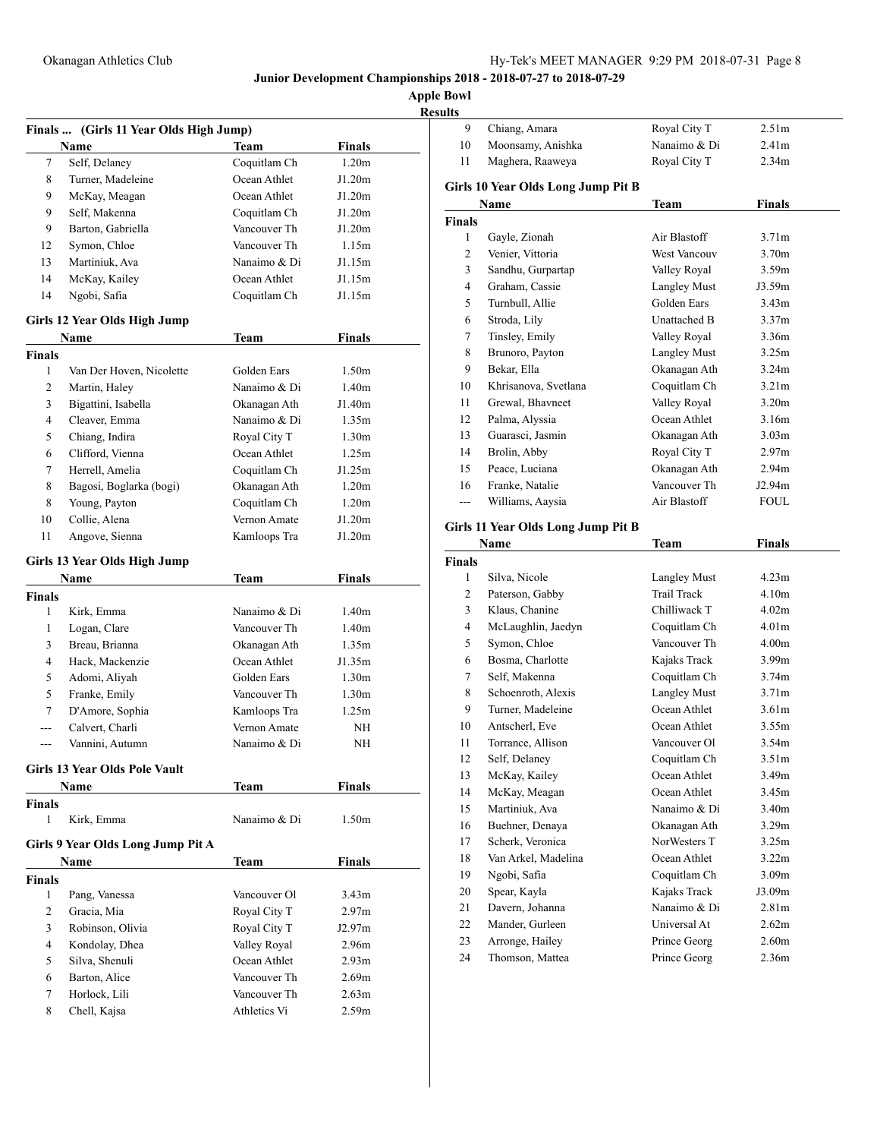| <b>Results</b> |
|----------------|
|----------------|

|                | Finals  (Girls 11 Year Olds High Jump) |              |                   |
|----------------|----------------------------------------|--------------|-------------------|
|                | Name                                   | <b>Team</b>  | <b>Finals</b>     |
| 7              | Self, Delaney                          | Coquitlam Ch | 1.20m             |
| 8              | Turner, Madeleine                      | Ocean Athlet | J1.20m            |
| 9.             | McKay, Meagan                          | Ocean Athlet | J1.20m            |
| 9              | Self, Makenna                          | Coquitlam Ch | J1.20m            |
| 9              | Barton, Gabriella                      | Vancouver Th | J1.20m            |
| 12             | Symon, Chloe                           | Vancouver Th | 1.15m             |
| 13             | Martiniuk, Ava                         | Nanaimo & Di | J1.15m            |
| 14             | McKay, Kailey                          | Ocean Athlet | J1.15m            |
| 14             | Ngobi, Safia                           | Coquitlam Ch | J1.15m            |
|                | Girls 12 Year Olds High Jump           |              |                   |
|                | Name                                   | <b>Team</b>  | <b>Finals</b>     |
| Finals         |                                        |              |                   |
| 1              | Van Der Hoven, Nicolette               | Golden Ears  | 1.50m             |
| $\overline{2}$ | Martin, Haley                          | Nanaimo & Di | 1.40m             |
| 3              | Bigattini, Isabella                    | Okanagan Ath | J1.40m            |
| $\overline{4}$ | Cleaver, Emma                          | Nanaimo & Di | 1.35m             |
| 5              | Chiang, Indira                         | Royal City T | 1.30 <sub>m</sub> |
| 6              | Clifford, Vienna                       | Ocean Athlet | 1.25m             |
| 7              | Herrell, Amelia                        | Coquitlam Ch | J1.25m            |
| 8              | Bagosi, Boglarka (bogi)                | Okanagan Ath | 1.20m             |
| 8              | Young, Payton                          | Coquitlam Ch | 1.20m             |
|                | Collie, Alena                          | Vernon Amate |                   |
| 10             | Angove, Sienna                         | Kamloops Tra | J1.20m            |
| 11             |                                        |              | J1.20m            |
|                | Girls 13 Year Olds High Jump           |              |                   |
|                | Name                                   | <b>Team</b>  | <b>Finals</b>     |
| <b>Finals</b>  |                                        |              |                   |
| 1              | Kirk, Emma                             | Nanaimo & Di | 1.40 <sub>m</sub> |
| 1              | Logan, Clare                           | Vancouver Th | 1.40 <sub>m</sub> |
| 3              | Breau, Brianna                         | Okanagan Ath | 1.35m             |
| 4              | Hack, Mackenzie                        | Ocean Athlet | J1.35m            |
| 5              | Adomi, Aliyah                          | Golden Ears  | 1.30 <sub>m</sub> |
| 5              | Franke, Emily                          | Vancouver Th | 1.30 <sub>m</sub> |
| 7              | D'Amore, Sophia                        | Kamloops Tra | 1.25m             |
| $- - -$        | Calvert, Charli                        | Vernon Amate | NΗ                |
| ---            | Vannini, Autumn                        | Nanaimo & Di | NΗ                |
|                | Girls 13 Year Olds Pole Vault          |              |                   |
|                | Name                                   | Team         | <b>Finals</b>     |
| Finals         |                                        |              |                   |
| 1              | Kirk, Emma                             | Nanaimo & Di | 1.50m             |
|                | Girls 9 Year Olds Long Jump Pit A      |              |                   |
|                | Name                                   | <b>Team</b>  | <b>Finals</b>     |
| <b>Finals</b>  |                                        |              |                   |
| $\mathbf{1}$   | Pang, Vanessa                          | Vancouver Ol | 3.43 <sub>m</sub> |
| $\overline{c}$ | Gracia, Mia                            | Royal City T | 2.97 <sub>m</sub> |
| 3              | Robinson, Olivia                       | Royal City T | J2.97m            |
| 4              | Kondolay, Dhea                         | Valley Royal | 2.96m             |
| 5              | Silva, Shenuli                         | Ocean Athlet | 2.93 <sub>m</sub> |
| 6              | Barton, Alice                          | Vancouver Th | 2.69m             |
| 7              | Horlock, Lili                          | Vancouver Th | 2.63m             |
| 8              | Chell, Kajsa                           | Athletics Vi | 2.59m             |
|                |                                        |              |                   |

| 9                                  | Chiang, Amara                       | Royal City T                 | 2.51m             |  |
|------------------------------------|-------------------------------------|------------------------------|-------------------|--|
| 10                                 | Moonsamy, Anishka                   | Nanaimo & Di                 | 2.41 <sub>m</sub> |  |
| 11                                 | Maghera, Raaweya                    | Royal City T                 | 2.34m             |  |
|                                    |                                     |                              |                   |  |
| Girls 10 Year Olds Long Jump Pit B |                                     |                              |                   |  |
|                                    | Name                                | Team                         | <b>Finals</b>     |  |
| <b>Finals</b>                      |                                     |                              |                   |  |
| 1                                  | Gayle, Zionah                       | Air Blastoff                 | 3.71 <sub>m</sub> |  |
| $\overline{c}$                     | Venier, Vittoria                    | <b>West Vancouv</b>          | 3.70m             |  |
| 3                                  | Sandhu, Gurpartap                   | Valley Royal                 | 3.59m             |  |
| 4                                  | Graham, Cassie                      | <b>Langley Must</b>          | J3.59m            |  |
| 5                                  | Turnbull, Allie                     | Golden Ears                  | 3.43 <sub>m</sub> |  |
| 6                                  | Stroda, Lily                        | Unattached B                 | 3.37m             |  |
| 7                                  | Tinsley, Emily                      | Valley Royal                 | 3.36m             |  |
| 8                                  | Brunoro, Payton                     | <b>Langley Must</b>          | 3.25m             |  |
| 9                                  | Bekar, Ella                         | Okanagan Ath                 | 3.24m             |  |
| 10                                 | Khrisanova, Svetlana                | Coquitlam Ch                 | 3.21 <sub>m</sub> |  |
| 11                                 | Grewal, Bhavneet                    | Valley Royal                 | 3.20 <sub>m</sub> |  |
| 12                                 | Palma, Alyssia                      | Ocean Athlet                 | 3.16m             |  |
| 13                                 | Guarasci, Jasmin                    | Okanagan Ath                 | 3.03 <sub>m</sub> |  |
| 14                                 | Brolin, Abby                        | Royal City T                 | 2.97m             |  |
| 15                                 | Peace, Luciana                      | Okanagan Ath                 | 2.94m             |  |
| 16                                 | Franke, Natalie                     | Vancouver Th                 | J2.94m            |  |
| $---$                              | Williams, Aaysia                    | Air Blastoff                 | <b>FOUL</b>       |  |
|                                    |                                     |                              |                   |  |
|                                    | Girls 11 Year Olds Long Jump Pit B  |                              |                   |  |
|                                    | <b>Name</b>                         | <b>Team</b>                  | <b>Finals</b>     |  |
| <b>Finals</b>                      |                                     |                              |                   |  |
| 1                                  | Silva, Nicole                       | <b>Langley Must</b>          | 4.23m             |  |
| 2                                  | Paterson, Gabby                     | <b>Trail Track</b>           | 4.10m             |  |
| 3                                  | Klaus, Chanine                      | Chilliwack T                 | 4.02m             |  |
| $\overline{4}$                     | McLaughlin, Jaedyn                  |                              |                   |  |
|                                    |                                     | Coquitlam Ch                 | 4.01m             |  |
| 5                                  | Symon, Chloe                        | Vancouver Th                 | 4.00m             |  |
| 6                                  | Bosma, Charlotte                    | Kajaks Track                 | 3.99 <sub>m</sub> |  |
| 7                                  | Self, Makenna                       | Coquitlam Ch                 | 3.74m             |  |
| 8                                  | Schoenroth, Alexis                  | <b>Langley Must</b>          | 3.71 <sub>m</sub> |  |
| 9                                  | Turner, Madeleine                   | Ocean Athlet                 | 3.61 <sub>m</sub> |  |
| 10                                 | Antscherl, Eve                      | Ocean Athlet                 | 3.55m             |  |
| 11                                 | Torrance, Allison                   | Vancouver Ol                 | 3.54m             |  |
| 12                                 | Self, Delaney                       | Coquitlam Ch                 | 3.51 <sub>m</sub> |  |
| 13                                 | McKay, Kailey                       | Ocean Athlet                 | 3.49m             |  |
| 14                                 | McKay, Meagan                       | Ocean Athlet                 | 3.45m             |  |
| 15                                 | Martiniuk, Ava                      | Nanaimo & Di                 | 3.40m             |  |
| 16                                 | Buehner, Denaya                     | Okanagan Ath                 | 3.29m             |  |
| 17                                 | Scherk, Veronica                    | NorWesters T                 | 3.25m             |  |
| 18                                 |                                     | Ocean Athlet                 | 3.22m             |  |
| 19                                 | Van Arkel, Madelina<br>Ngobi, Safia | Coquitlam Ch                 | 3.09m             |  |
|                                    |                                     | Kajaks Track                 |                   |  |
| 20<br>21                           | Spear, Kayla<br>Davern, Johanna     | Nanaimo & Di                 | J3.09m<br>2.81m   |  |
|                                    | Mander, Gurleen                     | Universal At                 |                   |  |
| 22                                 |                                     |                              | 2.62m             |  |
| 23<br>24                           | Arronge, Hailey<br>Thomson, Mattea  | Prince Georg<br>Prince Georg | 2.60m<br>2.36m    |  |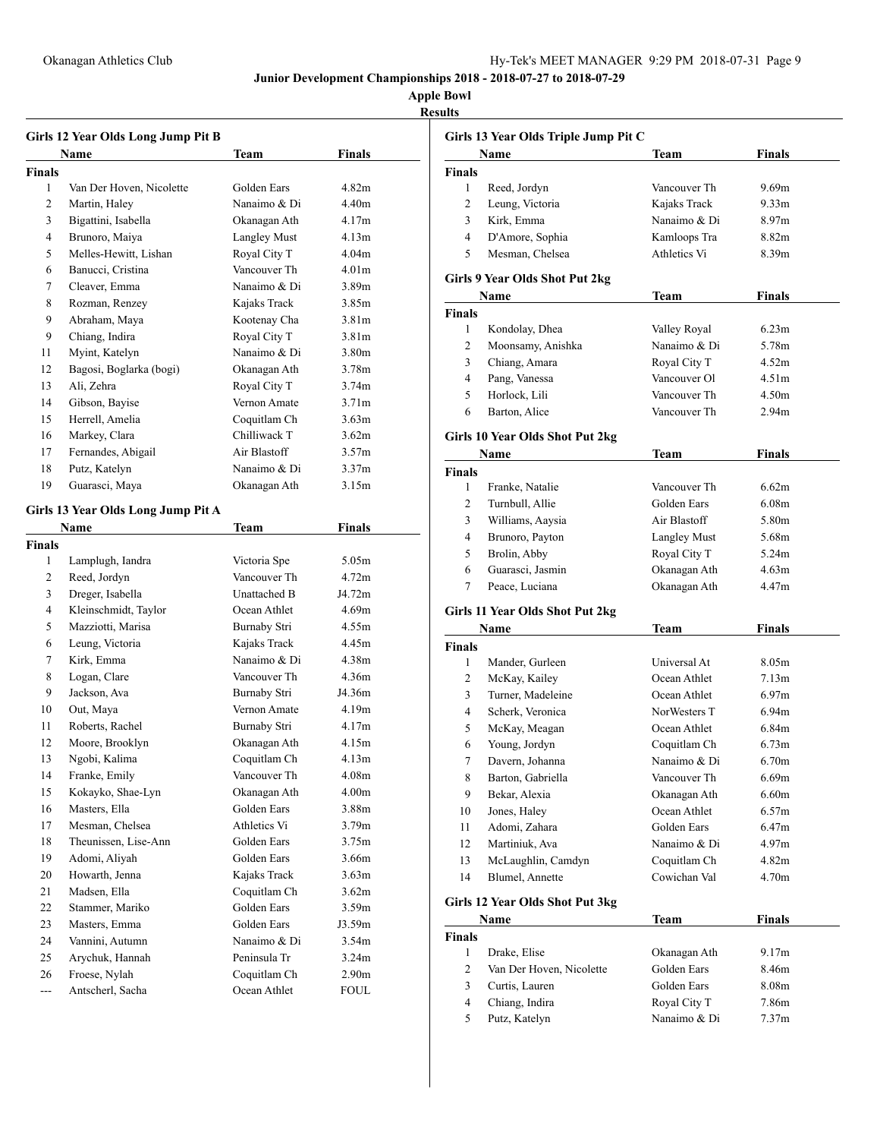# **Apple Bowl**

**Results**

|                | Girls 12 Year Olds Long Jump Pit B<br>Name | Team                | Finals            |
|----------------|--------------------------------------------|---------------------|-------------------|
| <b>Finals</b>  |                                            |                     |                   |
| 1              | Van Der Hoven, Nicolette                   | Golden Ears         | 4.82m             |
| 2              | Martin, Haley                              | Nanaimo & Di        | 4.40m             |
| 3              | Bigattini, Isabella                        | Okanagan Ath        | 4.17m             |
| 4              | Brunoro, Maiya                             | <b>Langley Must</b> | 4.13m             |
| 5              | Melles-Hewitt, Lishan                      | Royal City T        | 4.04 <sub>m</sub> |
| 6              | Banucci, Cristina                          | Vancouver Th        | 4.01 <sub>m</sub> |
| 7              | Cleaver, Emma                              | Nanaimo & Di        | 3.89m             |
| 8              | Rozman, Renzey                             | Kajaks Track        | 3.85m             |
| 9              | Abraham, Maya                              | Kootenay Cha        | 3.81 <sub>m</sub> |
| 9              | Chiang, Indira                             | Royal City T        | 3.81 <sub>m</sub> |
| 11             | Myint, Katelyn                             | Nanaimo & Di        | 3.80m             |
| 12             | Bagosi, Boglarka (bogi)                    | Okanagan Ath        | 3.78m             |
| 13             | Ali, Zehra                                 | Royal City T        | 3.74m             |
| 14             | Gibson, Bayise                             | Vernon Amate        | 3.71 <sub>m</sub> |
| 15             | Herrell, Amelia                            | Coquitlam Ch        | 3.63m             |
| 16             | Markey, Clara                              | Chilliwack T        | 3.62m             |
| 17             | Fernandes, Abigail                         | Air Blastoff        | 3.57m             |
| 18             | Putz, Katelyn                              | Nanaimo & Di        | 3.37 <sub>m</sub> |
| 19             | Guarasci, Maya                             | Okanagan Ath        | 3.15m             |
|                |                                            |                     |                   |
|                | Girls 13 Year Olds Long Jump Pit A         |                     |                   |
|                | Name                                       | Team                | <b>Finals</b>     |
| <b>Finals</b>  |                                            |                     |                   |
| 1              | Lamplugh, Iandra                           | Victoria Spe        | 5.05m             |
| $\overline{c}$ | Reed, Jordyn                               | Vancouver Th        | 4.72m             |
| 3              | Dreger, Isabella                           | Unattached B        | J4.72m            |
| 4              | Kleinschmidt, Taylor                       | Ocean Athlet        | 4.69m             |
| 5              | Mazziotti, Marisa                          | Burnaby Stri        | 4.55m             |
| 6              | Leung, Victoria                            | Kajaks Track        | 4.45m             |
| 7              | Kirk, Emma                                 | Nanaimo & Di        | 4.38m             |
| 8              | Logan, Clare                               | Vancouver Th        | 4.36m             |
| 9              | Jackson, Ava                               | Burnaby Stri        | J4.36m            |
| 10             | Out, Maya                                  | Vernon Amate        | 4.19m             |
| 11             | Roberts, Rachel                            | Burnaby Stri        | 4.17m             |
| 12             | Moore, Brooklyn                            | Okanagan Ath        | 4.15m             |
| 13             | Ngobi, Kalima                              | Coquitlam Ch        | 4.13m             |
| 14             | Franke, Emily                              | Vancouver Th        | 4.08m             |
| 15             | Kokayko, Shae-Lyn                          | Okanagan Ath        | 4.00 <sub>m</sub> |
| 16             | Masters, Ella                              | Golden Ears         | 3.88m             |
| 17             | Mesman, Chelsea                            | Athletics Vi        | 3.79m             |
| 18             | Theunissen, Lise-Ann                       | Golden Ears         | 3.75m             |
| 19             | Adomi, Aliyah                              | Golden Ears         | 3.66m             |
| 20             | Howarth, Jenna                             | Kajaks Track        | 3.63m             |
| 21             | Madsen, Ella                               | Coquitlam Ch        | 3.62m             |
| 22             | Stammer, Mariko                            | Golden Ears         | 3.59m             |
| 23             | Masters, Emma                              | Golden Ears         | J3.59m            |
| 24             | Vannini, Autumn                            | Nanaimo & Di        | 3.54m             |
| 25             | Arychuk, Hannah                            | Peninsula Tr        | 3.24m             |
| 26             | Froese, Nylah                              | Coquitlam Ch        | 2.90m             |
| ---            | Antscherl, Sacha                           | Ocean Athlet        | <b>FOUL</b>       |
|                |                                            |                     |                   |

|                               | Girls 13 Year Olds Triple Jump Pit C     |                     |                   |
|-------------------------------|------------------------------------------|---------------------|-------------------|
|                               | Name                                     | Team                | <b>Finals</b>     |
| <b>Finals</b>                 |                                          |                     |                   |
| 1                             | Reed, Jordyn                             | Vancouver Th        | 9.69m             |
| 2                             | Leung, Victoria                          | Kajaks Track        | 9.33 <sub>m</sub> |
| 3                             | Kirk, Emma                               | Nanaimo & Di        | 8.97m             |
| 4                             | D'Amore, Sophia                          | Kamloops Tra        | 8.82m             |
| 5                             | Mesman, Chelsea                          | Athletics Vi        | 8.39m             |
|                               | Girls 9 Year Olds Shot Put 2kg           |                     |                   |
|                               | Name                                     | <b>Team</b>         | <b>Finals</b>     |
| <b>Finals</b>                 |                                          |                     |                   |
| 1                             | Kondolay, Dhea                           | Valley Royal        | 6.23m             |
| 2                             | Moonsamy, Anishka                        | Nanaimo & Di        | 5.78m             |
| 3                             | Chiang, Amara                            | Royal City T        | 4.52m             |
| 4                             | Pang, Vanessa                            | Vancouver Ol        | 4.51 <sub>m</sub> |
| 5                             | Horlock, Lili                            | Vancouver Th        | 4.50m             |
| 6                             | Barton, Alice                            | Vancouver Th        | 2.94m             |
|                               | Girls 10 Year Olds Shot Put 2kg          |                     |                   |
|                               | Name                                     | Team                | Finals            |
| <b>Finals</b>                 |                                          |                     |                   |
| 1                             | Franke, Natalie                          | Vancouver Th        | 6.62m             |
| 2                             | Turnbull, Allie                          | Golden Ears         | 6.08 <sub>m</sub> |
| 3                             | Williams, Aaysia                         | Air Blastoff        | 5.80m             |
| 4                             | Brunoro, Payton                          | <b>Langley Must</b> | 5.68m             |
| 5                             | Brolin, Abby                             | Royal City T        | 5.24m             |
| 6                             | Guarasci, Jasmin                         | Okanagan Ath        | 4.63m             |
| 7                             | Peace, Luciana                           | Okanagan Ath        | 4.47m             |
|                               | Girls 11 Year Olds Shot Put 2kg          |                     |                   |
|                               | Name                                     | Team                | Finals            |
| <b>Finals</b>                 |                                          |                     |                   |
| 1                             | Mander, Gurleen                          | Universal At        | 8.05m             |
| 2                             | McKay, Kailey                            | Ocean Athlet        | 7.13m             |
| 3                             | Turner, Madeleine                        | Ocean Athlet        | 6.97 <sub>m</sub> |
| 4                             | Scherk, Veronica                         | NorWesters T        | 6.94m             |
| 5                             | McKay, Meagan                            | Ocean Athlet        | 6.84m             |
| 6                             | Young, Jordyn                            | Coquitlam Ch        | 6.73m             |
| 7                             | Davern, Johanna                          | Nanaimo & Di        | 6.70m             |
| 8                             | Barton, Gabriella                        | Vancouver Th        | 6.69m             |
| 9                             | Bekar, Alexia                            | Okanagan Ath        | 6.60m             |
| 10                            | Jones, Haley                             | Ocean Athlet        | 6.57m             |
| 11                            | Adomi, Zahara                            | Golden Ears         | 6.47m             |
| 12                            | Martiniuk, Ava                           | Nanaimo & Di        | 4.97m             |
| 13                            | McLaughlin, Camdyn                       | Coquitlam Ch        | 4.82m             |
| 14                            | Blumel, Annette                          | Cowichan Val        | 4.70m             |
|                               |                                          |                     |                   |
|                               | Girls 12 Year Olds Shot Put 3kg          |                     |                   |
|                               | Name                                     | <b>Team</b>         | Finals            |
| <b>Finals</b><br>$\mathbf{1}$ |                                          | Okanagan Ath        |                   |
| 2                             | Drake, Elise<br>Van Der Hoven, Nicolette | Golden Ears         | 9.17m<br>8.46m    |
|                               |                                          |                     |                   |
| 3                             | Curtis, Lauren                           | Golden Ears         | 8.08m             |
| $\overline{4}$                | Chiang, Indira                           | Royal City T        | 7.86m             |
| 5                             | Putz, Katelyn                            | Nanaimo & Di        | 7.37m             |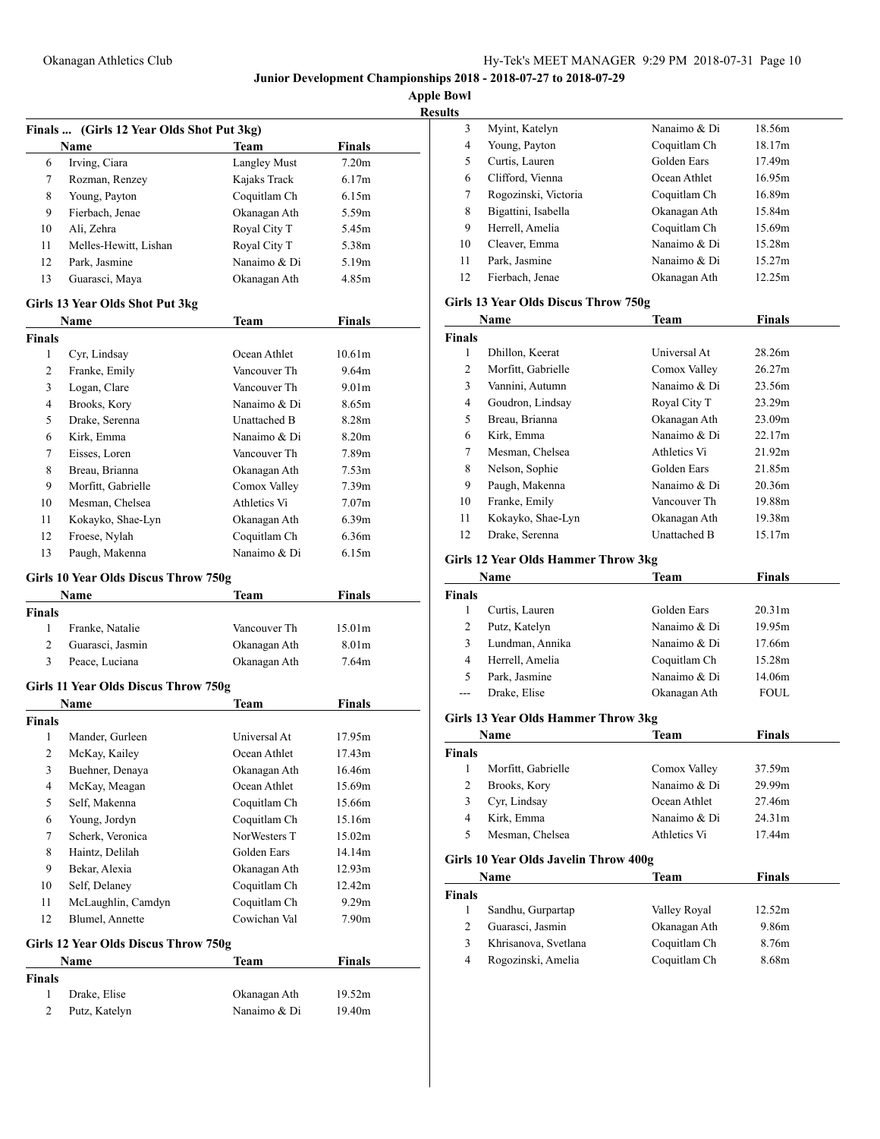**Apple Bowl**

| <b>Results</b> |
|----------------|
|----------------|

|                         | Finals  (Girls 12 Year Olds Shot Put 3kg)    |                     |                   |
|-------------------------|----------------------------------------------|---------------------|-------------------|
|                         | Name                                         | Team                | <b>Finals</b>     |
| 6                       | Irving, Ciara                                | <b>Langley Must</b> | 7.20 <sub>m</sub> |
| 7                       | Rozman, Renzey                               | Kajaks Track        | 6.17m             |
| 8                       | Young, Payton                                | Coquitlam Ch        | 6.15m             |
| 9                       | Fierbach, Jenae                              | Okanagan Ath        | 5.59m             |
| 10                      | Ali, Zehra                                   | Royal City T        | 5.45m             |
| 11                      | Melles-Hewitt, Lishan                        | Royal City T        | 5.38m             |
| 12                      | Park, Jasmine                                | Nanaimo & Di        | 5.19m             |
| 13                      | Guarasci, Maya                               | Okanagan Ath        | 4.85m             |
|                         | Girls 13 Year Olds Shot Put 3kg              |                     |                   |
|                         | Name                                         | Team                | <b>Finals</b>     |
| <b>Finals</b>           |                                              |                     |                   |
| 1                       | Cyr, Lindsay                                 | Ocean Athlet        | 10.61m            |
| 2                       | Franke, Emily                                | Vancouver Th        | 9.64m             |
| 3                       | Logan, Clare                                 | Vancouver Th        | 9.01 <sub>m</sub> |
| 4                       | Brooks, Kory                                 | Nanaimo & Di        | 8.65m             |
| 5                       | Drake, Serenna                               | Unattached B        | 8.28m             |
| 6                       | Kirk, Emma                                   | Nanaimo & Di        | 8.20m             |
| 7                       | Eisses, Loren                                | Vancouver Th        | 7.89m             |
| 8                       | Breau, Brianna                               | Okanagan Ath        | 7.53 <sub>m</sub> |
| 9                       | Morfitt, Gabrielle                           | Comox Valley        | 7.39 <sub>m</sub> |
| 10                      | Mesman, Chelsea                              | Athletics Vi        | 7.07 <sub>m</sub> |
| 11                      | Kokayko, Shae-Lyn                            | Okanagan Ath        | 6.39 <sub>m</sub> |
| 12                      | Froese, Nylah                                | Coquitlam Ch        | 6.36m             |
| 13                      | Paugh, Makenna                               | Nanaimo & Di        | 6.15m             |
|                         | Girls 10 Year Olds Discus Throw 750g         |                     |                   |
|                         | Name                                         | Team                | <b>Finals</b>     |
| <b>Finals</b>           |                                              |                     |                   |
| 1                       | Franke, Natalie                              | Vancouver Th        | 15.01m            |
| $\overline{2}$          | Guarasci, Jasmin                             | Okanagan Ath        | 8.01m             |
| 3                       | Peace, Luciana                               | Okanagan Ath        | 7.64m             |
|                         | Girls 11 Year Olds Discus Throw 750g         |                     |                   |
|                         | Name                                         | Team                | <b>Finals</b>     |
| <b>Finals</b>           |                                              |                     |                   |
| 1                       | Mander, Gurleen                              | Universal At        | 17.95m            |
| 2                       | McKay, Kailey                                | Ocean Athlet        | 17.43m            |
| 3                       | Buehner, Denaya                              | Okanagan Ath        | 16.46m            |
| 4                       | McKay, Meagan                                | Ocean Athlet        | 15.69m            |
| 5                       | Self, Makenna                                | Coquitlam Ch        | 15.66m            |
| 6                       | Young, Jordyn                                | Coquitlam Ch        | 15.16m            |
| 7                       | Scherk, Veronica                             | NorWesters T        | 15.02m            |
| 8                       | Haintz, Delilah                              | Golden Ears         | 14.14m            |
| 9                       | Bekar, Alexia                                | Okanagan Ath        | 12.93m            |
| 10                      | Self, Delaney                                | Coquitlam Ch        | 12.42m            |
| 11                      | McLaughlin, Camdyn                           | Coquitlam Ch        | 9.29m             |
| 12                      | Blumel, Annette                              | Cowichan Val        | 7.90m             |
|                         |                                              |                     |                   |
|                         | Girls 12 Year Olds Discus Throw 750g<br>Name | Team                | <b>Finals</b>     |
| Finals                  |                                              |                     |                   |
| 1                       | Drake, Elise                                 | Okanagan Ath        | 19.52m            |
| $\overline{\mathbf{c}}$ | Putz, Katelyn                                | Nanaimo & Di        | 19.40m            |

| s  |                      |              |        |  |
|----|----------------------|--------------|--------|--|
| 3  | Myint, Katelyn       | Nanaimo & Di | 18.56m |  |
| 4  | Young, Payton        | Coquitlam Ch | 18.17m |  |
| 5  | Curtis, Lauren       | Golden Ears  | 17.49m |  |
| 6  | Clifford, Vienna     | Ocean Athlet | 16.95m |  |
| 7  | Rogozinski, Victoria | Coquitlam Ch | 16.89m |  |
| 8  | Bigattini, Isabella  | Okanagan Ath | 15.84m |  |
| 9  | Herrell, Amelia      | Coquitlam Ch | 15.69m |  |
| 10 | Cleaver, Emma        | Nanaimo & Di | 15.28m |  |
| 11 | Park, Jasmine        | Nanaimo & Di | 15.27m |  |
| 12 | Fierbach, Jenae      | Okanagan Ath | 12.25m |  |
|    |                      |              |        |  |

# **Girls 13 Year Olds Discus Throw 750g**

| Name          |                    | <b>Team</b>  | <b>Finals</b> |  |
|---------------|--------------------|--------------|---------------|--|
| <b>Finals</b> |                    |              |               |  |
| 1             | Dhillon, Keerat    | Universal At | 28.26m        |  |
| 2             | Morfitt, Gabrielle | Comox Valley | 26.27m        |  |
| 3             | Vannini, Autumn    | Nanaimo & Di | 23.56m        |  |
| 4             | Goudron, Lindsay   | Royal City T | 23.29m        |  |
| 5             | Breau, Brianna     | Okanagan Ath | 23.09m        |  |
| 6             | Kirk, Emma         | Nanaimo & Di | 22.17m        |  |
| 7             | Mesman, Chelsea    | Athletics Vi | 21.92m        |  |
| 8             | Nelson, Sophie     | Golden Ears  | 21.85m        |  |
| 9             | Paugh, Makenna     | Nanaimo & Di | 20.36m        |  |
| 10            | Franke, Emily      | Vancouver Th | 19.88m        |  |
| 11            | Kokayko, Shae-Lyn  | Okanagan Ath | 19.38m        |  |
| 12            | Drake, Serenna     | Unattached B | 15.17m        |  |

# **Girls 12 Year Olds Hammer Throw 3kg**

|               | Name            | <b>Team</b>  | <b>Finals</b>      |  |
|---------------|-----------------|--------------|--------------------|--|
| <b>Finals</b> |                 |              |                    |  |
|               | Curtis, Lauren  | Golden Ears  | 20.31 <sub>m</sub> |  |
| 2             | Putz, Katelyn   | Nanaimo & Di | 19.95m             |  |
| 3             | Lundman, Annika | Nanaimo & Di | 17.66m             |  |
| 4             | Herrell, Amelia | Coquitlam Ch | 15.28m             |  |
| 5             | Park, Jasmine   | Nanaimo & Di | 14.06m             |  |
| $---$         | Drake, Elise    | Okanagan Ath | <b>FOUL</b>        |  |

# **Girls 13 Year Olds Hammer Throw 3kg**

|               | <b>Name</b>        | Team         | <b>Finals</b> |  |
|---------------|--------------------|--------------|---------------|--|
| <b>Finals</b> |                    |              |               |  |
|               | Morfitt, Gabrielle | Comox Valley | 37.59m        |  |
| 2             | Brooks, Kory       | Nanaimo & Di | 29.99m        |  |
| 3             | Cyr, Lindsay       | Ocean Athlet | 27.46m        |  |
| 4             | Kirk, Emma         | Nanaimo & Di | 24.31m        |  |
| 5             | Mesman, Chelsea    | Athletics Vi | 17.44m        |  |

### **Girls 10 Year Olds Javelin Throw 400g**

| Name                 | Team         | Finals |  |
|----------------------|--------------|--------|--|
|                      |              |        |  |
| Sandhu, Gurpartap    | Valley Royal | 12.52m |  |
| Guarasci, Jasmin     | Okanagan Ath | 9.86m  |  |
| Khrisanova, Svetlana | Coquitlam Ch | 8.76m  |  |
| Rogozinski, Amelia   | Coquitlam Ch | 8.68m  |  |
|                      |              |        |  |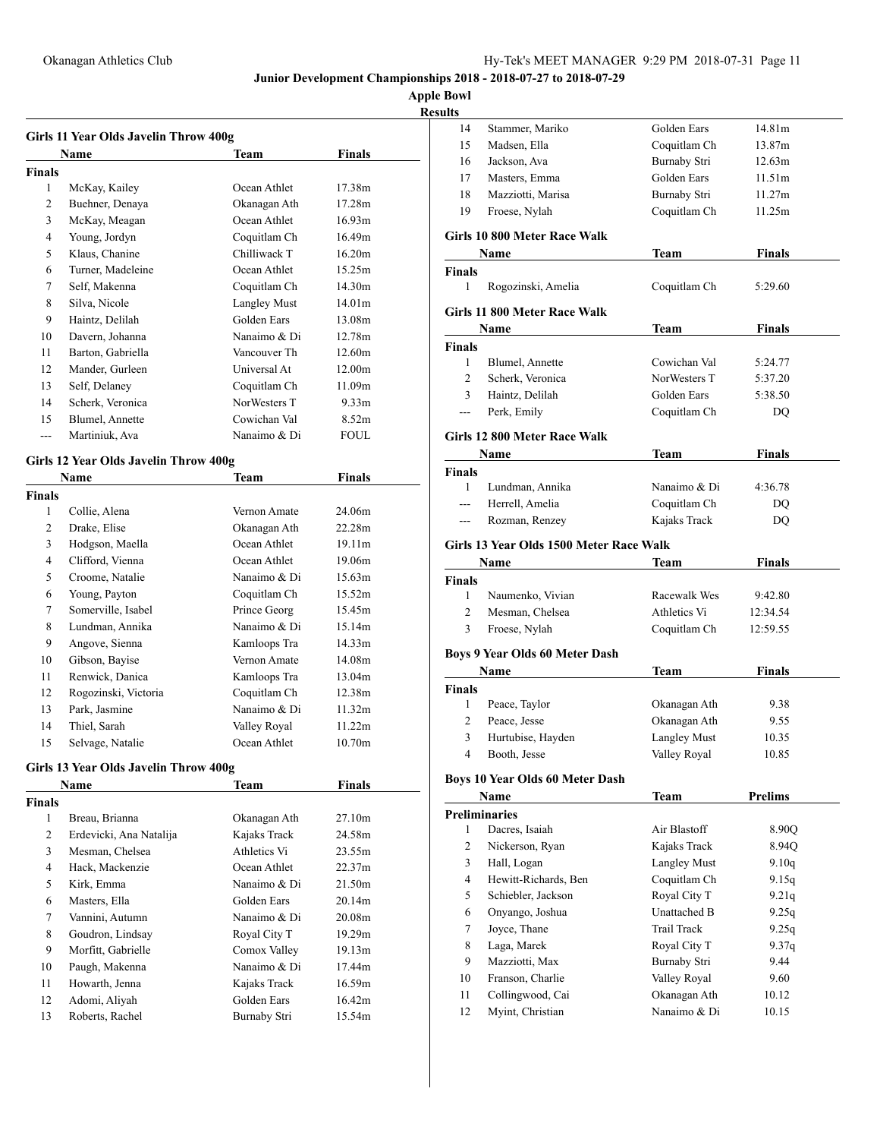# **Apple Bowl**

| Results |
|---------|
|---------|

|               | Girls 11 Year Olds Javelin Throw 400g |                     |                   |
|---------------|---------------------------------------|---------------------|-------------------|
|               | Name                                  | Team                | <b>Finals</b>     |
| <b>Finals</b> |                                       |                     |                   |
| 1             | McKay, Kailey                         | Ocean Athlet        | 17.38m            |
| 2             | Buehner, Denaya                       | Okanagan Ath        | 17.28m            |
| 3             | McKay, Meagan                         | Ocean Athlet        | 16.93m            |
| 4             | Young, Jordyn                         | Coquitlam Ch        | 16.49m            |
| 5             | Klaus, Chanine                        | Chilliwack T        | 16.20m            |
| 6             | Turner, Madeleine                     | Ocean Athlet        | 15.25m            |
| 7             | Self, Makenna                         | Coquitlam Ch        | 14.30m            |
| 8             | Silva, Nicole                         | <b>Langley Must</b> | 14.01m            |
| 9             | Haintz, Delilah                       | Golden Ears         | 13.08m            |
| 10            | Davern, Johanna                       | Nanaimo & Di        | 12.78m            |
| 11            | Barton, Gabriella                     | Vancouver Th        | 12.60m            |
| 12            | Mander, Gurleen                       | Universal At        | 12.00m            |
| 13            | Self, Delaney                         | Coquitlam Ch        | 11.09m            |
| 14            | Scherk, Veronica                      | NorWesters T        | 9.33 <sub>m</sub> |
| 15            | Blumel, Annette                       | Cowichan Val        | 8.52m             |
| ---           | Martiniuk, Ava                        | Nanaimo & Di        | <b>FOUL</b>       |

### **Girls 12 Year Olds Javelin Throw 400g**

|        | Name                 | Team         | Finals |
|--------|----------------------|--------------|--------|
| Finals |                      |              |        |
| 1      | Collie, Alena        | Vernon Amate | 24.06m |
| 2      | Drake, Elise         | Okanagan Ath | 22.28m |
| 3      | Hodgson, Maella      | Ocean Athlet | 19.11m |
| 4      | Clifford, Vienna     | Ocean Athlet | 19.06m |
| 5      | Croome, Natalie      | Nanaimo & Di | 15.63m |
| 6      | Young, Payton        | Coquitlam Ch | 15.52m |
| 7      | Somerville, Isabel   | Prince Georg | 15.45m |
| 8      | Lundman, Annika      | Nanaimo & Di | 15.14m |
| 9      | Angove, Sienna       | Kamloops Tra | 14.33m |
| 10     | Gibson, Bayise       | Vernon Amate | 14.08m |
| 11     | Renwick, Danica      | Kamloops Tra | 13.04m |
| 12     | Rogozinski, Victoria | Coquitlam Ch | 12.38m |
| 13     | Park, Jasmine        | Nanaimo & Di | 11.32m |
| 14     | Thiel, Sarah         | Valley Royal | 11.22m |
| 15     | Selvage, Natalie     | Ocean Athlet | 10.70m |

# **Girls 13 Year Olds Javelin Throw 400g**

|               | Name                    | Team         | <b>Finals</b> |  |
|---------------|-------------------------|--------------|---------------|--|
| <b>Finals</b> |                         |              |               |  |
| 1             | Breau, Brianna          | Okanagan Ath | 27.10m        |  |
| 2             | Erdevicki, Ana Natalija | Kajaks Track | 24.58m        |  |
| 3             | Mesman, Chelsea         | Athletics Vi | 23.55m        |  |
| 4             | Hack, Mackenzie         | Ocean Athlet | 22.37m        |  |
| 5             | Kirk, Emma              | Nanaimo & Di | 21.50m        |  |
| 6             | Masters, Ella           | Golden Ears  | 20.14m        |  |
| 7             | Vannini, Autumn         | Nanaimo & Di | 20.08m        |  |
| 8             | Goudron, Lindsay        | Royal City T | 19.29m        |  |
| 9             | Morfitt, Gabrielle      | Comox Valley | 19.13m        |  |
| 10            | Paugh, Makenna          | Nanaimo & Di | 17.44m        |  |
| 11            | Howarth, Jenna          | Kajaks Track | 16.59m        |  |
| 12            | Adomi, Aliyah           | Golden Ears  | 16.42m        |  |
| 13            | Roberts, Rachel         | Burnaby Stri | 15.54m        |  |
|               |                         |              |               |  |

| ılts           |                                         |                              |                |  |
|----------------|-----------------------------------------|------------------------------|----------------|--|
| 14             | Stammer, Mariko                         | Golden Ears                  | 14.81m         |  |
| 15             | Madsen, Ella                            | Coquitlam Ch                 | 13.87m         |  |
| 16             | Jackson, Ava                            | Burnaby Stri                 | 12.63m         |  |
| 17             | Masters, Emma                           | Golden Ears                  | 11.51m         |  |
| 18             | Mazziotti, Marisa                       | Burnaby Stri                 | 11.27m         |  |
| 19             | Froese, Nylah                           | Coquitlam Ch                 | 11.25m         |  |
|                | Girls 10 800 Meter Race Walk            |                              |                |  |
|                | Name                                    | Team                         | <b>Finals</b>  |  |
| Finals         |                                         |                              |                |  |
| 1              | Rogozinski, Amelia                      | Coquitlam Ch                 | 5:29.60        |  |
|                | Girls 11 800 Meter Race Walk            |                              |                |  |
|                | Name                                    | Team                         | Finals         |  |
| <b>Finals</b>  |                                         |                              |                |  |
| $\mathbf{1}$   | Blumel, Annette                         | Cowichan Val                 | 5:24.77        |  |
| 2              | Scherk, Veronica                        | NorWesters T                 | 5:37.20        |  |
| 3              | Haintz, Delilah                         | Golden Ears                  | 5:38.50        |  |
| $---$          | Perk, Emily                             | Coquitlam Ch                 | DQ             |  |
|                | Girls 12 800 Meter Race Walk            |                              |                |  |
|                | Name                                    | <b>Team</b>                  | Finals         |  |
| <b>Finals</b>  |                                         |                              |                |  |
| $\mathbf{1}$   | Lundman, Annika                         | Nanaimo & Di                 | 4:36.78        |  |
| <u></u>        | Herrell, Amelia                         | Coquitlam Ch                 | DO             |  |
| ---            | Rozman, Renzey                          | Kajaks Track                 | DQ             |  |
|                | Girls 13 Year Olds 1500 Meter Race Walk |                              |                |  |
|                | Name                                    | Team                         | <b>Finals</b>  |  |
| Finals         |                                         |                              |                |  |
| 1              | Naumenko, Vivian                        | Racewalk Wes                 | 9:42.80        |  |
| 2              | Mesman, Chelsea                         | Athletics Vi                 | 12:34.54       |  |
| 3              | Froese, Nylah                           | Coquitlam Ch                 | 12:59.55       |  |
|                | <b>Boys 9 Year Olds 60 Meter Dash</b>   |                              |                |  |
|                | Name                                    | <b>Team</b>                  | <b>Finals</b>  |  |
| <b>Finals</b>  |                                         |                              |                |  |
| 1              | Peace, Taylor                           | Okanagan Ath                 | 9.38           |  |
| 2              | Peace, Jesse                            | Okanagan Ath                 | 9.55           |  |
| 3              | Hurtubise, Hayden                       | <b>Langley Must</b>          | 10.35          |  |
| 4              | Booth, Jesse                            | Valley Royal                 | 10.85          |  |
|                |                                         |                              |                |  |
|                | <b>Boys 10 Year Olds 60 Meter Dash</b>  |                              | <b>Prelims</b> |  |
|                | Name<br><b>Preliminaries</b>            | <b>Team</b>                  |                |  |
| 1              | Dacres, Isaiah                          | Air Blastoff                 | 8.90Q          |  |
| $\overline{c}$ | Nickerson, Ryan                         | Kajaks Track                 | 8.94Q          |  |
| 3              | Hall, Logan                             | <b>Langley Must</b>          | 9.10q          |  |
| 4              | Hewitt-Richards, Ben                    | Coquitlam Ch                 | 9.15q          |  |
| 5              | Schiebler, Jackson                      | Royal City T                 | 9.21q          |  |
| 6              | Onyango, Joshua                         | Unattached B                 | 9.25q          |  |
| 7              | Joyce, Thane                            | <b>Trail Track</b>           | 9.25q          |  |
| 8              | Laga, Marek                             | Royal City T                 | 9.37q          |  |
| 9              | Mazziotti, Max                          | Burnaby Stri                 | 9.44           |  |
| 10             |                                         |                              |                |  |
|                |                                         |                              |                |  |
| 11             | Franson, Charlie                        | Valley Royal                 | 9.60<br>10.12  |  |
| 12             | Collingwood, Cai<br>Myint, Christian    | Okanagan Ath<br>Nanaimo & Di | 10.15          |  |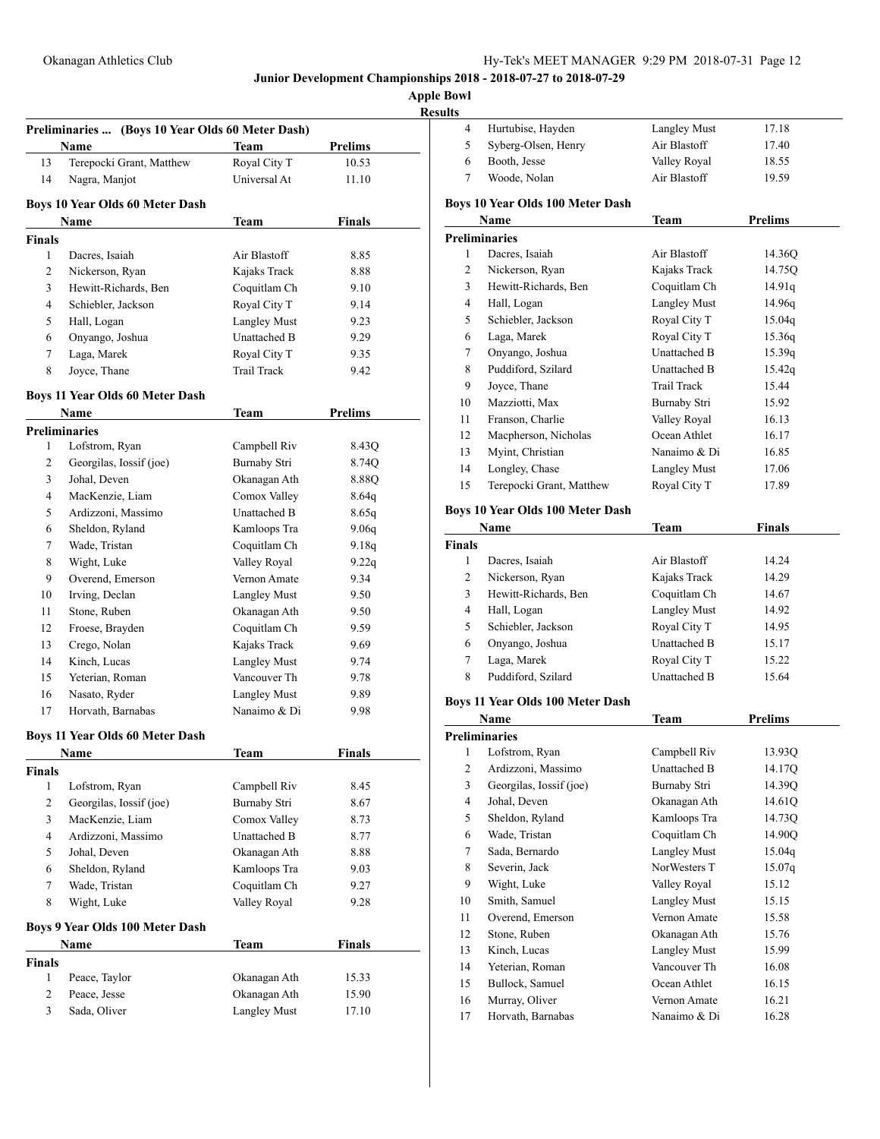| <b>Results</b> |
|----------------|
|----------------|

|                | Preliminaries  (Boys 10 Year Olds 60 Meter Dash)<br>Name | Team                                | Prelims        |
|----------------|----------------------------------------------------------|-------------------------------------|----------------|
| 13             | Terepocki Grant, Matthew                                 | Royal City T                        | 10.53          |
| 14             | Nagra, Manjot                                            | Universal At                        | 11.10          |
|                | <b>Boys 10 Year Olds 60 Meter Dash</b>                   |                                     |                |
|                | Name                                                     | Team                                | <b>Finals</b>  |
| <b>Finals</b>  |                                                          |                                     |                |
| 1              | Dacres, Isaiah                                           | Air Blastoff                        | 8.85           |
| 2              | Nickerson, Ryan                                          | Kajaks Track                        | 8.88           |
| 3              | Hewitt-Richards, Ben                                     | Coquitlam Ch                        | 9.10           |
| 4              | Schiebler, Jackson                                       | Royal City T                        | 9.14           |
| 5              | Hall, Logan                                              | <b>Langley Must</b>                 | 9.23           |
| 6              | Onyango, Joshua                                          | Unattached B                        | 9.29           |
| 7              | Laga, Marek                                              | Royal City T                        | 9.35           |
| 8              | Joyce, Thane                                             | <b>Trail Track</b>                  | 9.42           |
|                | <b>Boys 11 Year Olds 60 Meter Dash</b>                   |                                     |                |
|                | Name                                                     | Team                                | <b>Prelims</b> |
|                | <b>Preliminaries</b>                                     |                                     |                |
| 1              | Lofstrom, Ryan                                           | Campbell Riv                        | 8.43Q          |
| 2              | Georgilas, Iossif (joe)                                  | Burnaby Stri                        | 8.74Q          |
| 3              | Johal, Deven                                             | Okanagan Ath                        | 8.88Q          |
| 4              | MacKenzie, Liam                                          | Comox Valley                        | 8.64q          |
| 5              | Ardizzoni, Massimo                                       | Unattached B                        | 8.65q          |
| 6              | Sheldon, Ryland                                          | Kamloops Tra                        | 9.06g          |
| 7              | Wade, Tristan                                            | Coquitlam Ch                        | 9.18g          |
| 8              | Wight, Luke                                              | Valley Royal                        | 9.22q          |
| 9              | Overend, Emerson                                         | Vernon Amate                        | 9.34           |
| 10             | Irving, Declan                                           | <b>Langley Must</b>                 | 9.50           |
| 11             | Stone, Ruben                                             | Okanagan Ath                        | 9.50           |
| 12             | Froese, Brayden                                          | Coquitlam Ch                        | 9.59           |
| 13<br>14       | Crego, Nolan<br>Kinch, Lucas                             | Kajaks Track                        | 9.69           |
|                |                                                          | <b>Langley Must</b><br>Vancouver Th | 9.74           |
| 15             | Yeterian, Roman                                          |                                     | 9.78           |
| 16<br>17       | Nasato, Ryder<br>Horvath, Barnabas                       | <b>Langley Must</b><br>Nanaimo & Di | 9.89<br>9.98   |
|                |                                                          |                                     |                |
|                | <b>Boys 11 Year Olds 60 Meter Dash</b><br>Name           | Team                                | Finals         |
| <b>Finals</b>  |                                                          |                                     |                |
| 1              | Lofstrom, Ryan                                           | Campbell Riv                        | 8.45           |
| $\overline{c}$ | Georgilas, Iossif (joe)                                  | Burnaby Stri                        | 8.67           |
| 3              | MacKenzie, Liam                                          | Comox Valley                        | 8.73           |
| $\overline{4}$ | Ardizzoni, Massimo                                       | Unattached B                        | 8.77           |
| 5              | Johal, Deven                                             | Okanagan Ath                        | 8.88           |
| 6              | Sheldon, Ryland                                          | Kamloops Tra                        | 9.03           |
| 7              | Wade, Tristan                                            | Coquitlam Ch                        | 9.27           |
| 8              | Wight, Luke                                              | Valley Royal                        | 9.28           |
|                | Boys 9 Year Olds 100 Meter Dash                          |                                     |                |
|                | Name                                                     | Team                                | Finals         |
| <b>Finals</b>  |                                                          |                                     |                |
| 1              | Peace, Taylor                                            | Okanagan Ath                        | 15.33          |
| $\overline{c}$ | Peace, Jesse                                             | Okanagan Ath                        | 15.90          |
| 3              | Sada, Oliver                                             | <b>Langley Must</b>                 | 17.10          |
|                |                                                          |                                     |                |

| 4                            | Hurtubise, Hayden                       | <b>Langley Must</b>                 | 17.18            |
|------------------------------|-----------------------------------------|-------------------------------------|------------------|
| 5                            | Syberg-Olsen, Henry                     | Air Blastoff                        | 17.40            |
| 6                            | Booth, Jesse                            | Valley Royal                        | 18.55            |
| 7                            | Woode, Nolan                            | Air Blastoff                        | 19.59            |
|                              |                                         |                                     |                  |
|                              | <b>Boys 10 Year Olds 100 Meter Dash</b> |                                     |                  |
|                              | Name                                    | Team                                | <b>Prelims</b>   |
|                              | <b>Preliminaries</b>                    |                                     |                  |
| 1                            | Dacres, Isaiah                          | Air Blastoff                        | 14.36Q           |
| 2                            | Nickerson, Ryan                         | Kajaks Track                        | 14.75Q           |
| 3                            | Hewitt-Richards, Ben                    | Coquitlam Ch                        | 14.91q           |
| 4                            | Hall, Logan                             | <b>Langley Must</b>                 | 14.96q           |
| 5                            | Schiebler, Jackson                      | Royal City T                        | 15.04q           |
| 6                            | Laga, Marek                             | Royal City T                        | 15.36q           |
| 7                            | Onyango, Joshua                         | Unattached B                        | 15.39q           |
| 8                            | Puddiford, Szilard                      | Unattached B                        | 15.42q           |
| 9                            | Joyce, Thane                            | Trail Track                         | 15.44            |
| 10                           | Mazziotti, Max                          | <b>Burnaby Stri</b>                 | 15.92            |
| 11                           | Franson, Charlie                        | Valley Royal                        | 16.13            |
| 12                           | Macpherson, Nicholas                    | Ocean Athlet                        | 16.17            |
| 13                           | Myint, Christian                        | Nanaimo & Di                        | 16.85            |
| 14                           | Longley, Chase                          | <b>Langley Must</b>                 | 17.06            |
| 15                           | Terepocki Grant, Matthew                | Royal City T                        | 17.89            |
|                              | Boys 10 Year Olds 100 Meter Dash        |                                     |                  |
|                              | Name                                    | Team                                | Finals           |
| Finals                       |                                         |                                     |                  |
| 1                            | Dacres, Isaiah                          | Air Blastoff                        | 14.24            |
| 2                            | Nickerson, Ryan                         | Kajaks Track                        | 14.29            |
| 3                            | Hewitt-Richards, Ben                    | Coquitlam Ch                        | 14.67            |
| 4                            | Hall, Logan                             | <b>Langley Must</b>                 | 14.92            |
| 5                            | Schiebler, Jackson                      | Royal City T                        | 14.95            |
| 6                            | Onyango, Joshua                         | Unattached B                        | 15.17            |
| 7                            | Laga, Marek                             | Royal City T                        | 15.22            |
| 8                            | Puddiford, Szilard                      | <b>Unattached B</b>                 | 15.64            |
|                              |                                         |                                     |                  |
|                              | Boys 11 Year Olds 100 Meter Dash        |                                     |                  |
|                              | Name                                    | <b>Team</b>                         | <b>Prelims</b>   |
|                              | <b>Preliminaries</b>                    |                                     |                  |
| 1                            | Lofstrom, Ryan                          | Campbell Riv<br>Unattached B        | 13.93Q           |
| $\overline{\mathbf{c}}$<br>3 | Ardizzoni, Massimo                      |                                     | 14.17Q           |
| $\overline{4}$               | Georgilas, Iossif (joe)<br>Johal, Deven | Burnaby Stri<br>Okanagan Ath        | 14.39Q<br>14.61Q |
| 5                            | Sheldon, Ryland                         | Kamloops Tra                        | 14.73Q           |
| 6                            | Wade, Tristan                           | Coquitlam Ch                        | 14.90Q           |
| $\tau$                       | Sada, Bernardo                          | <b>Langley Must</b>                 |                  |
| 8                            | Severin, Jack                           | NorWesters T                        | 15.04q<br>15.07q |
| 9                            | Wight, Luke                             |                                     |                  |
| 10                           | Smith, Samuel                           | Valley Royal<br><b>Langley Must</b> | 15.12<br>15.15   |
| 11                           | Overend, Emerson                        | Vernon Amate                        | 15.58            |
| 12                           | Stone, Ruben                            | Okanagan Ath                        | 15.76            |
| 13                           | Kinch, Lucas                            | <b>Langley Must</b>                 | 15.99            |
| 14                           | Yeterian, Roman                         | Vancouver Th                        | 16.08            |
| 15                           | Bullock, Samuel                         | Ocean Athlet                        | 16.15            |
| 16                           | Murray, Oliver                          | Vernon Amate                        | 16.21            |
| 17                           | Horvath, Barnabas                       | Nanaimo & Di                        | 16.28            |
|                              |                                         |                                     |                  |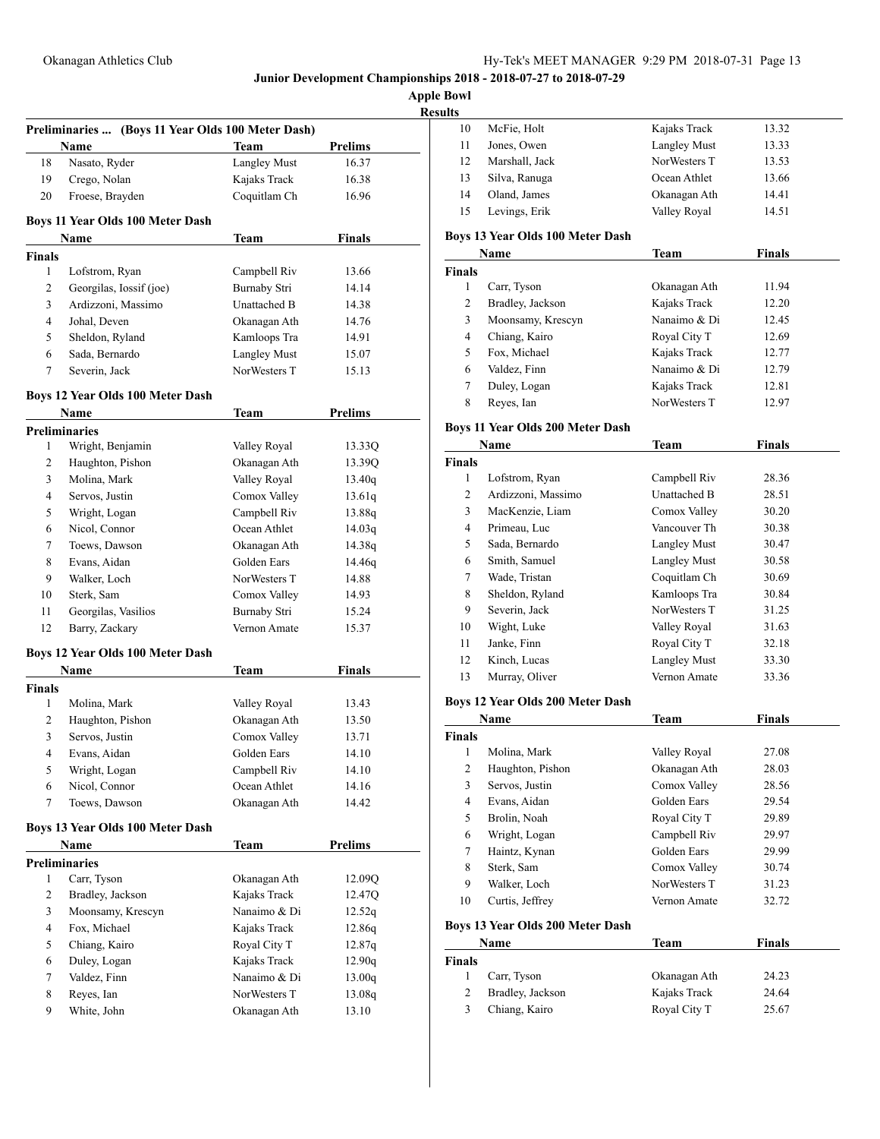# Okanagan Athletics Club Hy-Tek's MEET MANAGER 9:29 PM 2018-07-31 Page 13

**Junior Development Championships 2018 - 2018-07-27 to 2018-07-29**

**Apple Bowl Resul** 

|                         | Preliminaries  (Boys 11 Year Olds 100 Meter Dash) |                              |                  |
|-------------------------|---------------------------------------------------|------------------------------|------------------|
|                         | Name                                              | <b>Team</b>                  | <b>Prelims</b>   |
| 18                      | Nasato, Ryder                                     | <b>Langley Must</b>          | 16.37            |
| 19                      | Crego, Nolan                                      | Kajaks Track                 | 16.38            |
| 20                      | Froese, Brayden                                   | Coquitlam Ch                 | 16.96            |
|                         | Boys 11 Year Olds 100 Meter Dash                  |                              |                  |
|                         | Name                                              | Team                         | <b>Finals</b>    |
| Finals<br>$\mathbf{1}$  | Lofstrom, Ryan                                    | Campbell Riv                 | 13.66            |
| 2                       | Georgilas, Iossif (joe)                           | <b>Burnaby Stri</b>          | 14.14            |
| 3                       | Ardizzoni, Massimo                                | Unattached B                 | 14.38            |
| 4                       | Johal, Deven                                      | Okanagan Ath                 | 14.76            |
| 5                       | Sheldon, Ryland                                   | Kamloops Tra                 | 14.91            |
|                         |                                                   | <b>Langley Must</b>          |                  |
| 6                       | Sada, Bernardo                                    | NorWesters T                 | 15.07            |
| 7                       | Severin, Jack                                     |                              | 15.13            |
|                         | Boys 12 Year Olds 100 Meter Dash                  |                              |                  |
|                         | Name                                              | <b>Team</b>                  | <b>Prelims</b>   |
| 1                       | <b>Preliminaries</b><br>Wright, Benjamin          |                              |                  |
|                         | Haughton, Pishon                                  | Valley Royal<br>Okanagan Ath | 13.33Q<br>13.39Q |
| 2                       |                                                   |                              |                  |
| 3                       | Molina, Mark                                      | Valley Royal                 | 13.40q           |
| $\overline{4}$          | Servos, Justin                                    | Comox Valley                 | 13.61q           |
| 5                       | Wright, Logan                                     | Campbell Riv                 | 13.88q           |
| 6                       | Nicol, Connor                                     | Ocean Athlet                 | 14.03q           |
| 7                       | Toews, Dawson                                     | Okanagan Ath                 | 14.38q           |
| 8                       | Evans, Aidan                                      | Golden Ears                  | 14.46q           |
| 9                       | Walker, Loch                                      | NorWesters T                 | 14.88            |
| 10                      | Sterk, Sam                                        | Comox Valley                 | 14.93            |
| 11                      | Georgilas, Vasilios                               | Burnaby Stri                 | 15.24            |
| 12                      | Barry, Zackary                                    | Vernon Amate                 | 15.37            |
|                         | Boys 12 Year Olds 100 Meter Dash                  |                              |                  |
|                         | Name                                              | Team                         | <b>Finals</b>    |
| Finals                  |                                                   |                              |                  |
| 1                       | Molina, Mark                                      | Valley Royal                 | 13.43            |
| 2                       | Haughton, Pishon                                  | Okanagan Ath                 | 13.50            |
| 3                       | Servos, Justin                                    | Comox Valley                 | 13.71            |
| 4                       | Evans, Aidan                                      | Golden Ears                  | 14.10            |
| 5                       | Wright, Logan                                     | Campbell Riv                 | 14.10            |
| 6                       | Nicol, Connor                                     | Ocean Athlet                 | 14.16            |
| 7                       | Toews, Dawson                                     | Okanagan Ath                 | 14.42            |
|                         | Boys 13 Year Olds 100 Meter Dash                  |                              |                  |
|                         | Name                                              | <b>Team</b>                  | <b>Prelims</b>   |
|                         | <b>Preliminaries</b>                              |                              |                  |
| 1                       | Carr, Tyson                                       | Okanagan Ath                 | 12.09Q           |
| $\overline{\mathbf{c}}$ | Bradley, Jackson                                  | Kajaks Track                 | 12.47Q           |
| 3                       | Moonsamy, Krescyn                                 | Nanaimo & Di                 | 12.52q           |
| 4                       | Fox, Michael                                      | Kajaks Track                 | 12.86q           |
| 5                       | Chiang, Kairo                                     | Royal City T                 | 12.87q           |
| 6                       | Duley, Logan                                      | Kajaks Track                 | 12.90q           |
| 7                       | Valdez, Finn                                      | Nanaimo & Di                 | 13.00q           |
| 8                       | Reyes, Ian                                        | NorWesters T                 | 13.08q           |
| 9                       | White, John                                       | Okanagan Ath                 | 13.10            |

| sults                         |                                         |                              |                |
|-------------------------------|-----------------------------------------|------------------------------|----------------|
| 10                            | McFie, Holt                             | Kajaks Track                 | 13.32          |
| 11                            | Jones, Owen                             | <b>Langley Must</b>          | 13.33          |
| 12                            | Marshall, Jack                          | NorWesters T                 | 13.53          |
| 13                            | Silva, Ranuga                           | Ocean Athlet                 | 13.66          |
| 14                            | Oland, James                            | Okanagan Ath                 | 14.41          |
| 15                            | Levings, Erik                           | Valley Royal                 | 14.51          |
|                               | Boys 13 Year Olds 100 Meter Dash        |                              |                |
|                               | Name                                    | <b>Team</b>                  | <b>Finals</b>  |
| <b>Finals</b>                 |                                         |                              |                |
| $\mathbf{1}$                  | Carr, Tyson                             | Okanagan Ath                 | 11.94          |
| 2                             | Bradley, Jackson                        | Kajaks Track                 | 12.20          |
| 3                             | Moonsamy, Krescyn                       | Nanaimo & Di                 | 12.45          |
| 4                             | Chiang, Kairo                           | Royal City T                 | 12.69          |
| 5                             | Fox, Michael                            | Kajaks Track                 | 12.77          |
| 6                             | Valdez, Finn                            | Nanaimo & Di                 | 12.79          |
| 7                             | Duley, Logan                            | Kajaks Track                 | 12.81          |
| 8                             | Reyes, Ian                              | NorWesters T                 | 12.97          |
|                               |                                         |                              |                |
|                               | <b>Boys 11 Year Olds 200 Meter Dash</b> |                              |                |
|                               | Name                                    | <b>Team</b>                  | <b>Finals</b>  |
| <b>Finals</b>                 |                                         |                              |                |
| 1                             | Lofstrom, Ryan                          | Campbell Riv                 | 28.36          |
| 2                             | Ardizzoni, Massimo                      | Unattached B                 | 28.51          |
| 3                             | MacKenzie, Liam                         | Comox Valley                 | 30.20          |
| 4                             | Primeau, Luc                            | Vancouver Th                 | 30.38          |
| 5                             | Sada, Bernardo                          | <b>Langley Must</b>          | 30.47          |
| 6                             | Smith, Samuel                           | <b>Langley Must</b>          | 30.58          |
| 7                             | Wade, Tristan                           | Coquitlam Ch                 | 30.69          |
| 8                             | Sheldon, Ryland                         | Kamloops Tra                 | 30.84          |
| 9                             | Severin, Jack                           | NorWesters T                 | 31.25          |
| 10                            | Wight, Luke                             | Valley Royal                 | 31.63          |
| 11                            | Janke, Finn                             | Royal City T                 | 32.18          |
| 12                            | Kinch, Lucas                            | <b>Langley Must</b>          | 33.30          |
| 13                            | Murray, Oliver                          | Vernon Amate                 | 33.36          |
|                               | Boys 12 Year Olds 200 Meter Dash        |                              |                |
|                               | <b>Name</b>                             | <b>Team</b>                  | Finals         |
| <b>Finals</b>                 |                                         |                              |                |
|                               | 1 Molina, Mark                          | Valley Royal                 | 27.08          |
| 2                             | Haughton, Pishon                        | Okanagan Ath                 | 28.03          |
| 3                             | Servos, Justin                          | Comox Valley                 | 28.56          |
| 4                             | Evans, Aidan                            | Golden Ears                  | 29.54          |
| 5                             | Brolin, Noah                            | Royal City T                 | 29.89          |
| 6                             | Wright, Logan                           | Campbell Riv                 | 29.97          |
| 7                             | Haintz, Kynan                           | Golden Ears                  | 29.99          |
| 8                             | Sterk, Sam                              | Comox Valley                 | 30.74          |
| 9                             | Walker, Loch                            | NorWesters T                 | 31.23          |
| 10                            | Curtis, Jeffrey                         | Vernon Amate                 | 32.72          |
|                               |                                         |                              |                |
|                               | Boys 13 Year Olds 200 Meter Dash        |                              |                |
|                               | Name                                    | <u>Team</u>                  | <b>Finals</b>  |
| <b>Finals</b><br>$\mathbf{1}$ |                                         |                              |                |
| $\overline{c}$                | Carr, Tyson                             | Okanagan Ath                 | 24.23          |
| 3                             | Bradley, Jackson<br>Chiang, Kairo       | Kajaks Track<br>Royal City T | 24.64<br>25.67 |
|                               |                                         |                              |                |
|                               |                                         |                              |                |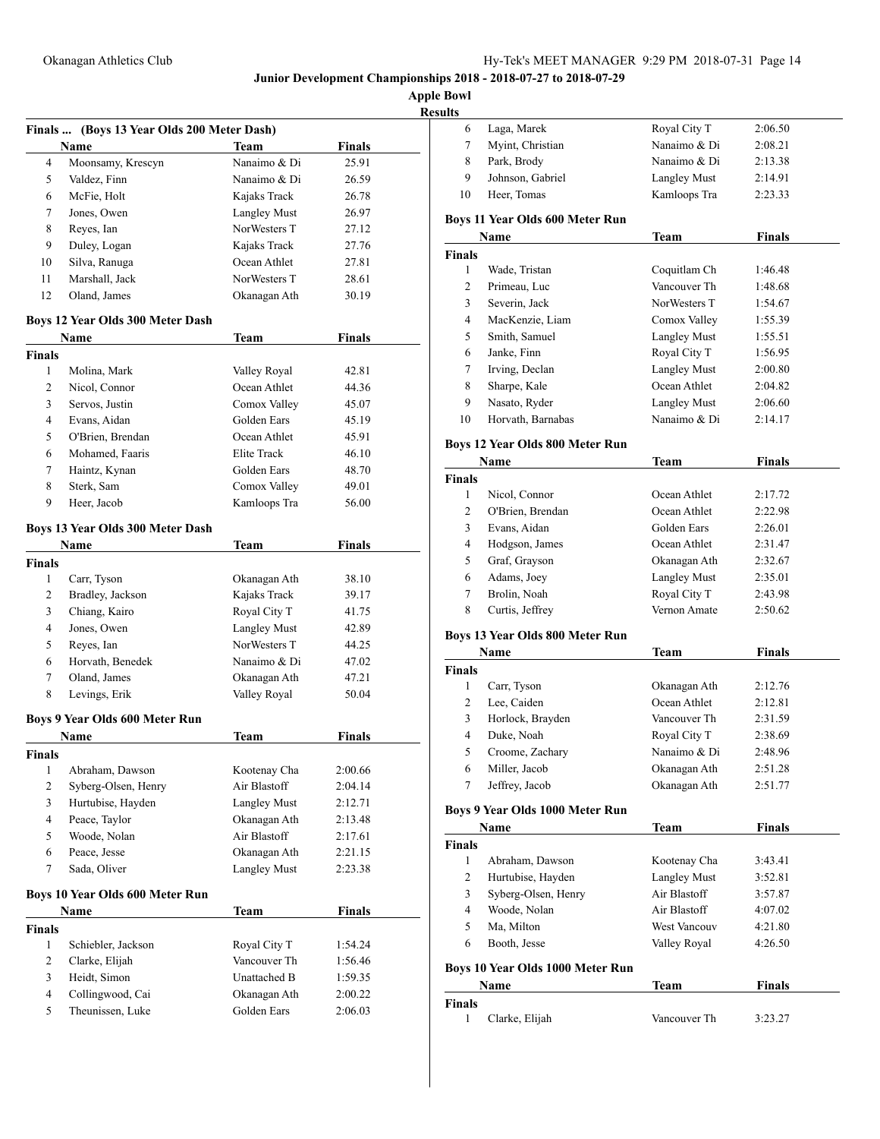**Apple Bowl**

| <b>Results</b> |
|----------------|
|----------------|

|                |                                            |                     | $\mathbf{R}$  |
|----------------|--------------------------------------------|---------------------|---------------|
|                | Finals  (Boys 13 Year Olds 200 Meter Dash) |                     |               |
|                | Name                                       | Team                | <b>Finals</b> |
| 4              | Moonsamy, Krescyn                          | Nanaimo & Di        | 25.91         |
| 5              | Valdez, Finn                               | Nanaimo & Di        | 26.59         |
| 6              | McFie, Holt                                | Kajaks Track        | 26.78         |
| 7              | Jones, Owen                                | <b>Langley Must</b> | 26.97         |
| 8              | Reyes, Ian                                 | NorWesters T        | 27.12         |
| 9              | Duley, Logan                               | Kajaks Track        | 27.76         |
| 10             | Silva, Ranuga                              | Ocean Athlet        | 27.81         |
| 11             | Marshall, Jack                             | NorWesters T        | 28.61         |
| 12             | Oland, James                               | Okanagan Ath        | 30.19         |
|                | Boys 12 Year Olds 300 Meter Dash           |                     |               |
|                | Name                                       | Team                | <b>Finals</b> |
| <b>Finals</b>  |                                            |                     |               |
| 1              | Molina, Mark                               | Valley Royal        | 42.81         |
| 2              | Nicol, Connor                              | Ocean Athlet        | 44.36         |
| 3              | Servos, Justin                             | Comox Valley        | 45.07         |
| 4              | Evans, Aidan                               | Golden Ears         | 45.19         |
| 5              | O'Brien, Brendan                           | Ocean Athlet        | 45.91         |
| 6              | Mohamed, Faaris                            | Elite Track         | 46.10         |
| 7              | Haintz, Kynan                              | Golden Ears         | 48.70         |
| 8              | Sterk, Sam                                 | Comox Valley        | 49.01         |
| 9              | Heer, Jacob                                | Kamloops Tra        | 56.00         |
|                | Boys 13 Year Olds 300 Meter Dash           |                     |               |
|                | Name                                       | Team                | <b>Finals</b> |
| <b>Finals</b>  |                                            |                     |               |
| 1              | Carr, Tyson                                | Okanagan Ath        | 38.10         |
| 2              | Bradley, Jackson                           | Kajaks Track        | 39.17         |
| 3              | Chiang, Kairo                              | Royal City T        | 41.75         |
| 4              | Jones, Owen                                | <b>Langley Must</b> | 42.89         |
| 5              | Reyes, Ian                                 | NorWesters T        | 44.25         |
| 6              | Horvath, Benedek                           | Nanaimo & Di        | 47.02         |
| 7              | Oland, James                               | Okanagan Ath        | 47.21         |
| 8              | Levings, Erik                              | Valley Royal        | 50.04         |
|                | <b>Boys 9 Year Olds 600 Meter Run</b>      |                     |               |
|                | Name                                       | Team                | Finals        |
| Finals         |                                            |                     |               |
| 1              | Abraham, Dawson                            | Kootenay Cha        | 2:00.66       |
| $\overline{c}$ | Syberg-Olsen, Henry                        | Air Blastoff        | 2:04.14       |
| 3              | Hurtubise, Hayden                          | <b>Langley Must</b> | 2:12.71       |
| 4              | Peace, Taylor                              | Okanagan Ath        | 2:13.48       |
| 5              | Woode, Nolan                               | Air Blastoff        | 2:17.61       |
| 6              | Peace, Jesse                               | Okanagan Ath        | 2:21.15       |
| 7              | Sada, Oliver                               | Langley Must        | 2:23.38       |
|                | <b>Boys 10 Year Olds 600 Meter Run</b>     |                     |               |
|                | Name                                       | Team                | <b>Finals</b> |
| <b>Finals</b>  |                                            |                     |               |
| $\mathbf{1}$   | Schiebler, Jackson                         | Royal City T        | 1:54.24       |
| 2              | Clarke, Elijah                             | Vancouver Th        | 1:56.46       |
| 3              | Heidt, Simon                               | Unattached B        | 1:59.35       |
| 4              | Collingwood, Cai                           | Okanagan Ath        | 2:00.22       |
| 5              | Theunissen, Luke                           | Golden Ears         | 2:06.03       |

| s  |                  |                     |         |  |
|----|------------------|---------------------|---------|--|
|    | Laga, Marek      | Royal City T        | 2:06.50 |  |
|    | Myint, Christian | Nanaimo & Di        | 2:08.21 |  |
| 8  | Park, Brody      | Nanaimo & Di        | 2:13.38 |  |
| 9  | Johnson, Gabriel | <b>Langley Must</b> | 2:14.91 |  |
| 10 | Heer, Tomas      | Kamloops Tra        | 2:23.33 |  |
|    |                  |                     |         |  |

### **Boys 11 Year Olds 600 Meter Run**

|               | Name              | Team         | Finals  |  |
|---------------|-------------------|--------------|---------|--|
| <b>Finals</b> |                   |              |         |  |
| 1             | Wade, Tristan     | Coquitlam Ch | 1:46.48 |  |
| 2             | Primeau, Luc      | Vancouver Th | 1:48.68 |  |
| 3             | Severin, Jack     | NorWesters T | 1:54.67 |  |
| 4             | MacKenzie, Liam   | Comox Valley | 1:55.39 |  |
| 5             | Smith, Samuel     | Langley Must | 1:55.51 |  |
| 6             | Janke, Finn       | Royal City T | 1:56.95 |  |
| 7             | Irving, Declan    | Langley Must | 2:00.80 |  |
| 8             | Sharpe, Kale      | Ocean Athlet | 2:04.82 |  |
| 9             | Nasato, Ryder     | Langley Must | 2:06.60 |  |
| 10            | Horvath, Barnabas | Nanaimo & Di | 2:14.17 |  |

### **Boys 12 Year Olds 800 Meter Run**

| Name             | Team                | Finals  |  |
|------------------|---------------------|---------|--|
|                  |                     |         |  |
| Nicol, Connor    | Ocean Athlet        | 2:17.72 |  |
| O'Brien, Brendan | Ocean Athlet        | 2:22.98 |  |
| Evans, Aidan     | Golden Ears         | 2:26.01 |  |
| Hodgson, James   | Ocean Athlet        | 2:31.47 |  |
| Graf, Grayson    | Okanagan Ath        | 2:32.67 |  |
| Adams, Joey      | <b>Langley Must</b> | 2:35.01 |  |
| Brolin, Noah     | Royal City T        | 2:43.98 |  |
| Curtis, Jeffrey  | Vernon Amate        | 2:50.62 |  |
|                  |                     |         |  |

### **Boys 13 Year Olds 800 Meter Run**

| Name          |                  | Team         | <b>Finals</b> |  |
|---------------|------------------|--------------|---------------|--|
| <b>Finals</b> |                  |              |               |  |
|               | Carr, Tyson      | Okanagan Ath | 2:12.76       |  |
| 2             | Lee, Caiden      | Ocean Athlet | 2:12.81       |  |
| 3             | Horlock, Brayden | Vancouver Th | 2:31.59       |  |
| 4             | Duke, Noah       | Royal City T | 2:38.69       |  |
| 5             | Croome, Zachary  | Nanaimo & Di | 2:48.96       |  |
| 6             | Miller, Jacob    | Okanagan Ath | 2:51.28       |  |
|               | Jeffrey, Jacob   | Okanagan Ath | 2:51.77       |  |

### **Boys 9 Year Olds 1000 Meter Run**

|               | Name                             | Team                | <b>Finals</b> |  |
|---------------|----------------------------------|---------------------|---------------|--|
| <b>Finals</b> |                                  |                     |               |  |
| 1             | Abraham, Dawson                  | Kootenay Cha        | 3:43.41       |  |
| 2             | Hurtubise, Hayden                | <b>Langley Must</b> | 3:52.81       |  |
| 3             | Syberg-Olsen, Henry              | Air Blastoff        | 3:57.87       |  |
| 4             | Woode, Nolan                     | Air Blastoff        | 4:07.02       |  |
| 5             | Ma, Milton                       | <b>West Vancouv</b> | 4:21.80       |  |
| 6             | Booth, Jesse                     | Valley Royal        | 4:26.50       |  |
|               | Boys 10 Year Olds 1000 Meter Run |                     |               |  |
|               | Name                             | Team                | <b>Finals</b> |  |
| <b>Finals</b> |                                  |                     |               |  |
| 1             | Clarke, Elijah                   | Vancouver Th        | 3:23.27       |  |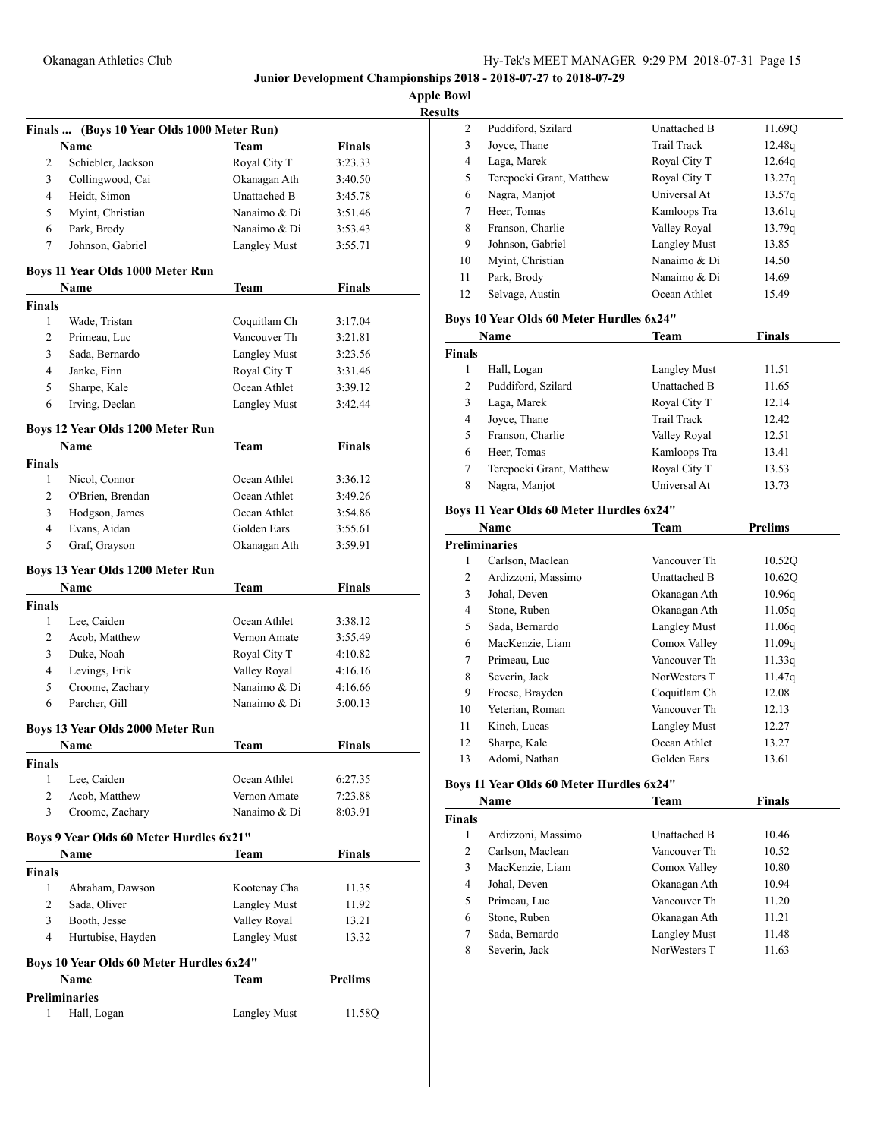**Apple Bowl**

| Results |
|---------|
|---------|

|                | Finals  (Boys 10 Year Olds 1000 Meter Run) |                     |                |
|----------------|--------------------------------------------|---------------------|----------------|
|                | Name                                       | Team                | <b>Finals</b>  |
| 2              | Schiebler, Jackson                         | Royal City T        | 3:23.33        |
| 3              | Collingwood, Cai                           | Okanagan Ath        | 3:40.50        |
| 4              | Heidt, Simon                               | Unattached B        | 3:45.78        |
| 5              | Myint, Christian                           | Nanaimo & Di        | 3:51.46        |
| 6              | Park, Brody                                | Nanaimo & Di        | 3:53.43        |
| 7              | Johnson, Gabriel                           | <b>Langley Must</b> | 3:55.71        |
|                | Boys 11 Year Olds 1000 Meter Run           |                     |                |
|                | Name                                       | Team                | Finals         |
| <b>Finals</b>  |                                            |                     |                |
| 1              | Wade, Tristan                              | Coquitlam Ch        | 3:17.04        |
| 2              | Primeau, Luc                               | Vancouver Th        | 3:21.81        |
| 3              | Sada, Bernardo                             | <b>Langley Must</b> | 3:23.56        |
| 4              | Janke, Finn                                | Royal City T        | 3:31.46        |
| 5              | Sharpe, Kale                               | Ocean Athlet        | 3:39.12        |
| 6              | Irving, Declan                             | <b>Langley Must</b> | 3:42.44        |
|                | Boys 12 Year Olds 1200 Meter Run           |                     |                |
|                | Name                                       | <b>Team</b>         | <b>Finals</b>  |
| <b>Finals</b>  |                                            |                     |                |
| 1              | Nicol, Connor                              | Ocean Athlet        | 3:36.12        |
| $\overline{c}$ | O'Brien, Brendan                           | Ocean Athlet        | 3:49.26        |
| 3              | Hodgson, James                             | Ocean Athlet        | 3:54.86        |
| 4              | Evans, Aidan                               | Golden Ears         | 3:55.61        |
| 5              | Graf, Grayson                              | Okanagan Ath        | 3:59.91        |
|                |                                            |                     |                |
|                | Boys 13 Year Olds 1200 Meter Run           |                     |                |
|                | Name                                       | Team                | <b>Finals</b>  |
| <b>Finals</b>  |                                            |                     |                |
| 1              | Lee, Caiden                                | Ocean Athlet        | 3:38.12        |
| 2              | Acob, Matthew                              | Vernon Amate        | 3:55.49        |
| 3              | Duke, Noah                                 | Royal City T        | 4:10.82        |
| 4              | Levings, Erik                              | Valley Royal        | 4:16.16        |
| 5              | Croome, Zachary                            | Nanaimo & Di        | 4:16.66        |
| 6              | Parcher, Gill                              | Nanaimo & Di        | 5:00.13        |
|                | Boys 13 Year Olds 2000 Meter Run           |                     |                |
|                | Name                                       | Team                | Finals         |
| Finals         |                                            |                     |                |
| 1              | Lee, Caiden                                | Ocean Athlet        | 6:27.35        |
| 2<br>3         | Acob, Matthew                              | Vernon Amate        | 7:23.88        |
|                | Croome, Zachary                            | Nanaimo & Di        | 8:03.91        |
|                | Boys 9 Year Olds 60 Meter Hurdles 6x21"    |                     |                |
|                | Name                                       | Team                | <b>Finals</b>  |
| <b>Finals</b>  |                                            |                     |                |
| 1              | Abraham, Dawson                            | Kootenay Cha        | 11.35          |
| 2              | Sada, Oliver                               | <b>Langley Must</b> | 11.92          |
| 3              | Booth, Jesse                               | Valley Royal        | 13.21          |
| 4              | Hurtubise, Hayden                          | <b>Langley Must</b> | 13.32          |
|                | Boys 10 Year Olds 60 Meter Hurdles 6x24"   |                     |                |
|                | Name                                       | Team                | <b>Prelims</b> |
|                | <b>Preliminaries</b>                       |                     |                |
| 1              | Hall, Logan                                | <b>Langley Must</b> | 11.58Q         |

| IS. |                          |              |        |  |
|-----|--------------------------|--------------|--------|--|
| 2   | Puddiford, Szilard       | Unattached B | 11.690 |  |
| 3   | Joyce, Thane             | Trail Track  | 12.48q |  |
| 4   | Laga, Marek              | Royal City T | 12.64q |  |
| 5   | Terepocki Grant, Matthew | Royal City T | 13.27q |  |
| 6   | Nagra, Manjot            | Universal At | 13.57q |  |
| 7   | Heer, Tomas              | Kamloops Tra | 13.61q |  |
| 8   | Franson, Charlie         | Valley Royal | 13.79q |  |
| 9   | Johnson, Gabriel         | Langley Must | 13.85  |  |
| 10  | Myint, Christian         | Nanaimo & Di | 14.50  |  |
| 11  | Park, Brody              | Nanaimo & Di | 14.69  |  |
| 12  | Selvage, Austin          | Ocean Athlet | 15.49  |  |

# **Boys 10 Year Olds 60 Meter Hurdles 6x24"**

|               | Name                     | Team                | Finals |  |
|---------------|--------------------------|---------------------|--------|--|
| <b>Finals</b> |                          |                     |        |  |
|               | Hall, Logan              | <b>Langley Must</b> | 11.51  |  |
| 2             | Puddiford, Szilard       | Unattached B        | 11.65  |  |
| 3             | Laga, Marek              | Royal City T        | 12.14  |  |
| 4             | Joyce, Thane             | Trail Track         | 12.42  |  |
| 5             | Franson, Charlie         | Valley Royal        | 12.51  |  |
| 6             | Heer, Tomas              | Kamloops Tra        | 13.41  |  |
| 7             | Terepocki Grant, Matthew | Royal City T        | 13.53  |  |
| 8             | Nagra, Manjot            | Universal At        | 13.73  |  |

# **Boys 11 Year Olds 60 Meter Hurdles 6x24"**

|    | Name                 | <b>Team</b>         | <b>Prelims</b>     |  |
|----|----------------------|---------------------|--------------------|--|
|    | <b>Preliminaries</b> |                     |                    |  |
| 1  | Carlson, Maclean     | Vancouver Th        | 10.52Q             |  |
| 2  | Ardizzoni, Massimo   | <b>Unattached B</b> | 10.620             |  |
| 3  | Johal, Deven         | Okanagan Ath        | 10.96q             |  |
| 4  | Stone, Ruben         | Okanagan Ath        | 11.05q             |  |
| 5  | Sada, Bernardo       | Langley Must        | 11.06q             |  |
| 6  | MacKenzie, Liam      | Comox Valley        | 11.09q             |  |
| 7  | Primeau, Luc         | Vancouver Th        | 11.33q             |  |
| 8  | Severin, Jack        | NorWesters T        | 11.47 <sub>q</sub> |  |
| 9  | Froese, Brayden      | Coquitlam Ch        | 12.08              |  |
| 10 | Yeterian, Roman      | Vancouver Th        | 12.13              |  |
| 11 | Kinch, Lucas         | Langley Must        | 12.27              |  |
| 12 | Sharpe, Kale         | Ocean Athlet        | 13.27              |  |
| 13 | Adomi, Nathan        | Golden Ears         | 13.61              |  |

# **Boys 11 Year Olds 60 Meter Hurdles 6x24"**

|               | Name               | Team                | <b>Finals</b> |  |
|---------------|--------------------|---------------------|---------------|--|
| <b>Finals</b> |                    |                     |               |  |
|               | Ardizzoni, Massimo | <b>Unattached B</b> | 10.46         |  |
| 2             | Carlson, Maclean   | Vancouver Th        | 10.52         |  |
| 3             | MacKenzie, Liam    | Comox Valley        | 10.80         |  |
| 4             | Johal, Deven       | Okanagan Ath        | 10.94         |  |
| 5             | Primeau, Luc       | Vancouver Th        | 11.20         |  |
| 6             | Stone, Ruben       | Okanagan Ath        | 11.21         |  |
| 7             | Sada, Bernardo     | <b>Langley Must</b> | 11.48         |  |
| 8             | Severin, Jack      | NorWesters T        | 11.63         |  |
|               |                    |                     |               |  |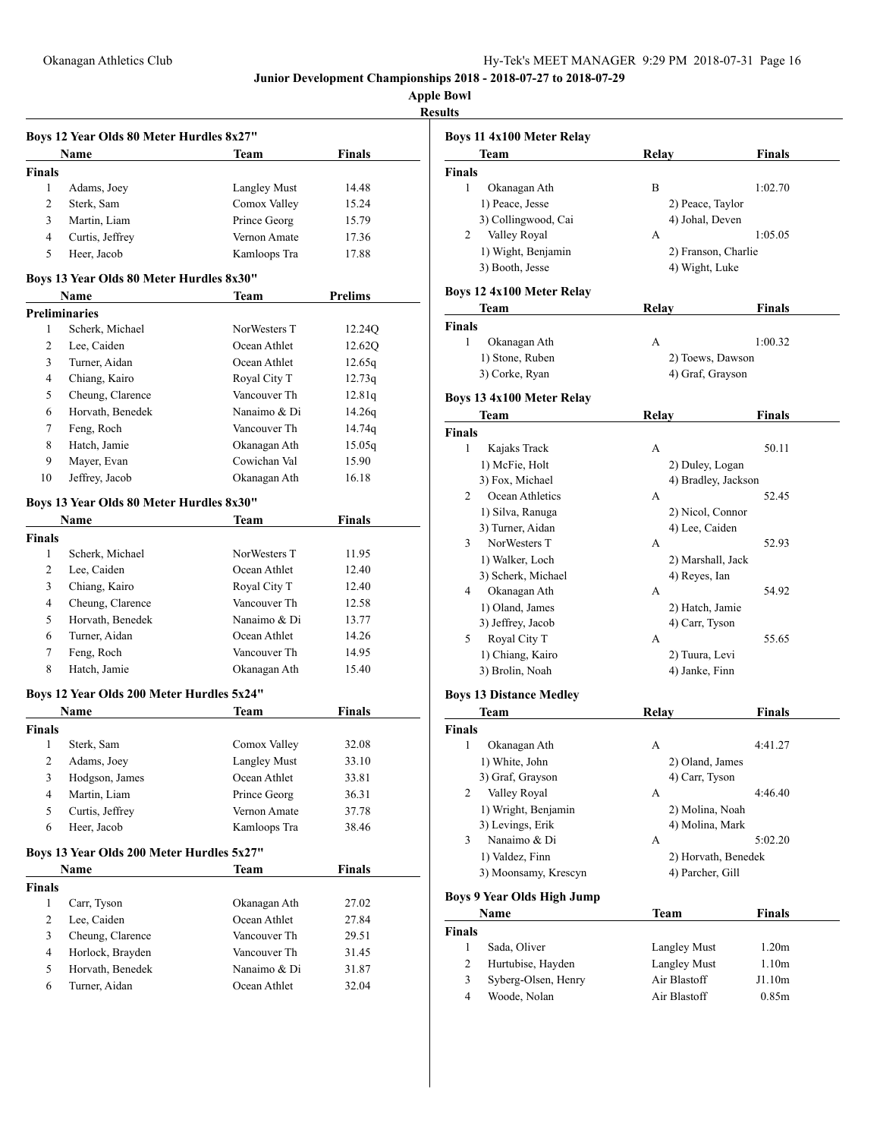| Hy-Tek's MEET MANAGER 9:29 PM 2018-07-31 Page 16 |  |  |  |
|--------------------------------------------------|--|--|--|
|--------------------------------------------------|--|--|--|

**Apple Bowl Results**

|                | Boys 12 Year Olds 80 Meter Hurdles 8x27"  |              |                |
|----------------|-------------------------------------------|--------------|----------------|
|                | Name                                      | <b>Team</b>  | <b>Finals</b>  |
| Finals         |                                           |              |                |
| 1              | Adams, Joey                               | Langley Must | 14.48          |
| $\overline{c}$ | Sterk, Sam                                | Comox Valley | 15.24          |
| 3              | Martin, Liam                              | Prince Georg | 15.79          |
| 4              | Curtis, Jeffrey                           | Vernon Amate | 17.36          |
| 5              | Heer, Jacob                               | Kamloops Tra | 17.88          |
|                | Boys 13 Year Olds 80 Meter Hurdles 8x30"  |              |                |
|                | Name                                      | Team         | <b>Prelims</b> |
|                | <b>Preliminaries</b>                      |              |                |
| 1              | Scherk, Michael                           | NorWesters T | 12.24Q         |
| 2              | Lee, Caiden                               | Ocean Athlet | 12.62Q         |
| 3              | Turner, Aidan                             | Ocean Athlet | 12.65q         |
| 4              | Chiang, Kairo                             | Royal City T | 12.73q         |
| 5              | Cheung, Clarence                          | Vancouver Th | 12.81q         |
| 6              | Horvath, Benedek                          | Nanaimo & Di | 14.26q         |
| 7              | Feng, Roch                                | Vancouver Th | 14.74q         |
| 8              | Hatch, Jamie                              | Okanagan Ath | 15.05q         |
| 9              | Mayer, Evan                               | Cowichan Val | 15.90          |
| 10             | Jeffrey, Jacob                            | Okanagan Ath | 16.18          |
|                |                                           |              |                |
|                | Boys 13 Year Olds 80 Meter Hurdles 8x30"  |              |                |
|                | Name                                      | Team         | <b>Finals</b>  |
| <b>Finals</b>  |                                           |              |                |
| 1              | Scherk, Michael                           | NorWesters T | 11.95          |
| 2              | Lee, Caiden                               | Ocean Athlet | 12.40          |
| 3              | Chiang, Kairo                             | Royal City T | 12.40          |
| 4              | Cheung, Clarence                          | Vancouver Th | 12.58          |
| 5              | Horvath, Benedek                          | Nanaimo & Di | 13.77          |
| 6              | Turner, Aidan                             | Ocean Athlet | 14.26          |
| 7              | Feng, Roch                                | Vancouver Th | 14.95          |
| 8              | Hatch, Jamie                              | Okanagan Ath | 15.40          |
|                | Boys 12 Year Olds 200 Meter Hurdles 5x24" |              |                |
|                | <b>Name</b>                               | Team         | <b>Finals</b>  |
| <b>Finals</b>  |                                           |              |                |
| 1              | Sterk, Sam                                | Comox Valley | 32.08          |
| 2              | Adams, Joey                               | Langley Must | 33.10          |
| 3              | Hodgson, James                            | Ocean Athlet | 33.81          |
| 4              | Martin, Liam                              | Prince Georg | 36.31          |
| 5              | Curtis, Jeffrey                           | Vernon Amate | 37.78          |
| 6              | Heer, Jacob                               | Kamloops Tra | 38.46          |
|                | Boys 13 Year Olds 200 Meter Hurdles 5x27" |              |                |
|                | <b>Name</b>                               |              | <b>Finals</b>  |
| <b>Finals</b>  |                                           | Team         |                |
| $\mathbf{1}$   | Carr, Tyson                               | Okanagan Ath | 27.02          |
| 2              | Lee, Caiden                               | Ocean Athlet | 27.84          |
| 3              | Cheung, Clarence                          | Vancouver Th | 29.51          |
| 4              | Horlock, Brayden                          | Vancouver Th | 31.45          |
| 5              | Horvath, Benedek                          | Nanaimo & Di | 31.87          |
| 6              | Turner, Aidan                             | Ocean Athlet | 32.04          |
|                |                                           |              |                |

| นเเร                              |                     |                     |
|-----------------------------------|---------------------|---------------------|
| <b>Boys 11 4x100 Meter Relay</b>  |                     |                     |
| Team                              | Relay               | <b>Finals</b>       |
| <b>Finals</b>                     |                     |                     |
| 1<br>Okanagan Ath                 | B                   | 1:02.70             |
| 1) Peace, Jesse                   | 2) Peace, Taylor    |                     |
| 3) Collingwood, Cai               | 4) Johal, Deven     |                     |
| Valley Royal<br>2                 | А                   | 1:05.05             |
| 1) Wight, Benjamin                | 2) Franson, Charlie |                     |
| 3) Booth, Jesse                   |                     |                     |
|                                   | 4) Wight, Luke      |                     |
| <b>Boys 12 4x100 Meter Relay</b>  |                     |                     |
| Team                              | Relay               | <b>Finals</b>       |
| <b>Finals</b>                     |                     |                     |
| $\mathbf{1}$<br>Okanagan Ath      | A                   | 1:00.32             |
| 1) Stone, Ruben                   | 2) Toews, Dawson    |                     |
| 3) Corke, Ryan                    | 4) Graf, Grayson    |                     |
|                                   |                     |                     |
| Boys 13 4x100 Meter Relay         |                     |                     |
| Team                              | <b>Relay</b>        | Finals              |
| Finals                            |                     |                     |
| 1<br>Kajaks Track                 | A                   | 50.11               |
| 1) McFie, Holt                    | 2) Duley, Logan     |                     |
| 3) Fox, Michael                   | 4) Bradley, Jackson |                     |
| Ocean Athletics<br>2              | A                   | 52.45               |
| 1) Silva, Ranuga                  | 2) Nicol, Connor    |                     |
| 3) Turner, Aidan                  | 4) Lee, Caiden      |                     |
| NorWesters T<br>3                 | А                   | 52.93               |
| 1) Walker, Loch                   | 2) Marshall, Jack   |                     |
| 3) Scherk, Michael                | 4) Reyes, Ian       |                     |
| Okanagan Ath<br>4                 | A                   | 54.92               |
| 1) Oland, James                   | 2) Hatch, Jamie     |                     |
| 3) Jeffrey, Jacob                 | 4) Carr, Tyson      |                     |
| Royal City T<br>5                 | A                   | 55.65               |
|                                   |                     |                     |
| 1) Chiang, Kairo                  | 2) Tuura, Levi      |                     |
| 3) Brolin, Noah                   | 4) Janke, Finn      |                     |
| <b>Boys 13 Distance Medley</b>    |                     |                     |
| Team                              | Relav               | Finals              |
| Finals                            |                     |                     |
| Okanagan Ath<br>1                 | А                   | 4:41.27             |
| 1) White, John                    | 2) Oland, James     |                     |
| 3) Graf, Grayson                  | 4) Carr, Tyson      |                     |
| 2<br>Valley Royal                 | A                   | 4:46.40             |
| 1) Wright, Benjamin               | 2) Molina, Noah     |                     |
| 3) Levings, Erik                  | 4) Molina, Mark     |                     |
| 3<br>Nanaimo & Di                 | A                   | 5:02.20             |
|                                   |                     |                     |
| 1) Valdez, Finn                   |                     | 2) Horvath, Benedek |
| 3) Moonsamy, Krescyn              | 4) Parcher, Gill    |                     |
| <b>Boys 9 Year Olds High Jump</b> |                     |                     |
| Name                              | Team                | <b>Finals</b>       |
| Finals                            |                     |                     |
| 1<br>Sada, Oliver                 | <b>Langley Must</b> | 1.20m               |
| 2<br>Hurtubise, Hayden            | <b>Langley Must</b> | 1.10m               |
| 3<br>Syberg-Olsen, Henry          | Air Blastoff        | J1.10m              |
| Woode, Nolan<br>4                 | Air Blastoff        | 0.85m               |
|                                   |                     |                     |
|                                   |                     |                     |
|                                   |                     |                     |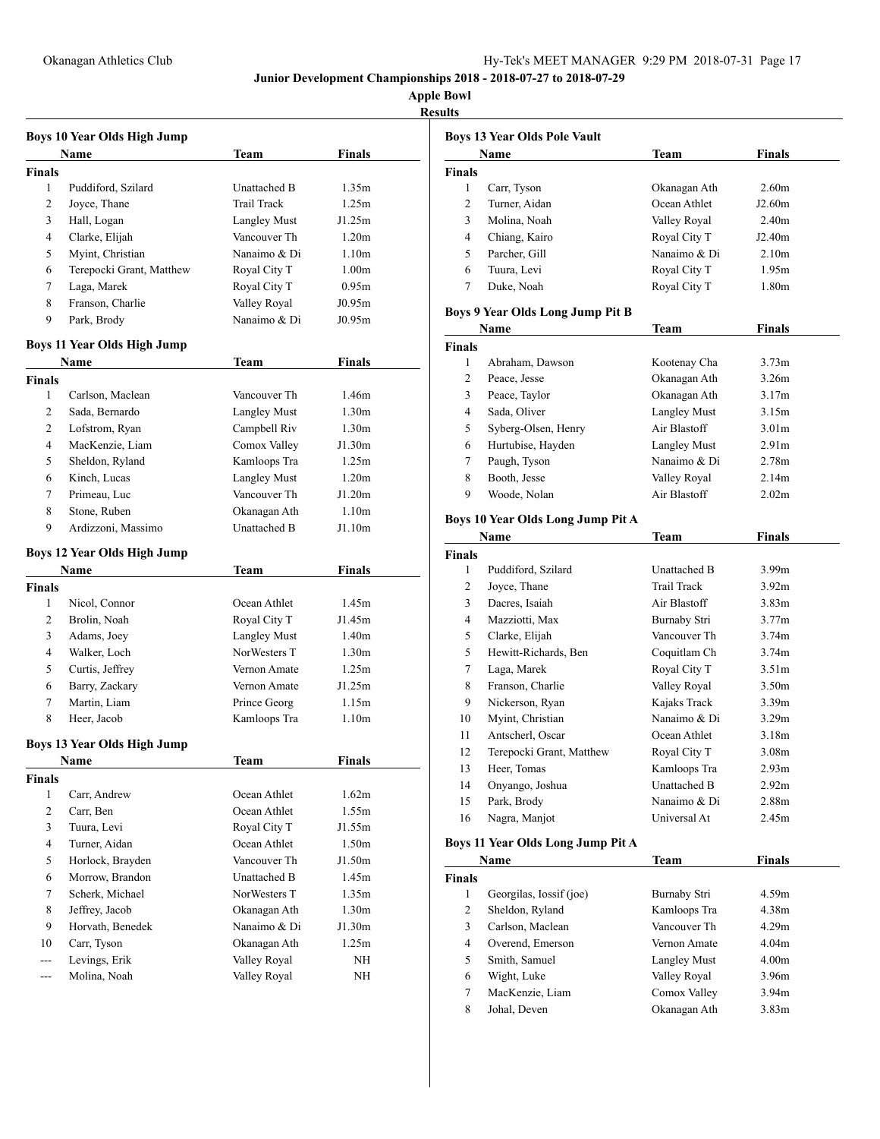| ۰ |
|---|
|   |

|                | Boys 10 Year Olds High Jump        |                              |                   |  |
|----------------|------------------------------------|------------------------------|-------------------|--|
|                | Name                               | Team                         | Finals            |  |
| <b>Finals</b>  |                                    |                              |                   |  |
| 1              | Puddiford, Szilard                 | Unattached B                 | 1.35m             |  |
| 2              | Joyce, Thane                       | <b>Trail Track</b>           | 1.25m             |  |
| 3              | Hall, Logan                        | <b>Langley Must</b>          | J1.25m            |  |
| 4              | Clarke, Elijah                     | Vancouver Th                 | 1.20m             |  |
| 5              | Myint, Christian                   | Nanaimo & Di                 | 1.10 <sub>m</sub> |  |
| 6              | Terepocki Grant, Matthew           | Royal City T                 | 1.00 <sub>m</sub> |  |
| 7              | Laga, Marek                        | Royal City T                 | 0.95m             |  |
| 8              | Franson, Charlie                   | Valley Royal                 | J0.95m            |  |
| 9              | Park, Brody                        | Nanaimo & Di                 | J0.95m            |  |
|                |                                    |                              |                   |  |
|                | Boys 11 Year Olds High Jump        |                              |                   |  |
|                | Name                               | Team                         | Finals            |  |
| Finals         |                                    |                              |                   |  |
| 1              | Carlson, Maclean                   | Vancouver Th                 | 1.46m             |  |
| 2              | Sada, Bernardo                     | <b>Langley Must</b>          | 1.30 <sub>m</sub> |  |
| $\overline{2}$ | Lofstrom, Ryan                     | Campbell Riv                 | 1.30 <sub>m</sub> |  |
| 4              | MacKenzie, Liam                    | Comox Valley                 | J1.30m            |  |
| 5              | Sheldon, Ryland                    | Kamloops Tra                 | 1.25m             |  |
| 6              | Kinch, Lucas                       | <b>Langley Must</b>          | 1.20m             |  |
| 7              | Primeau, Luc                       | Vancouver Th                 | J1.20m            |  |
| 8              | Stone, Ruben                       | Okanagan Ath                 | 1.10m             |  |
| 9              | Ardizzoni, Massimo                 | <b>Unattached B</b>          | J1.10m            |  |
|                | <b>Boys 12 Year Olds High Jump</b> |                              |                   |  |
|                | Name                               | Team                         | Finals            |  |
| <b>Finals</b>  |                                    |                              |                   |  |
| 1              | Nicol, Connor                      | Ocean Athlet                 | 1.45m             |  |
| 2              | Brolin, Noah                       | Royal City T                 | J1.45m            |  |
| 3              | Adams, Joey                        | <b>Langley Must</b>          | 1.40m             |  |
| 4              | Walker, Loch                       | NorWesters T                 | 1.30 <sub>m</sub> |  |
| 5              | Curtis, Jeffrey                    | Vernon Amate                 | 1.25m             |  |
| 6              | Barry, Zackary                     | Vernon Amate                 | J1.25m            |  |
| 7              | Martin, Liam                       | Prince Georg                 | 1.15m             |  |
| 8              | Heer, Jacob                        | Kamloops Tra                 | 1.10 <sub>m</sub> |  |
|                |                                    |                              |                   |  |
|                | <b>Boys 13 Year Olds High Jump</b> |                              |                   |  |
|                | Name                               | Team                         | Finals            |  |
| Finals         |                                    |                              |                   |  |
| 1              | Carr, Andrew                       | Ocean Athlet                 | 1.62m             |  |
| 2              | Carr, Ben                          | Ocean Athlet                 | 1.55m             |  |
| 3              | Tuura, Levi                        | Royal City T                 | J1.55m            |  |
| 4              | Turner, Aidan                      | Ocean Athlet                 | 1.50m             |  |
| 5              | Horlock, Brayden                   | Vancouver Th                 | J1.50m            |  |
| 6              | Morrow, Brandon                    | Unattached B                 | 1.45m             |  |
| 7              | Scherk, Michael                    | NorWesters T                 | 1.35m             |  |
| 8              | Jeffrey, Jacob                     | Okanagan Ath                 | 1.30 <sub>m</sub> |  |
| 9              | Horvath, Benedek                   | Nanaimo & Di                 | J1.30m            |  |
| 10             |                                    |                              |                   |  |
|                | Carr, Tyson                        | Okanagan Ath                 | 1.25m             |  |
| ---<br>---     | Levings, Erik<br>Molina, Noah      | Valley Royal<br>Valley Royal | NΗ<br>NΗ          |  |

|                | <b>Boys 13 Year Olds Pole Vault</b>     |                     |                   |
|----------------|-----------------------------------------|---------------------|-------------------|
|                | Name                                    | Team                | <b>Finals</b>     |
| <b>Finals</b>  |                                         |                     |                   |
| 1              | Carr, Tyson                             | Okanagan Ath        | 2.60m             |
| 2              | Turner, Aidan                           | Ocean Athlet        | J2.60m            |
| 3              | Molina, Noah                            | Valley Royal        | 2.40m             |
| 4              | Chiang, Kairo                           | Royal City T        | J2.40m            |
| 5              | Parcher, Gill                           | Nanaimo & Di        | 2.10 <sub>m</sub> |
| 6              | Tuura, Levi                             | Royal City T        | 1.95m             |
| 7              | Duke, Noah                              | Royal City T        | 1.80m             |
|                | <b>Boys 9 Year Olds Long Jump Pit B</b> |                     |                   |
|                | Name                                    | Team                | <b>Finals</b>     |
| <b>Finals</b>  |                                         |                     |                   |
| 1              | Abraham, Dawson                         | Kootenay Cha        | 3.73 <sub>m</sub> |
| 2              | Peace, Jesse                            | Okanagan Ath        | 3.26m             |
| 3              | Peace, Taylor                           | Okanagan Ath        | 3.17m             |
| 4              | Sada, Oliver                            |                     | 3.15m             |
|                |                                         | <b>Langley Must</b> |                   |
| 5              | Syberg-Olsen, Henry                     | Air Blastoff        | 3.01 <sub>m</sub> |
| 6              | Hurtubise, Hayden                       | <b>Langley Must</b> | 2.91 <sub>m</sub> |
| 7              | Paugh, Tyson                            | Nanaimo & Di        | 2.78m             |
| 8              | Booth, Jesse                            | Valley Royal        | 2.14m             |
| 9              | Woode, Nolan                            | Air Blastoff        | 2.02 <sub>m</sub> |
|                | Boys 10 Year Olds Long Jump Pit A       |                     |                   |
|                | Name                                    | Team                | Finals            |
| <b>Finals</b>  |                                         |                     |                   |
| 1              | Puddiford, Szilard                      | Unattached B        | 3.99m             |
| 2              | Joyce, Thane                            | <b>Trail Track</b>  | 3.92 <sub>m</sub> |
| 3              | Dacres, Isaiah                          | Air Blastoff        | 3.83m             |
| 4              | Mazziotti, Max                          | Burnaby Stri        | 3.77m             |
| 5              | Clarke, Elijah                          | Vancouver Th        | 3.74m             |
| 5              | Hewitt-Richards, Ben                    | Coquitlam Ch        | 3.74m             |
| 7              | Laga, Marek                             | Royal City T        | 3.51m             |
| 8              | Franson, Charlie                        | Valley Royal        | 3.50m             |
| 9              | Nickerson, Ryan                         | Kajaks Track        | 3.39 <sub>m</sub> |
| 10             | Myint, Christian                        | Nanaimo & Di        | 3.29m             |
| 11             | Antscherl, Oscar                        | Ocean Athlet        | 3.18m             |
| 12             | Terepocki Grant, Matthew                | Royal City T        | 3.08m             |
| 13             | Heer. Tomas                             | Kamloops Tra        | 2.93 <sub>m</sub> |
| 14             | Onyango, Joshua                         | Unattached B        | 2.92m             |
| 15             | Park, Brody                             | Nanaimo & Di        | 2.88m             |
| 16             | Nagra, Manjot                           | Universal At        | 2.45m             |
|                |                                         |                     |                   |
|                | Boys 11 Year Olds Long Jump Pit A       |                     |                   |
|                | Name                                    | Team                | Finals            |
| Finals         |                                         |                     |                   |
| 1              | Georgilas, Iossif (joe)                 | Burnaby Stri        | 4.59m             |
| $\mathfrak{2}$ | Sheldon, Ryland                         | Kamloops Tra        | 4.38m             |
| 3              | Carlson, Maclean                        | Vancouver Th        | 4.29m             |
| $\overline{4}$ | Overend, Emerson                        | Vernon Amate        | 4.04m             |
| 5              | Smith, Samuel                           | Langley Must        | 4.00m             |
| 6              | Wight, Luke                             | Valley Royal        | 3.96m             |
| 7              | MacKenzie, Liam                         | Comox Valley        | 3.94m             |
| 8              | Johal, Deven                            | Okanagan Ath        | 3.83m             |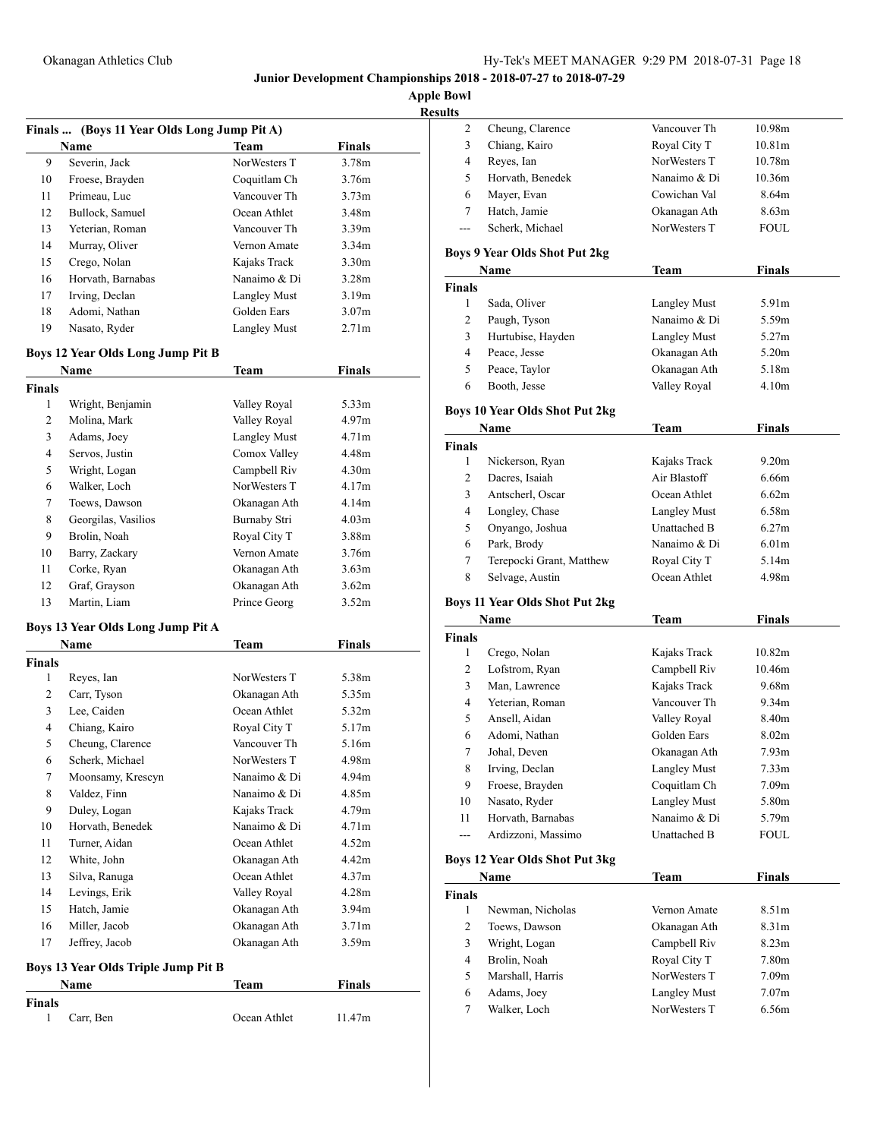Cheung, Clarence Vancouver Th 10.98m

**Junior Development Championships 2018 - 2018-07-27 to 2018-07-29**

**Apple Bowl**

**Results**

|               | Finals  (Boys 11 Year Olds Long Jump Pit A) |                     |                   |  |
|---------------|---------------------------------------------|---------------------|-------------------|--|
|               | Name                                        | Team                | <b>Finals</b>     |  |
| 9             | Severin, Jack                               | NorWesters T        | 3.78m             |  |
| 10            | Froese, Brayden                             | Coquitlam Ch        | 3.76m             |  |
| 11            | Primeau, Luc                                | Vancouver Th        | 3.73 <sub>m</sub> |  |
| 12            | Bullock, Samuel                             | Ocean Athlet        | 3.48m             |  |
| 13            | Yeterian, Roman                             | Vancouver Th        | 3.39 <sub>m</sub> |  |
| 14            | Murray, Oliver                              | Vernon Amate        | 3.34m             |  |
| 15            | Crego, Nolan                                | Kajaks Track        | 3.30 <sub>m</sub> |  |
| 16            | Horvath, Barnabas                           | Nanaimo & Di        | 3.28m             |  |
| 17            | Irving, Declan                              | <b>Langley Must</b> | 3.19m             |  |
| 18            | Adomi, Nathan                               | Golden Ears         | 3.07 <sub>m</sub> |  |
| 19            | Nasato, Ryder                               | <b>Langley Must</b> | 2.71 <sub>m</sub> |  |
|               | <b>Boys 12 Year Olds Long Jump Pit B</b>    |                     |                   |  |
|               | Name                                        | Team                | <b>Finals</b>     |  |
| <b>Finals</b> |                                             |                     |                   |  |
| $\mathbf{1}$  | Wright, Benjamin                            | Valley Royal        | 5.33m             |  |
| 2             | Molina, Mark                                | Valley Royal        | 4.97m             |  |
| 3             | Adams, Joey                                 | <b>Langley Must</b> | 4.71m             |  |
| 4             | Servos, Justin                              | Comox Valley        | 4.48m             |  |
| 5             | Wright, Logan                               | Campbell Riv        | 4.30m             |  |
| 6             | Walker, Loch                                | NorWesters T        | 4.17m             |  |
| 7             | Toews, Dawson                               | Okanagan Ath        | 4.14m             |  |
| 8             | Georgilas, Vasilios                         | Burnaby Stri        | 4.03 <sub>m</sub> |  |
| 9             | Brolin, Noah                                | Royal City T        | 3.88m             |  |
| 10            | Barry, Zackary                              | Vernon Amate        | 3.76m             |  |
| 11            | Corke, Ryan                                 | Okanagan Ath        | 3.63 <sub>m</sub> |  |
| 12            | Graf, Grayson                               | Okanagan Ath        | 3.62m             |  |
| 13            | Martin, Liam                                | Prince Georg        | 3.52 <sub>m</sub> |  |
|               | Boys 13 Year Olds Long Jump Pit A           |                     |                   |  |
|               | Name                                        | Team                | <b>Finals</b>     |  |
| <b>Finals</b> |                                             |                     |                   |  |
| 1             | Reyes, Ian                                  | NorWesters T        | 5.38m             |  |
| 2             | Carr, Tyson                                 | Okanagan Ath        | 5.35m             |  |
| 3             | Lee, Caiden                                 | Ocean Athlet        | 5.32m             |  |
| 4             | Chiang, Kairo                               | Royal City T        | 5.17m             |  |
| 5             | Cheung, Clarence                            | Vancouver Th        | 5.16m             |  |
| 6             | Scherk, Michael                             | NorWesters T        | 4.98m             |  |
| 7             | Moonsamy, Krescyn                           | Nanaimo & Di        | 4.94m             |  |
| 8             | Valdez, Finn                                | Nanaimo & Di        | 4.85m             |  |
| 9             | Duley, Logan                                | Kajaks Track        | 4.79m             |  |
| 10            | Horvath, Benedek                            | Nanaimo & Di        | 4.71m             |  |
| 11            | Turner, Aidan                               | Ocean Athlet        | 4.52m             |  |
| 12            | White, John                                 | Okanagan Ath        | 4.42m             |  |
| 13            | Silva, Ranuga                               | Ocean Athlet        | 4.37m             |  |
| 14            | Levings, Erik                               | Valley Royal        | 4.28m             |  |
| 15            | Hatch, Jamie                                | Okanagan Ath        | 3.94 <sub>m</sub> |  |
| 16            | Miller, Jacob                               | Okanagan Ath        | 3.71m             |  |
| 17            | Jeffrey, Jacob                              | Okanagan Ath        | 3.59 <sub>m</sub> |  |
|               | Boys 13 Year Olds Triple Jump Pit B         |                     |                   |  |
|               | Name                                        | <b>Team</b>         | <b>Finals</b>     |  |
| Finals        |                                             |                     |                   |  |
| 1             | Carr, Ben                                   | Ocean Athlet        | 11.47m            |  |

| 3                       | Chiang, Kairo                         | Royal City T        | 10.81m            |
|-------------------------|---------------------------------------|---------------------|-------------------|
| 4                       | Reyes, Ian                            | NorWesters T        | 10.78m            |
| 5                       | Horvath, Benedek                      | Nanaimo & Di        | 10.36m            |
| 6                       | Mayer, Evan                           | Cowichan Val        | 8.64m             |
| 7                       | Hatch, Jamie                          | Okanagan Ath        | 8.63m             |
| ---                     | Scherk, Michael                       | NorWesters T        | FOUL              |
|                         | <b>Boys 9 Year Olds Shot Put 2kg</b>  |                     |                   |
|                         | Name                                  | <b>Team</b>         | <b>Finals</b>     |
| <b>Finals</b>           |                                       |                     |                   |
| 1                       | Sada, Oliver                          | <b>Langley Must</b> | 5.91m             |
| 2                       | Paugh, Tyson                          | Nanaimo & Di        | 5.59m             |
| 3                       | Hurtubise, Hayden                     | <b>Langley Must</b> | 5.27m             |
| 4                       | Peace, Jesse                          | Okanagan Ath        | 5.20m             |
| 5                       | Peace, Taylor                         | Okanagan Ath        | 5.18m             |
| 6                       | Booth, Jesse                          | Valley Royal        | 4.10m             |
|                         | <b>Boys 10 Year Olds Shot Put 2kg</b> |                     |                   |
|                         | Name                                  | <b>Team</b>         | Finals            |
| <b>Finals</b>           |                                       |                     |                   |
| 1                       | Nickerson, Ryan                       | Kajaks Track        | 9.20 <sub>m</sub> |
| 2                       | Dacres, Isaiah                        | Air Blastoff        | 6.66m             |
| 3                       | Antscherl, Oscar                      | Ocean Athlet        | 6.62m             |
| 4                       | Longley, Chase                        | Langley Must        | 6.58m             |
| 5                       | Onyango, Joshua                       | Unattached B        | 6.27m             |
| 6                       | Park, Brody                           | Nanaimo & Di        | 6.01 <sub>m</sub> |
| 7                       | Terepocki Grant, Matthew              | Royal City T        | 5.14m             |
| 8                       | Selvage, Austin                       | Ocean Athlet        | 4.98m             |
|                         | <b>Boys 11 Year Olds Shot Put 2kg</b> |                     |                   |
|                         | Name                                  | Team                | Finals            |
| <b>Finals</b>           |                                       |                     |                   |
| 1                       | Crego, Nolan                          | Kajaks Track        | 10.82m            |
| 2                       | Lofstrom, Ryan                        | Campbell Riv        | 10.46m            |
| 3                       | Man, Lawrence                         | Kajaks Track        | 9.68m             |
| 4                       | Yeterian, Roman                       | Vancouver Th        | 9.34m             |
| 5                       | Ansell, Aidan                         | Valley Royal        | 8.40m             |
| 6                       | Adomi, Nathan                         | Golden Ears         | 8.02 <sub>m</sub> |
| 7                       | Johal, Deven                          | Okanagan Ath        | 7.93 <sub>m</sub> |
| 8                       | Irving, Declan                        | <b>Langley Must</b> | 7.33m             |
| 9                       | Froese, Brayden                       | Coquitlam Ch        | 7.09m             |
| 10                      | Nasato, Ryder                         | <b>Langley Must</b> | 5.80m             |
| 11                      | Horvath, Barnabas                     | Nanaimo & Di        | 5.79m             |
| ---                     | Ardizzoni, Massimo                    | Unattached B        | FOUL              |
|                         | <b>Boys 12 Year Olds Shot Put 3kg</b> |                     |                   |
|                         | Name                                  | <b>Team</b>         | <b>Finals</b>     |
| Finals                  |                                       |                     |                   |
| 1                       | Newman, Nicholas                      | Vernon Amate        | 8.51m             |
| 2                       | Toews, Dawson                         | Okanagan Ath        | 8.31m             |
| 3                       | Wright, Logan                         | Campbell Riv        | 8.23m             |
| $\overline{\mathbf{4}}$ | Brolin, Noah                          | Royal City T        | 7.80m             |
| 5                       | Marshall, Harris                      | NorWesters T        | 7.09m             |

 Adams, Joey Langley Must 7.07m 7 Walker, Loch NorWesters T 6.56m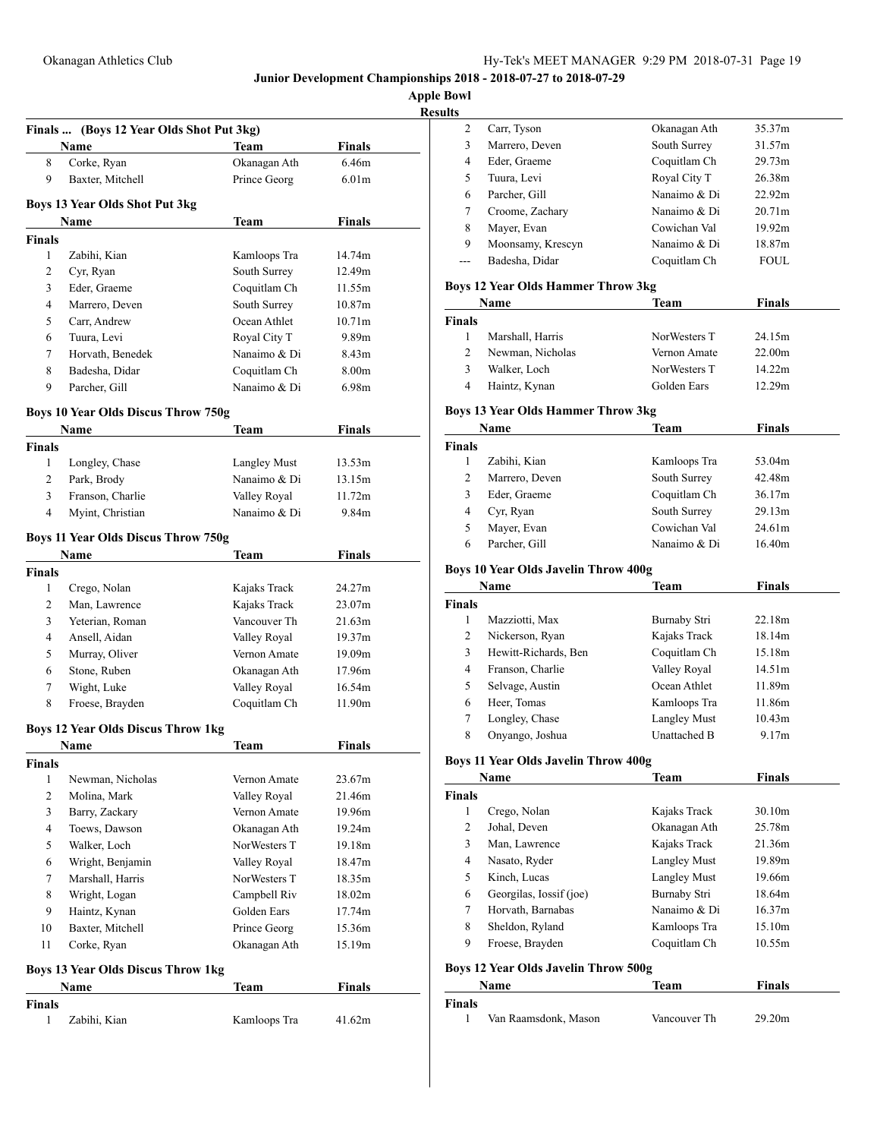**Apple Bowl**

| <b>Results</b> |
|----------------|
|----------------|

|                | Finals  (Boys 12 Year Olds Shot Put 3kg)<br>Name | Team         | <b>Finals</b>     |
|----------------|--------------------------------------------------|--------------|-------------------|
| 8              | Corke, Ryan                                      | Okanagan Ath | 6.46m             |
| 9              | Baxter, Mitchell                                 | Prince Georg | 6.01 <sub>m</sub> |
|                | <b>Boys 13 Year Olds Shot Put 3kg</b>            |              |                   |
|                | Name                                             | <b>Team</b>  | <b>Finals</b>     |
| <b>Finals</b>  |                                                  |              |                   |
| 1              | Zabihi, Kian                                     | Kamloops Tra | 14.74m            |
| 2              | Cyr, Ryan                                        | South Surrey | 12.49m            |
| 3              | Eder, Graeme                                     | Coquitlam Ch | 11.55m            |
| 4              | Marrero, Deven                                   | South Surrey | 10.87m            |
| 5              | Carr, Andrew                                     | Ocean Athlet | 10.71m            |
| 6              | Tuura, Levi                                      | Royal City T | 9.89m             |
| 7              | Horvath, Benedek                                 | Nanaimo & Di | 8.43 <sub>m</sub> |
| 8              | Badesha, Didar                                   | Coquitlam Ch | 8.00m             |
| 9              | Parcher, Gill                                    | Nanaimo & Di | 6.98m             |
|                | <b>Boys 10 Year Olds Discus Throw 750g</b>       |              |                   |
|                | Name                                             | Team         | <b>Finals</b>     |
| <b>Finals</b>  |                                                  |              |                   |
| 1              | Longley, Chase                                   | Langley Must | 13.53m            |
| 2              | Park, Brody                                      | Nanaimo & Di | 13.15m            |
| 3              | Franson, Charlie                                 | Valley Royal | 11.72m            |
| $\overline{4}$ | Myint, Christian                                 | Nanaimo & Di | 9.84m             |
|                | <b>Boys 11 Year Olds Discus Throw 750g</b>       |              |                   |
|                | Name                                             | Team         | Finals            |
| <b>Finals</b>  |                                                  |              |                   |
| 1              | Crego, Nolan                                     | Kajaks Track | 24.27m            |
| 2              | Man, Lawrence                                    | Kajaks Track | 23.07m            |
| 3              | Yeterian, Roman                                  | Vancouver Th | 21.63m            |
| $\overline{4}$ | Ansell, Aidan                                    | Valley Royal | 19.37m            |
| 5              | Murray, Oliver                                   | Vernon Amate | 19.09m            |
| 6              | Stone, Ruben                                     | Okanagan Ath | 17.96m            |
| 7              | Wight, Luke                                      | Valley Royal | 16.54m            |
| 8              | Froese, Brayden                                  | Coquitlam Ch | 11.90m            |
|                | <b>Boys 12 Year Olds Discus Throw 1kg</b>        |              |                   |
|                | Name                                             | Team         | <b>Finals</b>     |
| <b>Finals</b>  |                                                  |              |                   |
| 1              | Newman, Nicholas                                 | Vernon Amate | 23.67m            |
| $\overline{2}$ | Molina, Mark                                     | Valley Royal | 21.46m            |
| 3              | Barry, Zackary                                   | Vernon Amate | 19.96m            |
| 4              | Toews, Dawson                                    | Okanagan Ath | 19.24m            |
| 5              | Walker, Loch                                     | NorWesters T | 19.18m            |
| 6              | Wright, Benjamin                                 | Valley Royal | 18.47m            |
| 7              | Marshall, Harris                                 | NorWesters T | 18.35m            |
| 8              | Wright, Logan                                    | Campbell Riv | 18.02m            |
| 9              | Haintz, Kynan                                    | Golden Ears  | 17.74m            |
| 10             | Baxter, Mitchell                                 | Prince Georg | 15.36m            |
| 11             | Corke, Ryan                                      | Okanagan Ath | 15.19m            |
|                | <b>Boys 13 Year Olds Discus Throw 1kg</b>        |              |                   |
|                | Name                                             | <b>Team</b>  | <b>Finals</b>     |
| Finals         |                                                  |              |                   |
| 1              | Zabihi, Kian                                     | Kamloops Tra | 41.62m            |
|                |                                                  |              |                   |

| s |                   |              |             |  |
|---|-------------------|--------------|-------------|--|
| 2 | Carr, Tyson       | Okanagan Ath | 35.37m      |  |
| 3 | Marrero, Deven    | South Surrey | 31.57m      |  |
| 4 | Eder, Graeme      | Coquitlam Ch | 29.73m      |  |
| 5 | Tuura, Levi       | Royal City T | 26.38m      |  |
| 6 | Parcher, Gill     | Nanaimo & Di | 22.92m      |  |
| 7 | Croome, Zachary   | Nanaimo & Di | 20.71m      |  |
| 8 | Mayer, Evan       | Cowichan Val | 19.92m      |  |
| 9 | Moonsamy, Krescyn | Nanaimo & Di | 18.87m      |  |
|   | Badesha, Didar    | Coquitlam Ch | <b>FOUL</b> |  |
|   |                   |              |             |  |

## **Boys 12 Year Olds Hammer Throw 3kg**

| Name          |                  | Team          | <b>Finals</b> |  |
|---------------|------------------|---------------|---------------|--|
| <b>Finals</b> |                  |               |               |  |
|               | Marshall, Harris | Nor Westers T | 24.15m        |  |
| 2             | Newman, Nicholas | Vernon Amate  | 22.00m        |  |
| 3             | Walker, Loch     | Nor Westers T | 14.22m        |  |
| 4             | Haintz, Kynan    | Golden Ears   | 12.29m        |  |

### **Boys 13 Year Olds Hammer Throw 3kg**

| Name          |                | Team         | <b>Finals</b> |  |
|---------------|----------------|--------------|---------------|--|
| <b>Finals</b> |                |              |               |  |
|               | Zabihi, Kian   | Kamloops Tra | 53.04m        |  |
| 2             | Marrero, Deven | South Surrey | 42.48m        |  |
| 3             | Eder, Graeme   | Coquitlam Ch | 36.17m        |  |
| 4             | Cyr, Ryan      | South Surrey | 29.13m        |  |
| 5             | Mayer, Evan    | Cowichan Val | 24.61m        |  |
| 6             | Parcher, Gill  | Nanaimo & Di | 16.40m        |  |

# **Boys 10 Year Olds Javelin Throw 400g**

| Name          |                      | Team         | Finals |  |
|---------------|----------------------|--------------|--------|--|
| <b>Finals</b> |                      |              |        |  |
|               | Mazziotti, Max       | Burnaby Stri | 22.18m |  |
| 2             | Nickerson, Ryan      | Kajaks Track | 18.14m |  |
| 3             | Hewitt-Richards, Ben | Coquitlam Ch | 15.18m |  |
| 4             | Franson, Charlie     | Valley Royal | 14.51m |  |
| 5             | Selvage, Austin      | Ocean Athlet | 11.89m |  |
| 6             | Heer, Tomas          | Kamloops Tra | 11.86m |  |
| 7             | Longley, Chase       | Langley Must | 10.43m |  |
| 8             | Onyango, Joshua      | Unattached B | 9.17m  |  |

# **Boys 11 Year Olds Javelin Throw 400g**

| Name          |                                             | <b>Team</b>         | <b>Finals</b> |  |
|---------------|---------------------------------------------|---------------------|---------------|--|
| <b>Finals</b> |                                             |                     |               |  |
| 1             | Crego, Nolan                                | Kajaks Track        | 30.10m        |  |
| 2             | Johal, Deven                                | Okanagan Ath        | 25.78m        |  |
| 3             | Man, Lawrence                               | Kajaks Track        | 21.36m        |  |
| 4             | Nasato, Ryder                               | <b>Langley Must</b> | 19.89m        |  |
| 5             | Kinch, Lucas                                | <b>Langley Must</b> | 19.66m        |  |
| 6             | Georgilas, Iossif (joe)                     | Burnaby Stri        | 18.64m        |  |
| 7             | Horvath, Barnabas                           | Nanaimo & Di        | 16.37m        |  |
| 8             | Sheldon, Ryland                             | Kamloops Tra        | 15.10m        |  |
| 9             | Froese, Brayden                             | Coquitlam Ch        | 10.55m        |  |
|               | <b>Boys 12 Year Olds Javelin Throw 500g</b> |                     |               |  |

|        | Name                 | Team         | <b>Finals</b> |
|--------|----------------------|--------------|---------------|
| Finals |                      |              |               |
|        | Van Raamsdonk, Mason | Vancouver Th | 29.20m        |